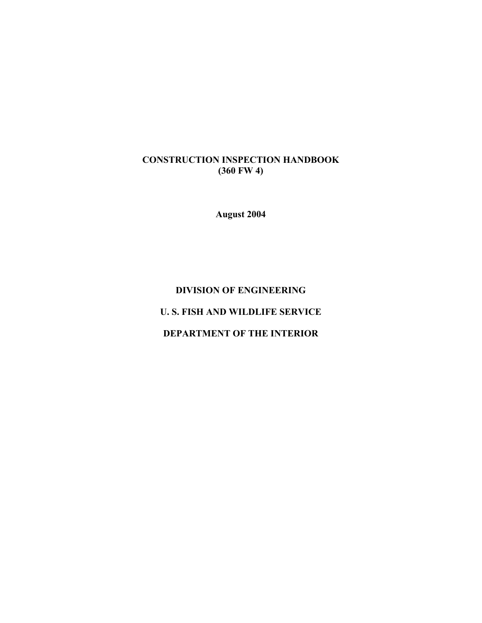# **CONSTRUCTION INSPECTION HANDBOOK (360 FW 4)**

**August 2004** 

# **DIVISION OF ENGINEERING U. S. FISH AND WILDLIFE SERVICE DEPARTMENT OF THE INTERIOR**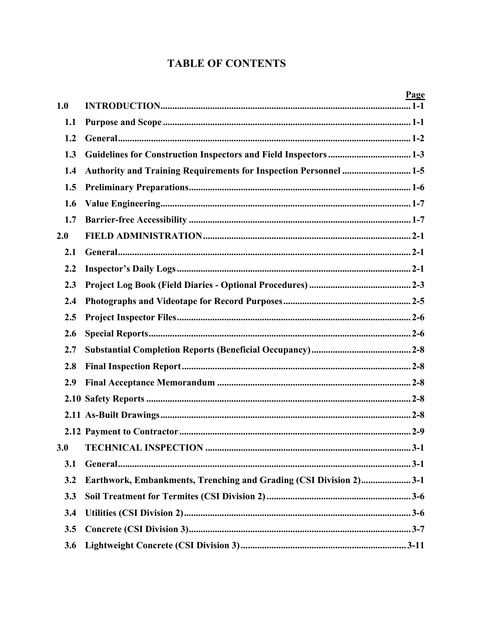# **TABLE OF CONTENTS**

|     | <u>Page</u>                                                       |
|-----|-------------------------------------------------------------------|
| 1.0 |                                                                   |
| 1.1 |                                                                   |
| 1.2 |                                                                   |
| 1.3 |                                                                   |
| 1.4 | Authority and Training Requirements for Inspection Personnel  1-5 |
| 1.5 |                                                                   |
| 1.6 |                                                                   |
| 1.7 |                                                                   |
| 2.0 |                                                                   |
| 2.1 |                                                                   |
| 2.2 |                                                                   |
| 2.3 |                                                                   |
| 2.4 |                                                                   |
| 2.5 |                                                                   |
| 2.6 |                                                                   |
| 2.7 |                                                                   |
| 2.8 |                                                                   |
| 2.9 |                                                                   |
|     |                                                                   |
|     |                                                                   |
|     |                                                                   |
|     |                                                                   |
| 3.1 |                                                                   |
| 3.2 | Earthwork, Embankments, Trenching and Grading (CSI Division 2)3-1 |
| 3.3 |                                                                   |
|     |                                                                   |
| 3.4 |                                                                   |
| 3.5 |                                                                   |
| 3.6 |                                                                   |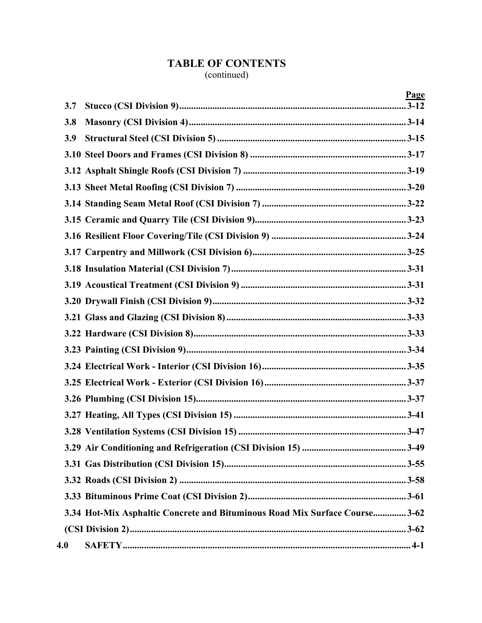# **TABLE OF CONTENTS**  (continued)

| 3.7 | <b>Page</b>                                                                 |  |
|-----|-----------------------------------------------------------------------------|--|
| 3.8 |                                                                             |  |
| 3.9 |                                                                             |  |
|     |                                                                             |  |
|     |                                                                             |  |
|     |                                                                             |  |
|     |                                                                             |  |
|     |                                                                             |  |
|     |                                                                             |  |
|     |                                                                             |  |
|     |                                                                             |  |
|     |                                                                             |  |
|     |                                                                             |  |
|     |                                                                             |  |
|     |                                                                             |  |
|     |                                                                             |  |
|     |                                                                             |  |
|     |                                                                             |  |
|     |                                                                             |  |
|     |                                                                             |  |
|     |                                                                             |  |
|     |                                                                             |  |
|     |                                                                             |  |
|     |                                                                             |  |
|     |                                                                             |  |
|     |                                                                             |  |
|     | 3.34 Hot-Mix Asphaltic Concrete and Bituminous Road Mix Surface Course 3-62 |  |
|     |                                                                             |  |
| 4.0 |                                                                             |  |
|     |                                                                             |  |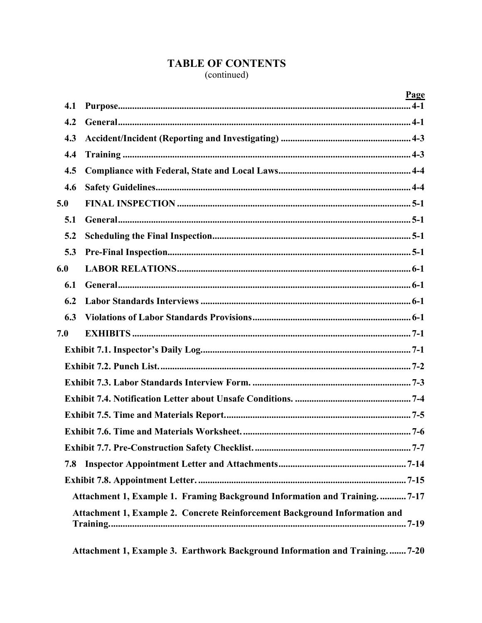# **TABLE OF CONTENTS**

(continued)

|                                                                          | <b>Page</b>                                                                |  |
|--------------------------------------------------------------------------|----------------------------------------------------------------------------|--|
| 4.1                                                                      |                                                                            |  |
| 4.2                                                                      |                                                                            |  |
| 4.3                                                                      |                                                                            |  |
| 4.4                                                                      |                                                                            |  |
| 4.5                                                                      |                                                                            |  |
| 4.6                                                                      |                                                                            |  |
| 5.0                                                                      |                                                                            |  |
| 5.1                                                                      |                                                                            |  |
| 5.2                                                                      |                                                                            |  |
| 5.3                                                                      |                                                                            |  |
| 6.0                                                                      |                                                                            |  |
| 6.1                                                                      |                                                                            |  |
| 6.2                                                                      |                                                                            |  |
| 6.3                                                                      |                                                                            |  |
| 7.0                                                                      |                                                                            |  |
|                                                                          |                                                                            |  |
|                                                                          |                                                                            |  |
|                                                                          |                                                                            |  |
|                                                                          |                                                                            |  |
|                                                                          |                                                                            |  |
|                                                                          |                                                                            |  |
|                                                                          |                                                                            |  |
| 7.8                                                                      |                                                                            |  |
|                                                                          |                                                                            |  |
| Attachment 1, Example 1. Framing Background Information and Training7-17 |                                                                            |  |
|                                                                          | Attachment 1, Example 2. Concrete Reinforcement Background Information and |  |
|                                                                          |                                                                            |  |

Attachment 1, Example 3. Earthwork Background Information and Training........ 7-20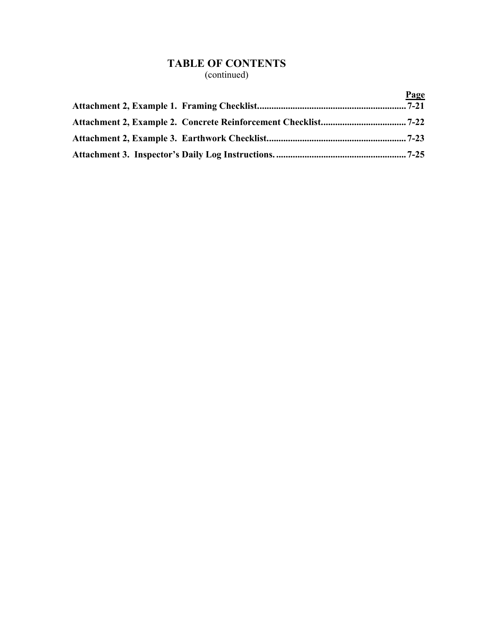# **TABLE OF CONTENTS**  (continued)

|  | <b>Page</b> |
|--|-------------|
|  |             |
|  |             |
|  |             |
|  |             |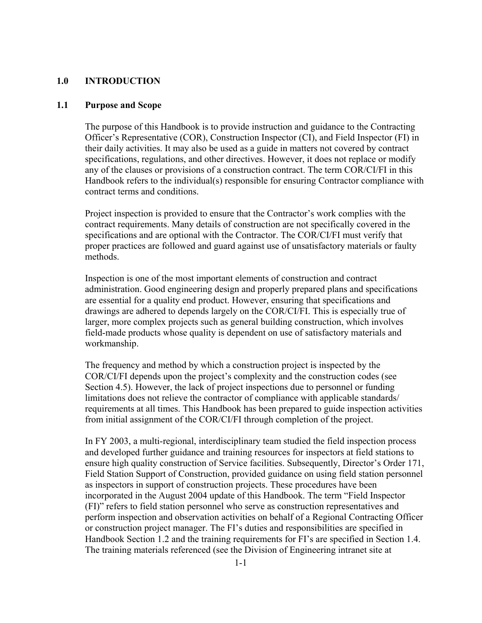## **1.0 INTRODUCTION**

## **1.1 Purpose and Scope**

The purpose of this Handbook is to provide instruction and guidance to the Contracting Officer's Representative (COR), Construction Inspector (CI), and Field Inspector (FI) in their daily activities. It may also be used as a guide in matters not covered by contract specifications, regulations, and other directives. However, it does not replace or modify any of the clauses or provisions of a construction contract. The term COR/CI/FI in this Handbook refers to the individual(s) responsible for ensuring Contractor compliance with contract terms and conditions.

Project inspection is provided to ensure that the Contractor's work complies with the contract requirements. Many details of construction are not specifically covered in the specifications and are optional with the Contractor. The COR/CI/FI must verify that proper practices are followed and guard against use of unsatisfactory materials or faulty methods.

Inspection is one of the most important elements of construction and contract administration. Good engineering design and properly prepared plans and specifications are essential for a quality end product. However, ensuring that specifications and drawings are adhered to depends largely on the COR/CI/FI. This is especially true of larger, more complex projects such as general building construction, which involves field-made products whose quality is dependent on use of satisfactory materials and workmanship.

The frequency and method by which a construction project is inspected by the COR/CI/FI depends upon the project's complexity and the construction codes (see Section 4.5). However, the lack of project inspections due to personnel or funding limitations does not relieve the contractor of compliance with applicable standards/ requirements at all times. This Handbook has been prepared to guide inspection activities from initial assignment of the COR/CI/FI through completion of the project.

In FY 2003, a multi-regional, interdisciplinary team studied the field inspection process and developed further guidance and training resources for inspectors at field stations to ensure high quality construction of Service facilities. Subsequently, Director's Order 171, Field Station Support of Construction, provided guidance on using field station personnel as inspectors in support of construction projects. These procedures have been incorporated in the August 2004 update of this Handbook. The term "Field Inspector (FI)" refers to field station personnel who serve as construction representatives and perform inspection and observation activities on behalf of a Regional Contracting Officer or construction project manager. The FI's duties and responsibilities are specified in Handbook Section 1.2 and the training requirements for FI's are specified in Section 1.4. The training materials referenced (see the Division of Engineering intranet site at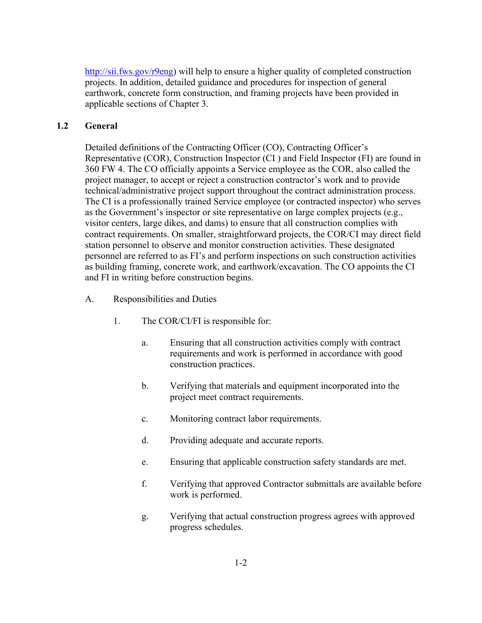http://sii.fws.gov/r9eng) will help to ensure a higher quality of completed construction projects. In addition, detailed guidance and procedures for inspection of general earthwork, concrete form construction, and framing projects have been provided in applicable sections of Chapter 3.

# **1.2 General**

Detailed definitions of the Contracting Officer (CO), Contracting Officer's Representative (COR), Construction Inspector (CI ) and Field Inspector (FI) are found in 360 FW 4. The CO officially appoints a Service employee as the COR, also called the project manager, to accept or reject a construction contractor's work and to provide technical/administrative project support throughout the contract administration process. The CI is a professionally trained Service employee (or contracted inspector) who serves as the Government's inspector or site representative on large complex projects (e.g., visitor centers, large dikes, and dams) to ensure that all construction complies with contract requirements. On smaller, straightforward projects, the COR/CI may direct field station personnel to observe and monitor construction activities. These designated personnel are referred to as FI's and perform inspections on such construction activities as building framing, concrete work, and earthwork/excavation. The CO appoints the CI and FI in writing before construction begins.

- A. Responsibilities and Duties
	- 1. The COR/CI/FI is responsible for:
		- a. Ensuring that all construction activities comply with contract requirements and work is performed in accordance with good construction practices.
		- b. Verifying that materials and equipment incorporated into the project meet contract requirements.
		- c. Monitoring contract labor requirements.
		- d. Providing adequate and accurate reports.
		- e. Ensuring that applicable construction safety standards are met.
		- f. Verifying that approved Contractor submittals are available before work is performed.
		- g. Verifying that actual construction progress agrees with approved progress schedules.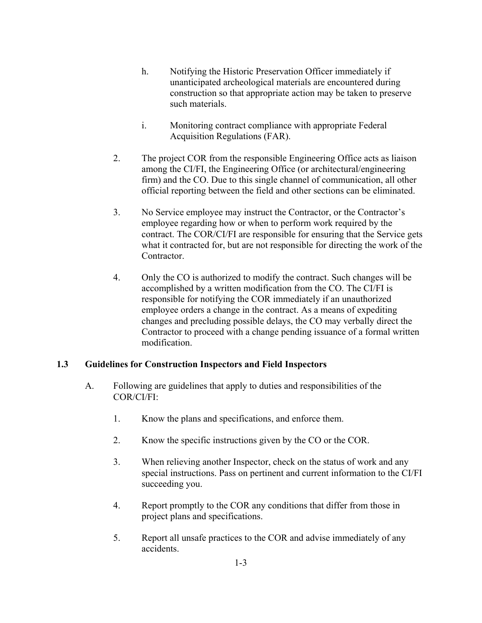- h. Notifying the Historic Preservation Officer immediately if unanticipated archeological materials are encountered during construction so that appropriate action may be taken to preserve such materials.
- i. Monitoring contract compliance with appropriate Federal Acquisition Regulations (FAR).
- 2. The project COR from the responsible Engineering Office acts as liaison among the CI/FI, the Engineering Office (or architectural/engineering firm) and the CO. Due to this single channel of communication, all other official reporting between the field and other sections can be eliminated.
- 3. No Service employee may instruct the Contractor, or the Contractor's employee regarding how or when to perform work required by the contract. The COR/CI/FI are responsible for ensuring that the Service gets what it contracted for, but are not responsible for directing the work of the Contractor.
- 4. Only the CO is authorized to modify the contract. Such changes will be accomplished by a written modification from the CO. The CI/FI is responsible for notifying the COR immediately if an unauthorized employee orders a change in the contract. As a means of expediting changes and precluding possible delays, the CO may verbally direct the Contractor to proceed with a change pending issuance of a formal written modification.

# **1.3 Guidelines for Construction Inspectors and Field Inspectors**

- A. Following are guidelines that apply to duties and responsibilities of the COR/CI/FI:
	- 1. Know the plans and specifications, and enforce them.
	- 2. Know the specific instructions given by the CO or the COR.
	- 3. When relieving another Inspector, check on the status of work and any special instructions. Pass on pertinent and current information to the CI/FI succeeding you.
	- 4. Report promptly to the COR any conditions that differ from those in project plans and specifications.
	- 5. Report all unsafe practices to the COR and advise immediately of any accidents.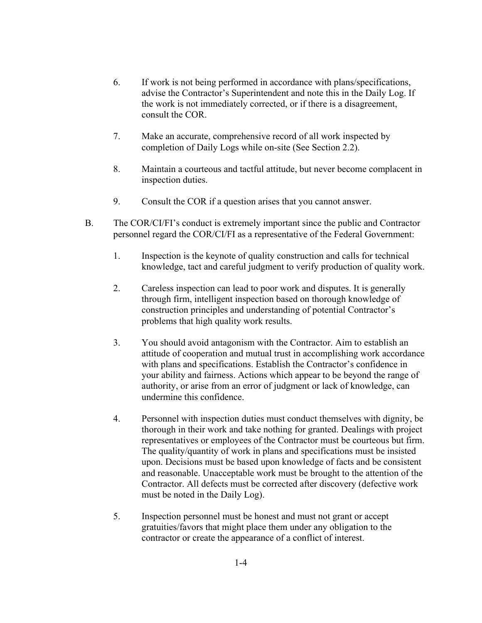- 6. If work is not being performed in accordance with plans/specifications, advise the Contractor's Superintendent and note this in the Daily Log. If the work is not immediately corrected, or if there is a disagreement, consult the COR.
- 7. Make an accurate, comprehensive record of all work inspected by completion of Daily Logs while on-site (See Section 2.2).
- 8. Maintain a courteous and tactful attitude, but never become complacent in inspection duties.
- 9. Consult the COR if a question arises that you cannot answer.
- B. The COR/CI/FI's conduct is extremely important since the public and Contractor personnel regard the COR/CI/FI as a representative of the Federal Government:
	- 1. Inspection is the keynote of quality construction and calls for technical knowledge, tact and careful judgment to verify production of quality work.
	- 2. Careless inspection can lead to poor work and disputes. It is generally through firm, intelligent inspection based on thorough knowledge of construction principles and understanding of potential Contractor's problems that high quality work results.
	- 3. You should avoid antagonism with the Contractor. Aim to establish an attitude of cooperation and mutual trust in accomplishing work accordance with plans and specifications. Establish the Contractor's confidence in your ability and fairness. Actions which appear to be beyond the range of authority, or arise from an error of judgment or lack of knowledge, can undermine this confidence.
	- 4. Personnel with inspection duties must conduct themselves with dignity, be thorough in their work and take nothing for granted. Dealings with project representatives or employees of the Contractor must be courteous but firm. The quality/quantity of work in plans and specifications must be insisted upon. Decisions must be based upon knowledge of facts and be consistent and reasonable. Unacceptable work must be brought to the attention of the Contractor. All defects must be corrected after discovery (defective work must be noted in the Daily Log).
	- 5. Inspection personnel must be honest and must not grant or accept gratuities/favors that might place them under any obligation to the contractor or create the appearance of a conflict of interest.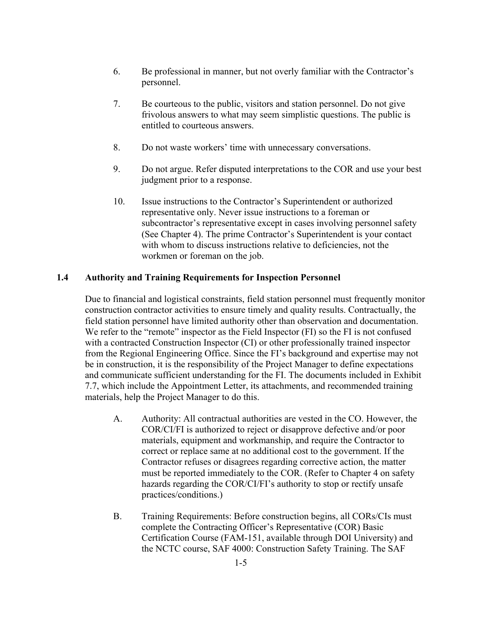- 6. Be professional in manner, but not overly familiar with the Contractor's personnel.
- 7. Be courteous to the public, visitors and station personnel. Do not give frivolous answers to what may seem simplistic questions. The public is entitled to courteous answers.
- 8. Do not waste workers' time with unnecessary conversations.
- 9. Do not argue. Refer disputed interpretations to the COR and use your best judgment prior to a response.
- 10. Issue instructions to the Contractor's Superintendent or authorized representative only. Never issue instructions to a foreman or subcontractor's representative except in cases involving personnel safety (See Chapter 4). The prime Contractor's Superintendent is your contact with whom to discuss instructions relative to deficiencies, not the workmen or foreman on the job.

# **1.4 Authority and Training Requirements for Inspection Personnel**

Due to financial and logistical constraints, field station personnel must frequently monitor construction contractor activities to ensure timely and quality results. Contractually, the field station personnel have limited authority other than observation and documentation. We refer to the "remote" inspector as the Field Inspector (FI) so the FI is not confused with a contracted Construction Inspector (CI) or other professionally trained inspector from the Regional Engineering Office. Since the FI's background and expertise may not be in construction, it is the responsibility of the Project Manager to define expectations and communicate sufficient understanding for the FI. The documents included in Exhibit 7.7, which include the Appointment Letter, its attachments, and recommended training materials, help the Project Manager to do this.

- A. Authority: All contractual authorities are vested in the CO. However, the COR/CI/FI is authorized to reject or disapprove defective and/or poor materials, equipment and workmanship, and require the Contractor to correct or replace same at no additional cost to the government. If the Contractor refuses or disagrees regarding corrective action, the matter must be reported immediately to the COR. (Refer to Chapter 4 on safety hazards regarding the COR/CI/FI's authority to stop or rectify unsafe practices/conditions.)
- B. Training Requirements: Before construction begins, all CORs/CIs must complete the Contracting Officer's Representative (COR) Basic Certification Course (FAM-151, available through DOI University) and the NCTC course, SAF 4000: Construction Safety Training. The SAF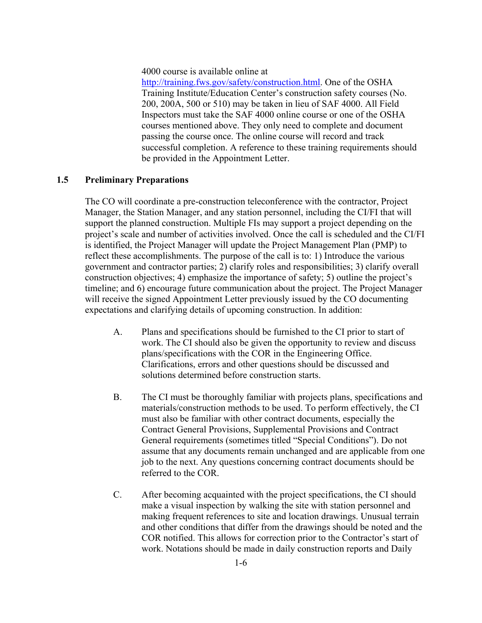4000 course is available online at

http://training.fws.gov/safety/construction.html. One of the OSHA Training Institute/Education Center's construction safety courses (No. 200, 200A, 500 or 510) may be taken in lieu of SAF 4000. All Field Inspectors must take the SAF 4000 online course or one of the OSHA courses mentioned above. They only need to complete and document passing the course once. The online course will record and track successful completion. A reference to these training requirements should be provided in the Appointment Letter.

#### **1.5 Preliminary Preparations**

The CO will coordinate a pre-construction teleconference with the contractor, Project Manager, the Station Manager, and any station personnel, including the CI/FI that will support the planned construction. Multiple FIs may support a project depending on the project's scale and number of activities involved. Once the call is scheduled and the CI/FI is identified, the Project Manager will update the Project Management Plan (PMP) to reflect these accomplishments. The purpose of the call is to: 1) Introduce the various government and contractor parties; 2) clarify roles and responsibilities; 3) clarify overall construction objectives; 4) emphasize the importance of safety; 5) outline the project's timeline; and 6) encourage future communication about the project. The Project Manager will receive the signed Appointment Letter previously issued by the CO documenting expectations and clarifying details of upcoming construction. In addition:

- A. Plans and specifications should be furnished to the CI prior to start of work. The CI should also be given the opportunity to review and discuss plans/specifications with the COR in the Engineering Office. Clarifications, errors and other questions should be discussed and solutions determined before construction starts.
- B. The CI must be thoroughly familiar with projects plans, specifications and materials/construction methods to be used. To perform effectively, the CI must also be familiar with other contract documents, especially the Contract General Provisions, Supplemental Provisions and Contract General requirements (sometimes titled "Special Conditions"). Do not assume that any documents remain unchanged and are applicable from one job to the next. Any questions concerning contract documents should be referred to the COR.
- C. After becoming acquainted with the project specifications, the CI should make a visual inspection by walking the site with station personnel and making frequent references to site and location drawings. Unusual terrain and other conditions that differ from the drawings should be noted and the COR notified. This allows for correction prior to the Contractor's start of work. Notations should be made in daily construction reports and Daily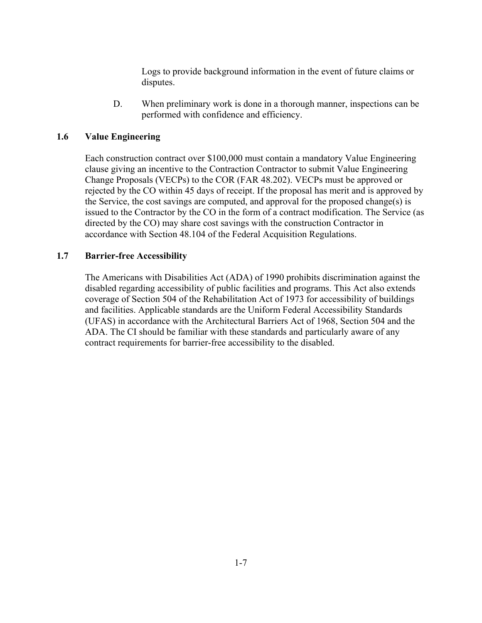Logs to provide background information in the event of future claims or disputes.

D. When preliminary work is done in a thorough manner, inspections can be performed with confidence and efficiency.

# **1.6 Value Engineering**

Each construction contract over \$100,000 must contain a mandatory Value Engineering clause giving an incentive to the Contraction Contractor to submit Value Engineering Change Proposals (VECPs) to the COR (FAR 48.202). VECPs must be approved or rejected by the CO within 45 days of receipt. If the proposal has merit and is approved by the Service, the cost savings are computed, and approval for the proposed change(s) is issued to the Contractor by the CO in the form of a contract modification. The Service (as directed by the CO) may share cost savings with the construction Contractor in accordance with Section 48.104 of the Federal Acquisition Regulations.

## **1.7 Barrier-free Accessibility**

The Americans with Disabilities Act (ADA) of 1990 prohibits discrimination against the disabled regarding accessibility of public facilities and programs. This Act also extends coverage of Section 504 of the Rehabilitation Act of 1973 for accessibility of buildings and facilities. Applicable standards are the Uniform Federal Accessibility Standards (UFAS) in accordance with the Architectural Barriers Act of 1968, Section 504 and the ADA. The CI should be familiar with these standards and particularly aware of any contract requirements for barrier-free accessibility to the disabled.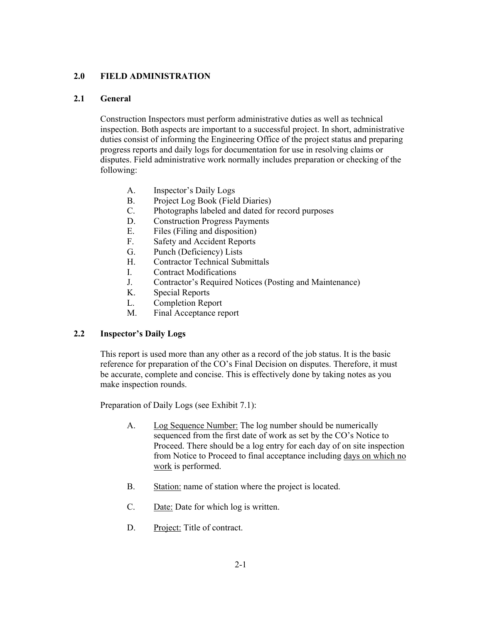# **2.0 FIELD ADMINISTRATION**

## **2.1 General**

Construction Inspectors must perform administrative duties as well as technical inspection. Both aspects are important to a successful project. In short, administrative duties consist of informing the Engineering Office of the project status and preparing progress reports and daily logs for documentation for use in resolving claims or disputes. Field administrative work normally includes preparation or checking of the following:

- A. Inspector's Daily Logs
- B. Project Log Book (Field Diaries)
- C. Photographs labeled and dated for record purposes
- D. Construction Progress Payments
- E. Files (Filing and disposition)
- F. Safety and Accident Reports
- G. Punch (Deficiency) Lists
- H. Contractor Technical Submittals
- I. Contract Modifications
- J. Contractor's Required Notices (Posting and Maintenance)
- K. Special Reports
- L. Completion Report
- M. Final Acceptance report

## **2.2 Inspector's Daily Logs**

This report is used more than any other as a record of the job status. It is the basic reference for preparation of the CO's Final Decision on disputes. Therefore, it must be accurate, complete and concise. This is effectively done by taking notes as you make inspection rounds.

Preparation of Daily Logs (see Exhibit 7.1):

- A. Log Sequence Number: The log number should be numerically sequenced from the first date of work as set by the CO's Notice to Proceed. There should be a log entry for each day of on site inspection from Notice to Proceed to final acceptance including days on which no work is performed.
- B. Station: name of station where the project is located.
- C. Date: Date for which log is written.
- D. Project: Title of contract.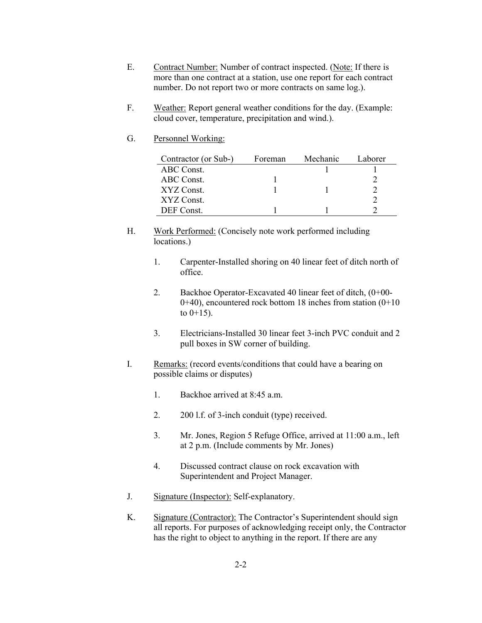- E. Contract Number: Number of contract inspected. (Note: If there is more than one contract at a station, use one report for each contract number. Do not report two or more contracts on same log.).
- F. Weather: Report general weather conditions for the day. (Example: cloud cover, temperature, precipitation and wind.).
- G. Personnel Working:

| Contractor (or Sub-) | Foreman | Mechanic | Laborer |
|----------------------|---------|----------|---------|
| ABC Const.           |         |          |         |
| ABC Const.           |         |          |         |
| XYZ Const.           |         |          |         |
| XYZ Const.           |         |          |         |
| DEF Const.           |         |          |         |

- H. Work Performed: (Concisely note work performed including locations.)
	- 1. Carpenter-Installed shoring on 40 linear feet of ditch north of office.
	- 2. Backhoe Operator-Excavated 40 linear feet of ditch, (0+00-  $0+40$ ), encountered rock bottom 18 inches from station  $(0+10)$ to  $0+15$ ).
	- 3. Electricians-Installed 30 linear feet 3-inch PVC conduit and 2 pull boxes in SW corner of building.
- I. Remarks: (record events/conditions that could have a bearing on possible claims or disputes)
	- 1. Backhoe arrived at 8:45 a.m.
	- 2. 200 l.f. of 3-inch conduit (type) received.
	- 3. Mr. Jones, Region 5 Refuge Office, arrived at 11:00 a.m., left at 2 p.m. (Include comments by Mr. Jones)
	- 4. Discussed contract clause on rock excavation with Superintendent and Project Manager.
- J. Signature (Inspector): Self-explanatory.
- K. Signature (Contractor): The Contractor's Superintendent should sign all reports. For purposes of acknowledging receipt only, the Contractor has the right to object to anything in the report. If there are any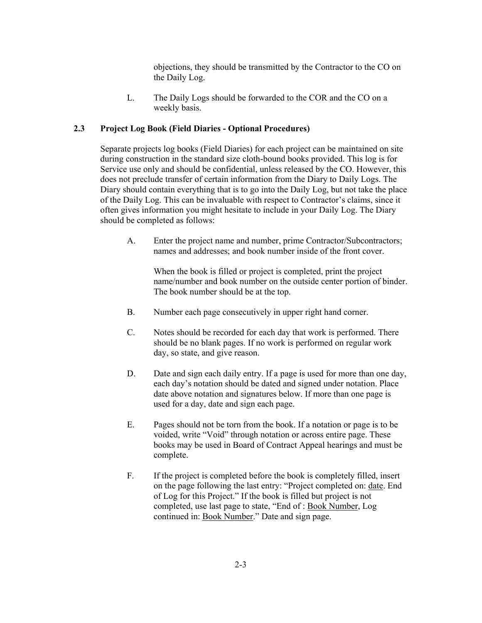objections, they should be transmitted by the Contractor to the CO on the Daily Log.

L. The Daily Logs should be forwarded to the COR and the CO on a weekly basis.

## **2.3 Project Log Book (Field Diaries - Optional Procedures)**

Separate projects log books (Field Diaries) for each project can be maintained on site during construction in the standard size cloth-bound books provided. This log is for Service use only and should be confidential, unless released by the CO. However, this does not preclude transfer of certain information from the Diary to Daily Logs. The Diary should contain everything that is to go into the Daily Log, but not take the place of the Daily Log. This can be invaluable with respect to Contractor's claims, since it often gives information you might hesitate to include in your Daily Log. The Diary should be completed as follows:

 A. Enter the project name and number, prime Contractor/Subcontractors; names and addresses; and book number inside of the front cover.

 When the book is filled or project is completed, print the project name/number and book number on the outside center portion of binder. The book number should be at the top.

- B. Number each page consecutively in upper right hand corner.
- C. Notes should be recorded for each day that work is performed. There should be no blank pages. If no work is performed on regular work day, so state, and give reason.
- D. Date and sign each daily entry. If a page is used for more than one day, each day's notation should be dated and signed under notation. Place date above notation and signatures below. If more than one page is used for a day, date and sign each page.
- E. Pages should not be torn from the book. If a notation or page is to be voided, write "Void" through notation or across entire page. These books may be used in Board of Contract Appeal hearings and must be complete.
- F. If the project is completed before the book is completely filled, insert on the page following the last entry: "Project completed on: date. End of Log for this Project." If the book is filled but project is not completed, use last page to state, "End of : Book Number, Log continued in: Book Number." Date and sign page.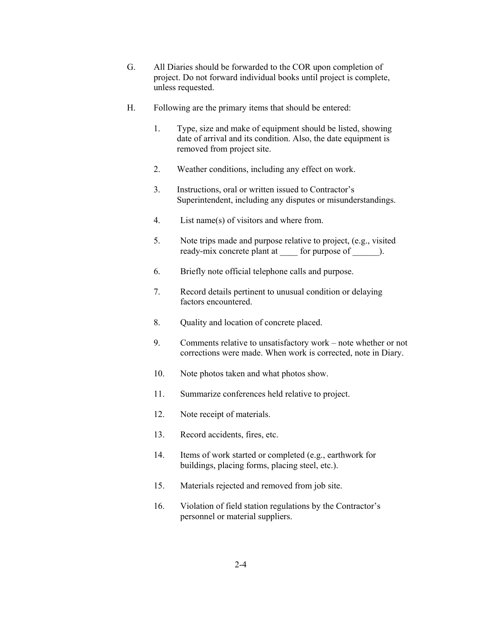- G. All Diaries should be forwarded to the COR upon completion of project. Do not forward individual books until project is complete, unless requested.
- H. Following are the primary items that should be entered:
	- 1. Type, size and make of equipment should be listed, showing date of arrival and its condition. Also, the date equipment is removed from project site.
	- 2. Weather conditions, including any effect on work.
	- 3. Instructions, oral or written issued to Contractor's Superintendent, including any disputes or misunderstandings.
	- 4. List name(s) of visitors and where from.
	- 5. Note trips made and purpose relative to project, (e.g., visited ready-mix concrete plant at for purpose of  $\qquad$ .
	- 6. Briefly note official telephone calls and purpose.
	- 7. Record details pertinent to unusual condition or delaying factors encountered.
	- 8. Ouality and location of concrete placed.
	- 9. Comments relative to unsatisfactory work note whether or not corrections were made. When work is corrected, note in Diary.
	- 10. Note photos taken and what photos show.
	- 11. Summarize conferences held relative to project.
	- 12. Note receipt of materials.
	- 13. Record accidents, fires, etc.
	- 14. Items of work started or completed (e.g., earthwork for buildings, placing forms, placing steel, etc.).
	- 15. Materials rejected and removed from job site.
	- 16. Violation of field station regulations by the Contractor's personnel or material suppliers.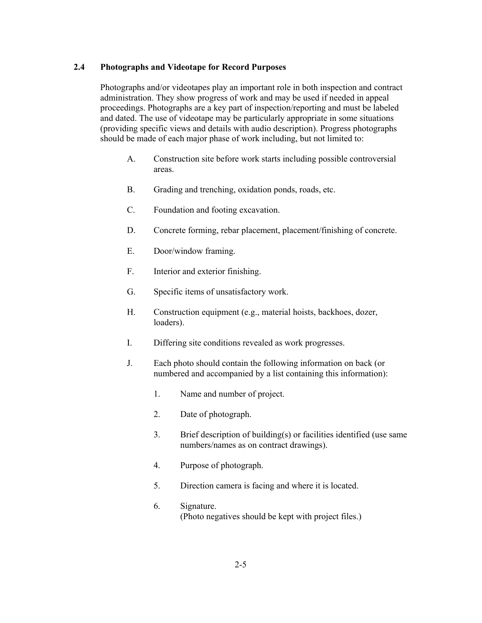## **2.4 Photographs and Videotape for Record Purposes**

Photographs and/or videotapes play an important role in both inspection and contract administration. They show progress of work and may be used if needed in appeal proceedings. Photographs are a key part of inspection/reporting and must be labeled and dated. The use of videotape may be particularly appropriate in some situations (providing specific views and details with audio description). Progress photographs should be made of each major phase of work including, but not limited to:

- A. Construction site before work starts including possible controversial areas.
- B. Grading and trenching, oxidation ponds, roads, etc.
- C. Foundation and footing excavation.
- D. Concrete forming, rebar placement, placement/finishing of concrete.
- E. Door/window framing.
- F. Interior and exterior finishing.
- G. Specific items of unsatisfactory work.
- H. Construction equipment (e.g., material hoists, backhoes, dozer, loaders).
- I. Differing site conditions revealed as work progresses.
- J. Each photo should contain the following information on back (or numbered and accompanied by a list containing this information):
	- 1. Name and number of project.
	- 2. Date of photograph.
	- 3. Brief description of building(s) or facilities identified (use same numbers/names as on contract drawings).
	- 4. Purpose of photograph.
	- 5. Direction camera is facing and where it is located.
	- 6. Signature. (Photo negatives should be kept with project files.)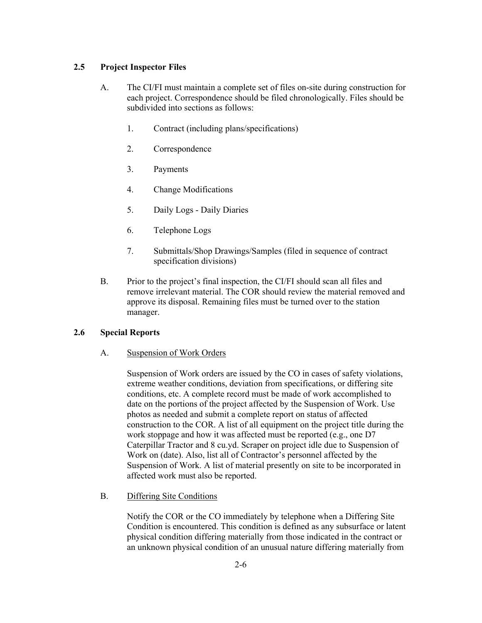## **2.5 Project Inspector Files**

- A. The CI/FI must maintain a complete set of files on-site during construction for each project. Correspondence should be filed chronologically. Files should be subdivided into sections as follows:
	- 1. Contract (including plans/specifications)
	- 2. Correspondence
	- 3. Payments
	- 4. Change Modifications
	- 5. Daily Logs Daily Diaries
	- 6. Telephone Logs
	- 7. Submittals/Shop Drawings/Samples (filed in sequence of contract specification divisions)
- B. Prior to the project's final inspection, the CI/FI should scan all files and remove irrelevant material. The COR should review the material removed and approve its disposal. Remaining files must be turned over to the station manager.

## **2.6 Special Reports**

## A. Suspension of Work Orders

 Suspension of Work orders are issued by the CO in cases of safety violations, extreme weather conditions, deviation from specifications, or differing site conditions, etc. A complete record must be made of work accomplished to date on the portions of the project affected by the Suspension of Work. Use photos as needed and submit a complete report on status of affected construction to the COR. A list of all equipment on the project title during the work stoppage and how it was affected must be reported (e.g., one D7 Caterpillar Tractor and 8 cu.yd. Scraper on project idle due to Suspension of Work on (date). Also, list all of Contractor's personnel affected by the Suspension of Work. A list of material presently on site to be incorporated in affected work must also be reported.

B.Differing Site Conditions

 Notify the COR or the CO immediately by telephone when a Differing Site Condition is encountered. This condition is defined as any subsurface or latent physical condition differing materially from those indicated in the contract or an unknown physical condition of an unusual nature differing materially from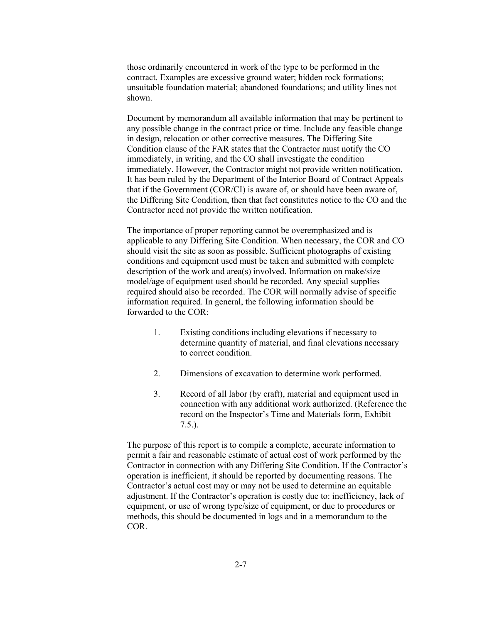those ordinarily encountered in work of the type to be performed in the contract. Examples are excessive ground water; hidden rock formations; unsuitable foundation material; abandoned foundations; and utility lines not shown.

Document by memorandum all available information that may be pertinent to any possible change in the contract price or time. Include any feasible change in design, relocation or other corrective measures. The Differing Site Condition clause of the FAR states that the Contractor must notify the CO immediately, in writing, and the CO shall investigate the condition immediately. However, the Contractor might not provide written notification. It has been ruled by the Department of the Interior Board of Contract Appeals that if the Government (COR/CI) is aware of, or should have been aware of, the Differing Site Condition, then that fact constitutes notice to the CO and the Contractor need not provide the written notification.

The importance of proper reporting cannot be overemphasized and is applicable to any Differing Site Condition. When necessary, the COR and CO should visit the site as soon as possible. Sufficient photographs of existing conditions and equipment used must be taken and submitted with complete description of the work and area(s) involved. Information on make/size model/age of equipment used should be recorded. Any special supplies required should also be recorded. The COR will normally advise of specific information required. In general, the following information should be forwarded to the COR:

- 1. Existing conditions including elevations if necessary to determine quantity of material, and final elevations necessary to correct condition.
- 2. Dimensions of excavation to determine work performed.
- 3. Record of all labor (by craft), material and equipment used in connection with any additional work authorized. (Reference the record on the Inspector's Time and Materials form, Exhibit 7.5.).

The purpose of this report is to compile a complete, accurate information to permit a fair and reasonable estimate of actual cost of work performed by the Contractor in connection with any Differing Site Condition. If the Contractor's operation is inefficient, it should be reported by documenting reasons. The Contractor's actual cost may or may not be used to determine an equitable adjustment. If the Contractor's operation is costly due to: inefficiency, lack of equipment, or use of wrong type/size of equipment, or due to procedures or methods, this should be documented in logs and in a memorandum to the COR.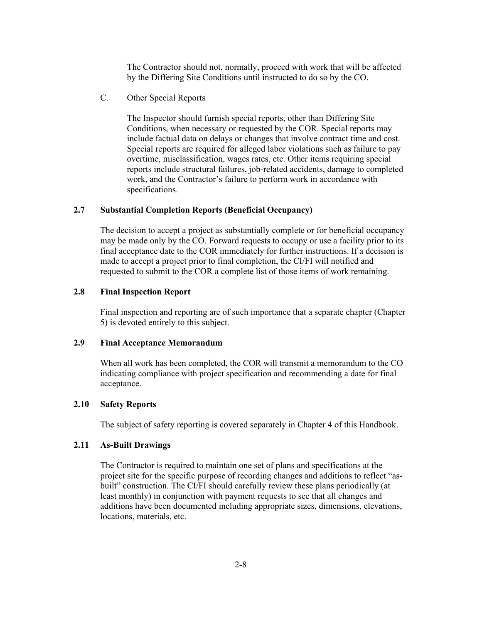The Contractor should not, normally, proceed with work that will be affected by the Differing Site Conditions until instructed to do so by the CO.

#### C. Other Special Reports

 The Inspector should furnish special reports, other than Differing Site Conditions, when necessary or requested by the COR. Special reports may include factual data on delays or changes that involve contract time and cost. Special reports are required for alleged labor violations such as failure to pay overtime, misclassification, wages rates, etc. Other items requiring special reports include structural failures, job-related accidents, damage to completed work, and the Contractor's failure to perform work in accordance with specifications.

#### **2.7 Substantial Completion Reports (Beneficial Occupancy)**

The decision to accept a project as substantially complete or for beneficial occupancy may be made only by the CO. Forward requests to occupy or use a facility prior to its final acceptance date to the COR immediately for further instructions. If a decision is made to accept a project prior to final completion, the CI/FI will notified and requested to submit to the COR a complete list of those items of work remaining.

## **2.8 Final Inspection Report**

Final inspection and reporting are of such importance that a separate chapter (Chapter 5) is devoted entirely to this subject.

#### **2.9 Final Acceptance Memorandum**

When all work has been completed, the COR will transmit a memorandum to the CO indicating compliance with project specification and recommending a date for final acceptance.

#### **2.10 Safety Reports**

The subject of safety reporting is covered separately in Chapter 4 of this Handbook.

#### **2.11 As-Built Drawings**

The Contractor is required to maintain one set of plans and specifications at the project site for the specific purpose of recording changes and additions to reflect "asbuilt" construction. The CI/FI should carefully review these plans periodically (at least monthly) in conjunction with payment requests to see that all changes and additions have been documented including appropriate sizes, dimensions, elevations, locations, materials, etc.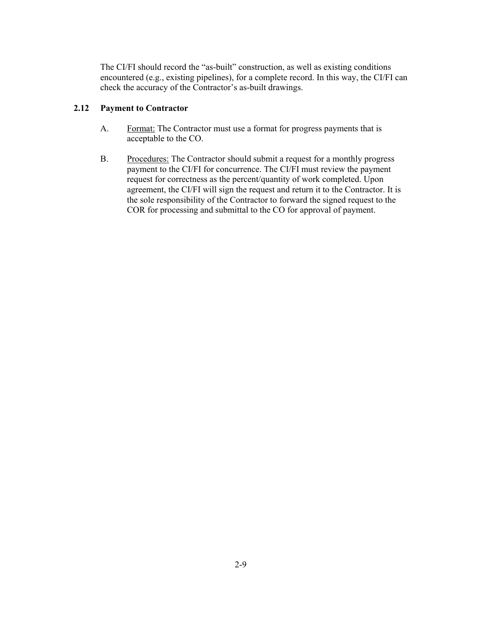The CI/FI should record the "as-built" construction, as well as existing conditions encountered (e.g., existing pipelines), for a complete record. In this way, the CI/FI can check the accuracy of the Contractor's as-built drawings.

## **2.12 Payment to Contractor**

- A. Format: The Contractor must use a format for progress payments that is acceptable to the CO.
- B. Procedures: The Contractor should submit a request for a monthly progress payment to the CI/FI for concurrence. The CI/FI must review the payment request for correctness as the percent/quantity of work completed. Upon agreement, the CI/FI will sign the request and return it to the Contractor. It is the sole responsibility of the Contractor to forward the signed request to the COR for processing and submittal to the CO for approval of payment.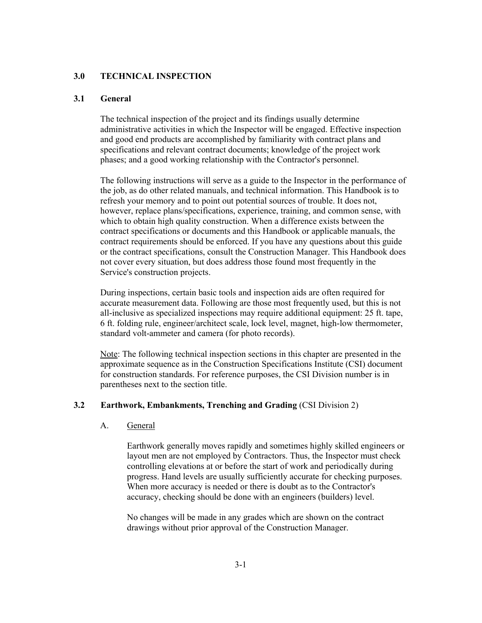### **3.0 TECHNICAL INSPECTION**

#### **3.1 General**

The technical inspection of the project and its findings usually determine administrative activities in which the Inspector will be engaged. Effective inspection and good end products are accomplished by familiarity with contract plans and specifications and relevant contract documents; knowledge of the project work phases; and a good working relationship with the Contractor's personnel.

The following instructions will serve as a guide to the Inspector in the performance of the job, as do other related manuals, and technical information. This Handbook is to refresh your memory and to point out potential sources of trouble. It does not, however, replace plans/specifications, experience, training, and common sense, with which to obtain high quality construction. When a difference exists between the contract specifications or documents and this Handbook or applicable manuals, the contract requirements should be enforced. If you have any questions about this guide or the contract specifications, consult the Construction Manager. This Handbook does not cover every situation, but does address those found most frequently in the Service's construction projects.

During inspections, certain basic tools and inspection aids are often required for accurate measurement data. Following are those most frequently used, but this is not all-inclusive as specialized inspections may require additional equipment: 25 ft. tape, 6 ft. folding rule, engineer/architect scale, lock level, magnet, high-low thermometer, standard volt-ammeter and camera (for photo records).

Note: The following technical inspection sections in this chapter are presented in the approximate sequence as in the Construction Specifications Institute (CSI) document for construction standards. For reference purposes, the CSI Division number is in parentheses next to the section title.

#### **3.2 Earthwork, Embankments, Trenching and Grading** (CSI Division 2)

A. General

Earthwork generally moves rapidly and sometimes highly skilled engineers or layout men are not employed by Contractors. Thus, the Inspector must check controlling elevations at or before the start of work and periodically during progress. Hand levels are usually sufficiently accurate for checking purposes. When more accuracy is needed or there is doubt as to the Contractor's accuracy, checking should be done with an engineers (builders) level.

No changes will be made in any grades which are shown on the contract drawings without prior approval of the Construction Manager.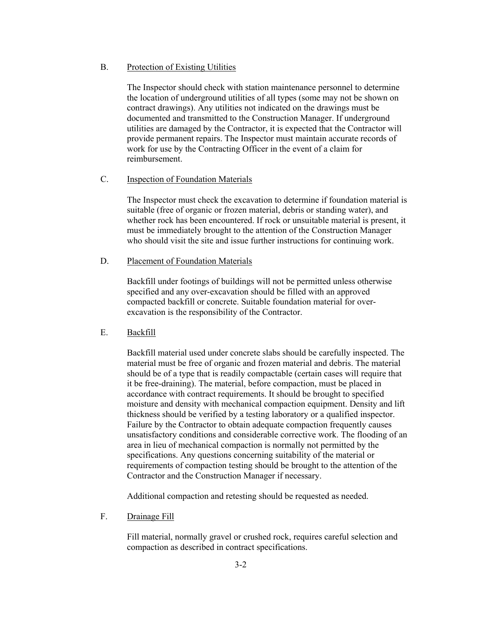### B. Protection of Existing Utilities

The Inspector should check with station maintenance personnel to determine the location of underground utilities of all types (some may not be shown on contract drawings). Any utilities not indicated on the drawings must be documented and transmitted to the Construction Manager. If underground utilities are damaged by the Contractor, it is expected that the Contractor will provide permanent repairs. The Inspector must maintain accurate records of work for use by the Contracting Officer in the event of a claim for reimbursement.

#### C. Inspection of Foundation Materials

The Inspector must check the excavation to determine if foundation material is suitable (free of organic or frozen material, debris or standing water), and whether rock has been encountered. If rock or unsuitable material is present, it must be immediately brought to the attention of the Construction Manager who should visit the site and issue further instructions for continuing work.

## D. Placement of Foundation Materials

Backfill under footings of buildings will not be permitted unless otherwise specified and any over-excavation should be filled with an approved compacted backfill or concrete. Suitable foundation material for overexcavation is the responsibility of the Contractor.

#### E. Backfill

Backfill material used under concrete slabs should be carefully inspected. The material must be free of organic and frozen material and debris. The material should be of a type that is readily compactable (certain cases will require that it be free-draining). The material, before compaction, must be placed in accordance with contract requirements. It should be brought to specified moisture and density with mechanical compaction equipment. Density and lift thickness should be verified by a testing laboratory or a qualified inspector. Failure by the Contractor to obtain adequate compaction frequently causes unsatisfactory conditions and considerable corrective work. The flooding of an area in lieu of mechanical compaction is normally not permitted by the specifications. Any questions concerning suitability of the material or requirements of compaction testing should be brought to the attention of the Contractor and the Construction Manager if necessary.

Additional compaction and retesting should be requested as needed.

F. Drainage Fill

Fill material, normally gravel or crushed rock, requires careful selection and compaction as described in contract specifications.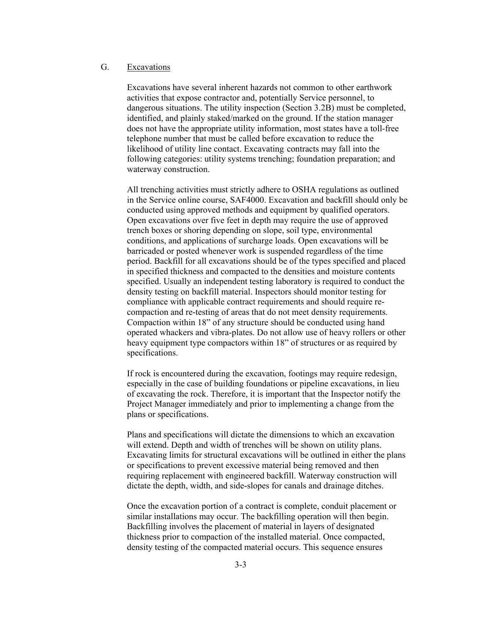## G. Excavations

Excavations have several inherent hazards not common to other earthwork activities that expose contractor and, potentially Service personnel, to dangerous situations. The utility inspection (Section 3.2B) must be completed, identified, and plainly staked/marked on the ground. If the station manager does not have the appropriate utility information, most states have a toll-free telephone number that must be called before excavation to reduce the likelihood of utility line contact. Excavating contracts may fall into the following categories: utility systems trenching; foundation preparation; and waterway construction.

All trenching activities must strictly adhere to OSHA regulations as outlined in the Service online course, SAF4000. Excavation and backfill should only be conducted using approved methods and equipment by qualified operators. Open excavations over five feet in depth may require the use of approved trench boxes or shoring depending on slope, soil type, environmental conditions, and applications of surcharge loads. Open excavations will be barricaded or posted whenever work is suspended regardless of the time period. Backfill for all excavations should be of the types specified and placed in specified thickness and compacted to the densities and moisture contents specified. Usually an independent testing laboratory is required to conduct the density testing on backfill material. Inspectors should monitor testing for compliance with applicable contract requirements and should require recompaction and re-testing of areas that do not meet density requirements. Compaction within 18" of any structure should be conducted using hand operated whackers and vibra-plates. Do not allow use of heavy rollers or other heavy equipment type compactors within 18" of structures or as required by specifications.

If rock is encountered during the excavation, footings may require redesign, especially in the case of building foundations or pipeline excavations, in lieu of excavating the rock. Therefore, it is important that the Inspector notify the Project Manager immediately and prior to implementing a change from the plans or specifications.

Plans and specifications will dictate the dimensions to which an excavation will extend. Depth and width of trenches will be shown on utility plans. Excavating limits for structural excavations will be outlined in either the plans or specifications to prevent excessive material being removed and then requiring replacement with engineered backfill. Waterway construction will dictate the depth, width, and side-slopes for canals and drainage ditches.

Once the excavation portion of a contract is complete, conduit placement or similar installations may occur. The backfilling operation will then begin. Backfilling involves the placement of material in layers of designated thickness prior to compaction of the installed material. Once compacted, density testing of the compacted material occurs. This sequence ensures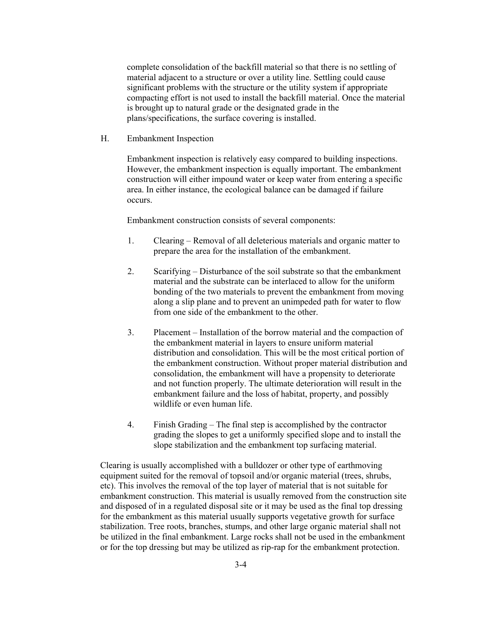complete consolidation of the backfill material so that there is no settling of material adjacent to a structure or over a utility line. Settling could cause significant problems with the structure or the utility system if appropriate compacting effort is not used to install the backfill material. Once the material is brought up to natural grade or the designated grade in the plans/specifications, the surface covering is installed.

H. Embankment Inspection

Embankment inspection is relatively easy compared to building inspections. However, the embankment inspection is equally important. The embankment construction will either impound water or keep water from entering a specific area. In either instance, the ecological balance can be damaged if failure occurs.

Embankment construction consists of several components:

- 1. Clearing Removal of all deleterious materials and organic matter to prepare the area for the installation of the embankment.
- 2. Scarifying Disturbance of the soil substrate so that the embankment material and the substrate can be interlaced to allow for the uniform bonding of the two materials to prevent the embankment from moving along a slip plane and to prevent an unimpeded path for water to flow from one side of the embankment to the other.
- 3. Placement Installation of the borrow material and the compaction of the embankment material in layers to ensure uniform material distribution and consolidation. This will be the most critical portion of the embankment construction. Without proper material distribution and consolidation, the embankment will have a propensity to deteriorate and not function properly. The ultimate deterioration will result in the embankment failure and the loss of habitat, property, and possibly wildlife or even human life.
- 4. Finish Grading The final step is accomplished by the contractor grading the slopes to get a uniformly specified slope and to install the slope stabilization and the embankment top surfacing material.

Clearing is usually accomplished with a bulldozer or other type of earthmoving equipment suited for the removal of topsoil and/or organic material (trees, shrubs, etc). This involves the removal of the top layer of material that is not suitable for embankment construction. This material is usually removed from the construction site and disposed of in a regulated disposal site or it may be used as the final top dressing for the embankment as this material usually supports vegetative growth for surface stabilization. Tree roots, branches, stumps, and other large organic material shall not be utilized in the final embankment. Large rocks shall not be used in the embankment or for the top dressing but may be utilized as rip-rap for the embankment protection.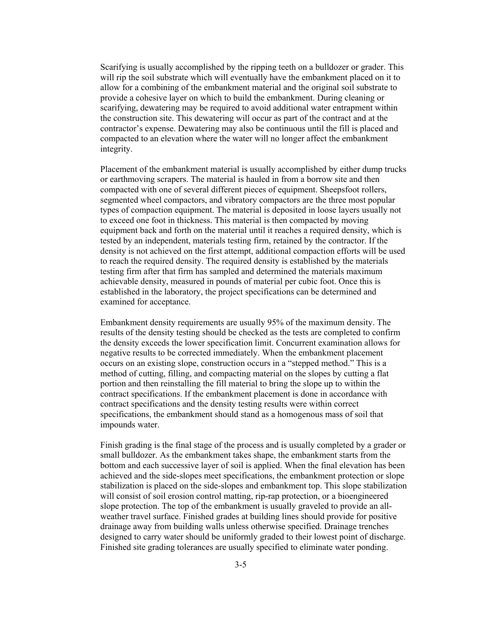Scarifying is usually accomplished by the ripping teeth on a bulldozer or grader. This will rip the soil substrate which will eventually have the embankment placed on it to allow for a combining of the embankment material and the original soil substrate to provide a cohesive layer on which to build the embankment. During cleaning or scarifying, dewatering may be required to avoid additional water entrapment within the construction site. This dewatering will occur as part of the contract and at the contractor's expense. Dewatering may also be continuous until the fill is placed and compacted to an elevation where the water will no longer affect the embankment integrity.

Placement of the embankment material is usually accomplished by either dump trucks or earthmoving scrapers. The material is hauled in from a borrow site and then compacted with one of several different pieces of equipment. Sheepsfoot rollers, segmented wheel compactors, and vibratory compactors are the three most popular types of compaction equipment. The material is deposited in loose layers usually not to exceed one foot in thickness. This material is then compacted by moving equipment back and forth on the material until it reaches a required density, which is tested by an independent, materials testing firm, retained by the contractor. If the density is not achieved on the first attempt, additional compaction efforts will be used to reach the required density. The required density is established by the materials testing firm after that firm has sampled and determined the materials maximum achievable density, measured in pounds of material per cubic foot. Once this is established in the laboratory, the project specifications can be determined and examined for acceptance.

Embankment density requirements are usually 95% of the maximum density. The results of the density testing should be checked as the tests are completed to confirm the density exceeds the lower specification limit. Concurrent examination allows for negative results to be corrected immediately. When the embankment placement occurs on an existing slope, construction occurs in a "stepped method." This is a method of cutting, filling, and compacting material on the slopes by cutting a flat portion and then reinstalling the fill material to bring the slope up to within the contract specifications. If the embankment placement is done in accordance with contract specifications and the density testing results were within correct specifications, the embankment should stand as a homogenous mass of soil that impounds water.

Finish grading is the final stage of the process and is usually completed by a grader or small bulldozer. As the embankment takes shape, the embankment starts from the bottom and each successive layer of soil is applied. When the final elevation has been achieved and the side-slopes meet specifications, the embankment protection or slope stabilization is placed on the side-slopes and embankment top. This slope stabilization will consist of soil erosion control matting, rip-rap protection, or a bioengineered slope protection. The top of the embankment is usually graveled to provide an allweather travel surface. Finished grades at building lines should provide for positive drainage away from building walls unless otherwise specified. Drainage trenches designed to carry water should be uniformly graded to their lowest point of discharge. Finished site grading tolerances are usually specified to eliminate water ponding.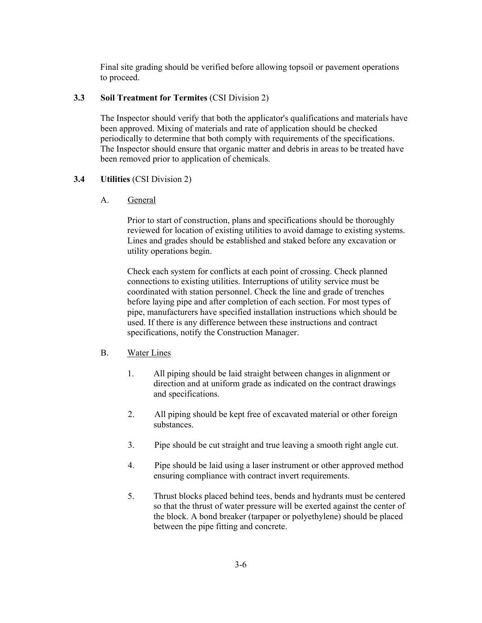Final site grading should be verified before allowing topsoil or pavement operations to proceed.

# **3.3 Soil Treatment for Termites** (CSI Division 2)

The Inspector should verify that both the applicator's qualifications and materials have been approved. Mixing of materials and rate of application should be checked periodically to determine that both comply with requirements of the specifications. The Inspector should ensure that organic matter and debris in areas to be treated have been removed prior to application of chemicals.

# **3.4 Utilities** (CSI Division 2)

A. General

Prior to start of construction, plans and specifications should be thoroughly reviewed for location of existing utilities to avoid damage to existing systems. Lines and grades should be established and staked before any excavation or utility operations begin.

Check each system for conflicts at each point of crossing. Check planned connections to existing utilities. Interruptions of utility service must be coordinated with station personnel. Check the line and grade of trenches before laying pipe and after completion of each section. For most types of pipe, manufacturers have specified installation instructions which should be used. If there is any difference between these instructions and contract specifications, notify the Construction Manager.

# B. Water Lines

- 1. All piping should be laid straight between changes in alignment or direction and at uniform grade as indicated on the contract drawings and specifications.
- 2. All piping should be kept free of excavated material or other foreign substances.
- 3. Pipe should be cut straight and true leaving a smooth right angle cut.
- 4. Pipe should be laid using a laser instrument or other approved method ensuring compliance with contract invert requirements.
- 5. Thrust blocks placed behind tees, bends and hydrants must be centered so that the thrust of water pressure will be exerted against the center of the block. A bond breaker (tarpaper or polyethylene) should be placed between the pipe fitting and concrete.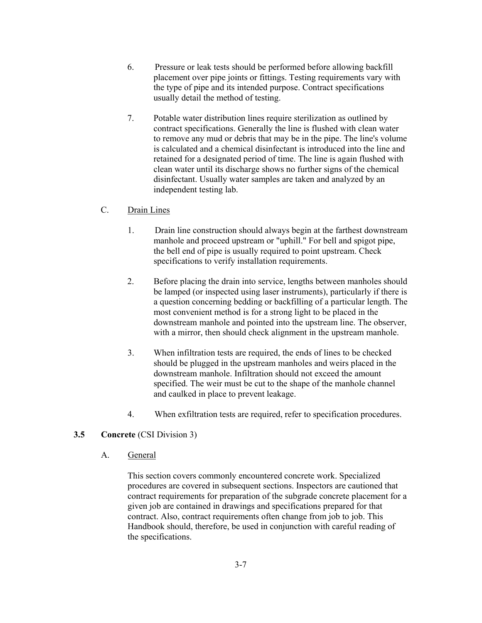- 6. Pressure or leak tests should be performed before allowing backfill placement over pipe joints or fittings. Testing requirements vary with the type of pipe and its intended purpose. Contract specifications usually detail the method of testing.
- 7. Potable water distribution lines require sterilization as outlined by contract specifications. Generally the line is flushed with clean water to remove any mud or debris that may be in the pipe. The line's volume is calculated and a chemical disinfectant is introduced into the line and retained for a designated period of time. The line is again flushed with clean water until its discharge shows no further signs of the chemical disinfectant. Usually water samples are taken and analyzed by an independent testing lab.

## C. Drain Lines

- 1. Drain line construction should always begin at the farthest downstream manhole and proceed upstream or "uphill." For bell and spigot pipe, the bell end of pipe is usually required to point upstream. Check specifications to verify installation requirements.
- 2. Before placing the drain into service, lengths between manholes should be lamped (or inspected using laser instruments), particularly if there is a question concerning bedding or backfilling of a particular length. The most convenient method is for a strong light to be placed in the downstream manhole and pointed into the upstream line. The observer, with a mirror, then should check alignment in the upstream manhole.
- 3. When infiltration tests are required, the ends of lines to be checked should be plugged in the upstream manholes and weirs placed in the downstream manhole. Infiltration should not exceed the amount specified. The weir must be cut to the shape of the manhole channel and caulked in place to prevent leakage.
- 4. When exfiltration tests are required, refer to specification procedures.

## **3.5 Concrete** (CSI Division 3)

A. General

This section covers commonly encountered concrete work. Specialized procedures are covered in subsequent sections. Inspectors are cautioned that contract requirements for preparation of the subgrade concrete placement for a given job are contained in drawings and specifications prepared for that contract. Also, contract requirements often change from job to job. This Handbook should, therefore, be used in conjunction with careful reading of the specifications.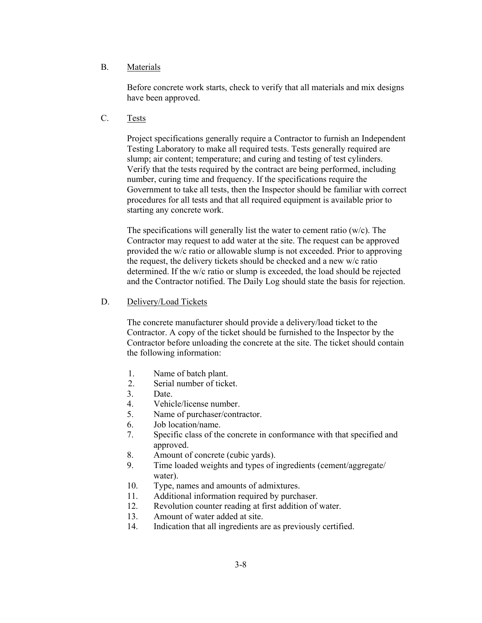## B. Materials

Before concrete work starts, check to verify that all materials and mix designs have been approved.

C. Tests

Project specifications generally require a Contractor to furnish an Independent Testing Laboratory to make all required tests. Tests generally required are slump; air content; temperature; and curing and testing of test cylinders. Verify that the tests required by the contract are being performed, including number, curing time and frequency. If the specifications require the Government to take all tests, then the Inspector should be familiar with correct procedures for all tests and that all required equipment is available prior to starting any concrete work.

The specifications will generally list the water to cement ratio  $(w/c)$ . The Contractor may request to add water at the site. The request can be approved provided the w/c ratio or allowable slump is not exceeded. Prior to approving the request, the delivery tickets should be checked and a new w/c ratio determined. If the w/c ratio or slump is exceeded, the load should be rejected and the Contractor notified. The Daily Log should state the basis for rejection.

## D. Delivery/Load Tickets

The concrete manufacturer should provide a delivery/load ticket to the Contractor. A copy of the ticket should be furnished to the Inspector by the Contractor before unloading the concrete at the site. The ticket should contain the following information:

- 1. Name of batch plant.
- 2. Serial number of ticket.
- 3. Date.
- 4. Vehicle/license number.
- 5. Name of purchaser/contractor.
- 6. Job location/name.
- 7. Specific class of the concrete in conformance with that specified and approved.
- 8. Amount of concrete (cubic yards).
- 9. Time loaded weights and types of ingredients (cement/aggregate/ water).
- 10. Type, names and amounts of admixtures.
- 11. Additional information required by purchaser.
- 12. Revolution counter reading at first addition of water.
- 13. Amount of water added at site.
- 14. Indication that all ingredients are as previously certified.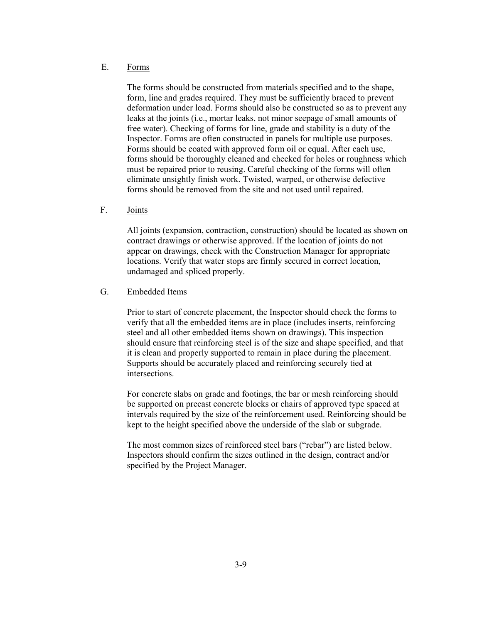#### E. Forms

The forms should be constructed from materials specified and to the shape, form, line and grades required. They must be sufficiently braced to prevent deformation under load. Forms should also be constructed so as to prevent any leaks at the joints (i.e., mortar leaks, not minor seepage of small amounts of free water). Checking of forms for line, grade and stability is a duty of the Inspector. Forms are often constructed in panels for multiple use purposes. Forms should be coated with approved form oil or equal. After each use, forms should be thoroughly cleaned and checked for holes or roughness which must be repaired prior to reusing. Careful checking of the forms will often eliminate unsightly finish work. Twisted, warped, or otherwise defective forms should be removed from the site and not used until repaired.

#### F. Joints

All joints (expansion, contraction, construction) should be located as shown on contract drawings or otherwise approved. If the location of joints do not appear on drawings, check with the Construction Manager for appropriate locations. Verify that water stops are firmly secured in correct location, undamaged and spliced properly.

#### G. Embedded Items

Prior to start of concrete placement, the Inspector should check the forms to verify that all the embedded items are in place (includes inserts, reinforcing steel and all other embedded items shown on drawings). This inspection should ensure that reinforcing steel is of the size and shape specified, and that it is clean and properly supported to remain in place during the placement. Supports should be accurately placed and reinforcing securely tied at intersections.

For concrete slabs on grade and footings, the bar or mesh reinforcing should be supported on precast concrete blocks or chairs of approved type spaced at intervals required by the size of the reinforcement used. Reinforcing should be kept to the height specified above the underside of the slab or subgrade.

The most common sizes of reinforced steel bars ("rebar") are listed below. Inspectors should confirm the sizes outlined in the design, contract and/or specified by the Project Manager.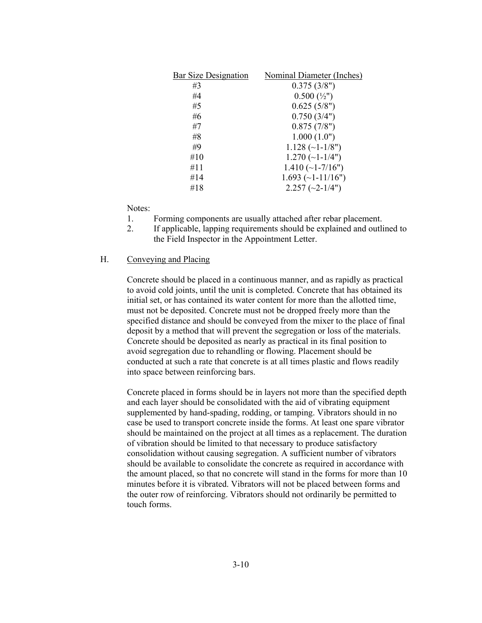| <b>Bar Size Designation</b> | Nominal Diameter (Inches) |
|-----------------------------|---------------------------|
| #3                          | 0.375(3/8")               |
| #4                          | $0.500(^{1/2})$           |
| #5                          | 0.625(5/8")               |
| #6                          | 0.750(3/4")               |
| #7                          | 0.875(7/8")               |
| #8                          | 1.000(1.0")               |
| #9                          | $1.128 (-1-1/8")$         |
| #10                         | $1.270(-1-1/4")$          |
| #11                         | $1.410\;(-1-7/16")$       |
| #14                         | $1.693$ (~1-11/16")       |
| #18                         | $2.257 (-2-1/4")$         |

Notes:

- 1. Forming components are usually attached after rebar placement.
- 2. If applicable, lapping requirements should be explained and outlined to the Field Inspector in the Appointment Letter.

#### H. Conveying and Placing

Concrete should be placed in a continuous manner, and as rapidly as practical to avoid cold joints, until the unit is completed. Concrete that has obtained its initial set, or has contained its water content for more than the allotted time, must not be deposited. Concrete must not be dropped freely more than the specified distance and should be conveyed from the mixer to the place of final deposit by a method that will prevent the segregation or loss of the materials. Concrete should be deposited as nearly as practical in its final position to avoid segregation due to rehandling or flowing. Placement should be conducted at such a rate that concrete is at all times plastic and flows readily into space between reinforcing bars.

Concrete placed in forms should be in layers not more than the specified depth and each layer should be consolidated with the aid of vibrating equipment supplemented by hand-spading, rodding, or tamping. Vibrators should in no case be used to transport concrete inside the forms. At least one spare vibrator should be maintained on the project at all times as a replacement. The duration of vibration should be limited to that necessary to produce satisfactory consolidation without causing segregation. A sufficient number of vibrators should be available to consolidate the concrete as required in accordance with the amount placed, so that no concrete will stand in the forms for more than 10 minutes before it is vibrated. Vibrators will not be placed between forms and the outer row of reinforcing. Vibrators should not ordinarily be permitted to touch forms.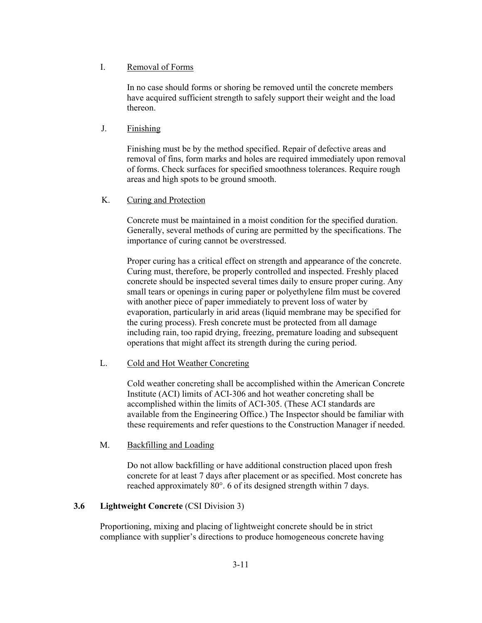### I. Removal of Forms

In no case should forms or shoring be removed until the concrete members have acquired sufficient strength to safely support their weight and the load thereon.

#### J. Finishing

Finishing must be by the method specified. Repair of defective areas and removal of fins, form marks and holes are required immediately upon removal of forms. Check surfaces for specified smoothness tolerances. Require rough areas and high spots to be ground smooth.

## K. Curing and Protection

Concrete must be maintained in a moist condition for the specified duration. Generally, several methods of curing are permitted by the specifications. The importance of curing cannot be overstressed.

Proper curing has a critical effect on strength and appearance of the concrete. Curing must, therefore, be properly controlled and inspected. Freshly placed concrete should be inspected several times daily to ensure proper curing. Any small tears or openings in curing paper or polyethylene film must be covered with another piece of paper immediately to prevent loss of water by evaporation, particularly in arid areas (liquid membrane may be specified for the curing process). Fresh concrete must be protected from all damage including rain, too rapid drying, freezing, premature loading and subsequent operations that might affect its strength during the curing period.

#### L. Cold and Hot Weather Concreting

Cold weather concreting shall be accomplished within the American Concrete Institute (ACI) limits of ACI-306 and hot weather concreting shall be accomplished within the limits of ACI-305. (These ACI standards are available from the Engineering Office.) The Inspector should be familiar with these requirements and refer questions to the Construction Manager if needed.

#### M. Backfilling and Loading

Do not allow backfilling or have additional construction placed upon fresh concrete for at least 7 days after placement or as specified. Most concrete has reached approximately 80°. 6 of its designed strength within 7 days.

## **3.6 Lightweight Concrete** (CSI Division 3)

Proportioning, mixing and placing of lightweight concrete should be in strict compliance with supplier's directions to produce homogeneous concrete having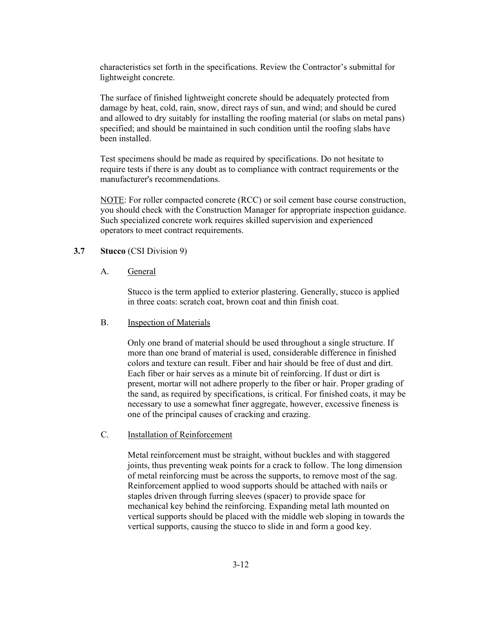characteristics set forth in the specifications. Review the Contractor's submittal for lightweight concrete.

The surface of finished lightweight concrete should be adequately protected from damage by heat, cold, rain, snow, direct rays of sun, and wind; and should be cured and allowed to dry suitably for installing the roofing material (or slabs on metal pans) specified; and should be maintained in such condition until the roofing slabs have been installed.

Test specimens should be made as required by specifications. Do not hesitate to require tests if there is any doubt as to compliance with contract requirements or the manufacturer's recommendations.

NOTE: For roller compacted concrete (RCC) or soil cement base course construction, you should check with the Construction Manager for appropriate inspection guidance. Such specialized concrete work requires skilled supervision and experienced operators to meet contract requirements.

## **3.7 Stucco** (CSI Division 9)

#### A. General

Stucco is the term applied to exterior plastering. Generally, stucco is applied in three coats: scratch coat, brown coat and thin finish coat.

#### B. Inspection of Materials

Only one brand of material should be used throughout a single structure. If more than one brand of material is used, considerable difference in finished colors and texture can result. Fiber and hair should be free of dust and dirt. Each fiber or hair serves as a minute bit of reinforcing. If dust or dirt is present, mortar will not adhere properly to the fiber or hair. Proper grading of the sand, as required by specifications, is critical. For finished coats, it may be necessary to use a somewhat finer aggregate, however, excessive fineness is one of the principal causes of cracking and crazing.

#### C. Installation of Reinforcement

Metal reinforcement must be straight, without buckles and with staggered joints, thus preventing weak points for a crack to follow. The long dimension of metal reinforcing must be across the supports, to remove most of the sag. Reinforcement applied to wood supports should be attached with nails or staples driven through furring sleeves (spacer) to provide space for mechanical key behind the reinforcing. Expanding metal lath mounted on vertical supports should be placed with the middle web sloping in towards the vertical supports, causing the stucco to slide in and form a good key.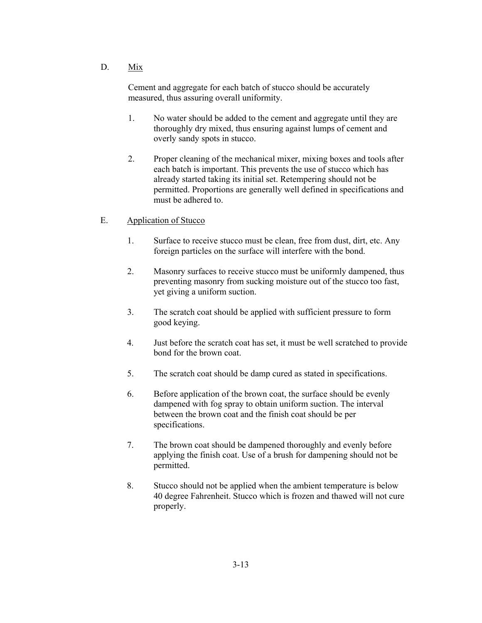D. Mix

Cement and aggregate for each batch of stucco should be accurately measured, thus assuring overall uniformity.

- 1. No water should be added to the cement and aggregate until they are thoroughly dry mixed, thus ensuring against lumps of cement and overly sandy spots in stucco.
- 2. Proper cleaning of the mechanical mixer, mixing boxes and tools after each batch is important. This prevents the use of stucco which has already started taking its initial set. Retempering should not be permitted. Proportions are generally well defined in specifications and must be adhered to.
- E. Application of Stucco
	- 1. Surface to receive stucco must be clean, free from dust, dirt, etc. Any foreign particles on the surface will interfere with the bond.
	- 2. Masonry surfaces to receive stucco must be uniformly dampened, thus preventing masonry from sucking moisture out of the stucco too fast, yet giving a uniform suction.
	- 3. The scratch coat should be applied with sufficient pressure to form good keying.
	- 4. Just before the scratch coat has set, it must be well scratched to provide bond for the brown coat.
	- 5. The scratch coat should be damp cured as stated in specifications.
	- 6. Before application of the brown coat, the surface should be evenly dampened with fog spray to obtain uniform suction. The interval between the brown coat and the finish coat should be per specifications.
	- 7. The brown coat should be dampened thoroughly and evenly before applying the finish coat. Use of a brush for dampening should not be permitted.
	- 8. Stucco should not be applied when the ambient temperature is below 40 degree Fahrenheit. Stucco which is frozen and thawed will not cure properly.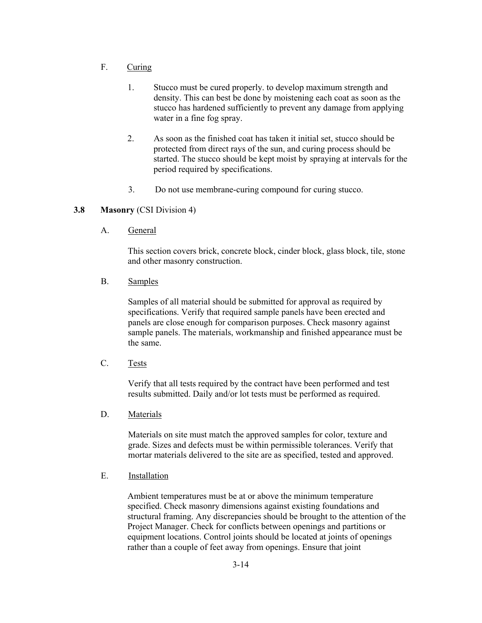- F. Curing
	- 1. Stucco must be cured properly. to develop maximum strength and density. This can best be done by moistening each coat as soon as the stucco has hardened sufficiently to prevent any damage from applying water in a fine fog spray.
	- 2. As soon as the finished coat has taken it initial set, stucco should be protected from direct rays of the sun, and curing process should be started. The stucco should be kept moist by spraying at intervals for the period required by specifications.
	- 3. Do not use membrane-curing compound for curing stucco.

## **3.8 Masonry** (CSI Division 4)

A. General

This section covers brick, concrete block, cinder block, glass block, tile, stone and other masonry construction.

B. Samples

Samples of all material should be submitted for approval as required by specifications. Verify that required sample panels have been erected and panels are close enough for comparison purposes. Check masonry against sample panels. The materials, workmanship and finished appearance must be the same.

C. Tests

Verify that all tests required by the contract have been performed and test results submitted. Daily and/or lot tests must be performed as required.

D. Materials

Materials on site must match the approved samples for color, texture and grade. Sizes and defects must be within permissible tolerances. Verify that mortar materials delivered to the site are as specified, tested and approved.

E. Installation

Ambient temperatures must be at or above the minimum temperature specified. Check masonry dimensions against existing foundations and structural framing. Any discrepancies should be brought to the attention of the Project Manager. Check for conflicts between openings and partitions or equipment locations. Control joints should be located at joints of openings rather than a couple of feet away from openings. Ensure that joint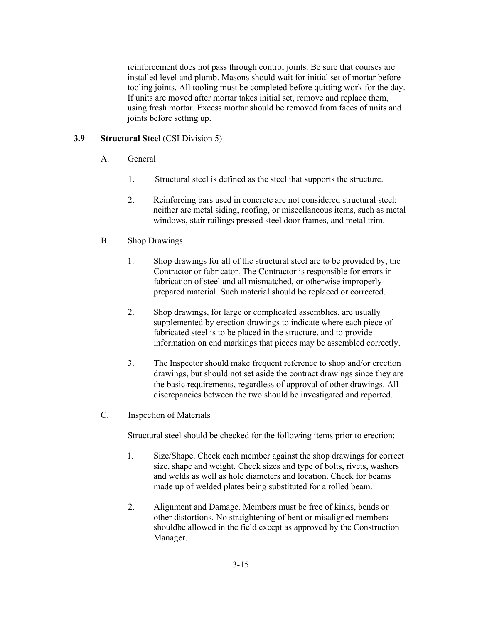reinforcement does not pass through control joints. Be sure that courses are installed level and plumb. Masons should wait for initial set of mortar before tooling joints. All tooling must be completed before quitting work for the day. If units are moved after mortar takes initial set, remove and replace them, using fresh mortar. Excess mortar should be removed from faces of units and joints before setting up.

# **3.9 Structural Steel** (CSI Division 5)

# A. General

- 1. Structural steel is defined as the steel that supports the structure.
- 2. Reinforcing bars used in concrete are not considered structural steel; neither are metal siding, roofing, or miscellaneous items, such as metal windows, stair railings pressed steel door frames, and metal trim.

# B. Shop Drawings

- 1. Shop drawings for all of the structural steel are to be provided by, the Contractor or fabricator. The Contractor is responsible for errors in fabrication of steel and all mismatched, or otherwise improperly prepared material. Such material should be replaced or corrected.
- 2. Shop drawings, for large or complicated assemblies, are usually supplemented by erection drawings to indicate where each piece of fabricated steel is to be placed in the structure, and to provide information on end markings that pieces may be assembled correctly.
- 3. The Inspector should make frequent reference to shop and/or erection drawings, but should not set aside the contract drawings since they are the basic requirements, regardless of approval of other drawings. All discrepancies between the two should be investigated and reported.

# C. Inspection of Materials

Structural steel should be checked for the following items prior to erection:

- 1. Size/Shape. Check each member against the shop drawings for correct size, shape and weight. Check sizes and type of bolts, rivets, washers and welds as well as hole diameters and location. Check for beams made up of welded plates being substituted for a rolled beam.
- 2. Alignment and Damage. Members must be free of kinks, bends or other distortions. No straightening of bent or misaligned members shouldbe allowed in the field except as approved by the Construction Manager.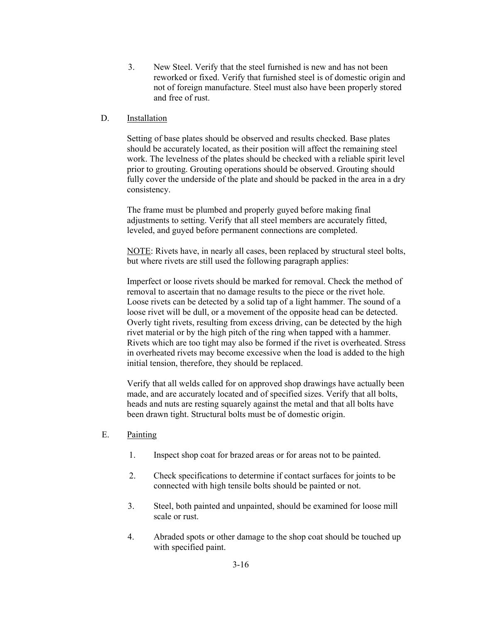3. New Steel. Verify that the steel furnished is new and has not been reworked or fixed. Verify that furnished steel is of domestic origin and not of foreign manufacture. Steel must also have been properly stored and free of rust.

#### D. Installation

Setting of base plates should be observed and results checked. Base plates should be accurately located, as their position will affect the remaining steel work. The levelness of the plates should be checked with a reliable spirit level prior to grouting. Grouting operations should be observed. Grouting should fully cover the underside of the plate and should be packed in the area in a dry consistency.

The frame must be plumbed and properly guyed before making final adjustments to setting. Verify that all steel members are accurately fitted, leveled, and guyed before permanent connections are completed.

NOTE: Rivets have, in nearly all cases, been replaced by structural steel bolts, but where rivets are still used the following paragraph applies:

Imperfect or loose rivets should be marked for removal. Check the method of removal to ascertain that no damage results to the piece or the rivet hole. Loose rivets can be detected by a solid tap of a light hammer. The sound of a loose rivet will be dull, or a movement of the opposite head can be detected. Overly tight rivets, resulting from excess driving, can be detected by the high rivet material or by the high pitch of the ring when tapped with a hammer. Rivets which are too tight may also be formed if the rivet is overheated. Stress in overheated rivets may become excessive when the load is added to the high initial tension, therefore, they should be replaced.

Verify that all welds called for on approved shop drawings have actually been made, and are accurately located and of specified sizes. Verify that all bolts, heads and nuts are resting squarely against the metal and that all bolts have been drawn tight. Structural bolts must be of domestic origin.

- E. Painting
	- 1. Inspect shop coat for brazed areas or for areas not to be painted.
	- 2. Check specifications to determine if contact surfaces for joints to be connected with high tensile bolts should be painted or not.
	- 3. Steel, both painted and unpainted, should be examined for loose mill scale or rust.
	- 4. Abraded spots or other damage to the shop coat should be touched up with specified paint.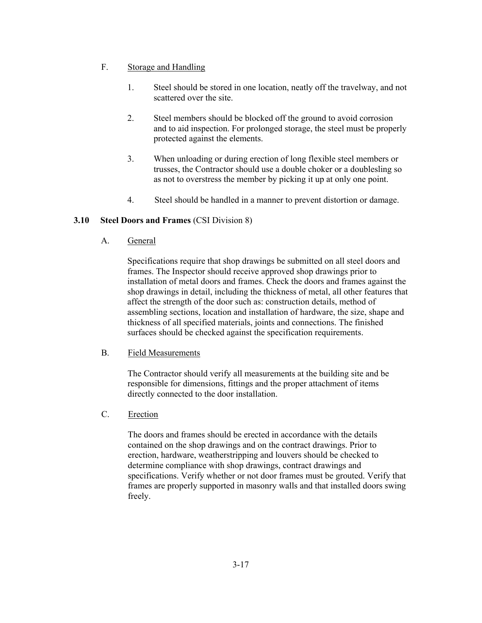# F. Storage and Handling

- 1. Steel should be stored in one location, neatly off the travelway, and not scattered over the site.
- 2. Steel members should be blocked off the ground to avoid corrosion and to aid inspection. For prolonged storage, the steel must be properly protected against the elements.
- 3. When unloading or during erection of long flexible steel members or trusses, the Contractor should use a double choker or a doublesling so as not to overstress the member by picking it up at only one point.
- 4. Steel should be handled in a manner to prevent distortion or damage.

# **3.10 Steel Doors and Frames** (CSI Division 8)

A. General

Specifications require that shop drawings be submitted on all steel doors and frames. The Inspector should receive approved shop drawings prior to installation of metal doors and frames. Check the doors and frames against the shop drawings in detail, including the thickness of metal, all other features that affect the strength of the door such as: construction details, method of assembling sections, location and installation of hardware, the size, shape and thickness of all specified materials, joints and connections. The finished surfaces should be checked against the specification requirements.

## B. Field Measurements

The Contractor should verify all measurements at the building site and be responsible for dimensions, fittings and the proper attachment of items directly connected to the door installation.

# C. Erection

The doors and frames should be erected in accordance with the details contained on the shop drawings and on the contract drawings. Prior to erection, hardware, weatherstripping and louvers should be checked to determine compliance with shop drawings, contract drawings and specifications. Verify whether or not door frames must be grouted. Verify that frames are properly supported in masonry walls and that installed doors swing freely.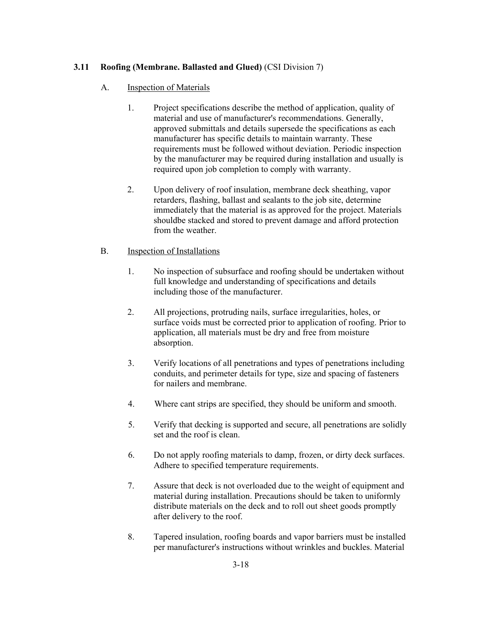# **3.11 Roofing (Membrane. Ballasted and Glued)** (CSI Division 7)

# A. Inspection of Materials

- 1. Project specifications describe the method of application, quality of material and use of manufacturer's recommendations. Generally, approved submittals and details supersede the specifications as each manufacturer has specific details to maintain warranty. These requirements must be followed without deviation. Periodic inspection by the manufacturer may be required during installation and usually is required upon job completion to comply with warranty.
- 2. Upon delivery of roof insulation, membrane deck sheathing, vapor retarders, flashing, ballast and sealants to the job site, determine immediately that the material is as approved for the project. Materials shouldbe stacked and stored to prevent damage and afford protection from the weather.

## B. Inspection of Installations

- 1. No inspection of subsurface and roofing should be undertaken without full knowledge and understanding of specifications and details including those of the manufacturer.
- 2. All projections, protruding nails, surface irregularities, holes, or surface voids must be corrected prior to application of roofing. Prior to application, all materials must be dry and free from moisture absorption.
- 3. Verify locations of all penetrations and types of penetrations including conduits, and perimeter details for type, size and spacing of fasteners for nailers and membrane.
- 4. Where cant strips are specified, they should be uniform and smooth.
- 5. Verify that decking is supported and secure, all penetrations are solidly set and the roof is clean.
- 6. Do not apply roofing materials to damp, frozen, or dirty deck surfaces. Adhere to specified temperature requirements.
- 7. Assure that deck is not overloaded due to the weight of equipment and material during installation. Precautions should be taken to uniformly distribute materials on the deck and to roll out sheet goods promptly after delivery to the roof.
- 8. Tapered insulation, roofing boards and vapor barriers must be installed per manufacturer's instructions without wrinkles and buckles. Material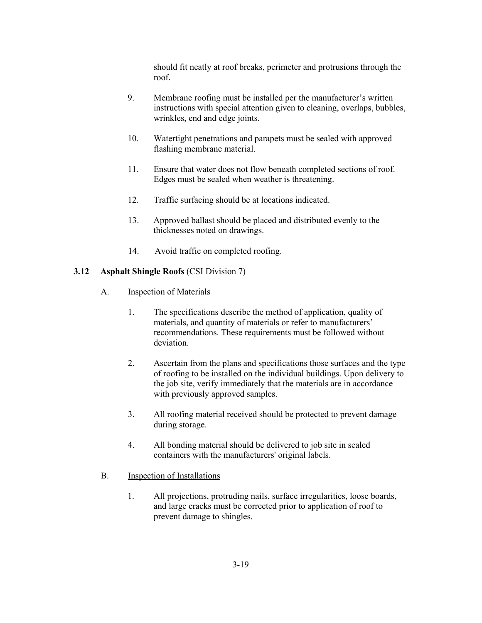should fit neatly at roof breaks, perimeter and protrusions through the roof.

- 9. Membrane roofing must be installed per the manufacturer's written instructions with special attention given to cleaning, overlaps, bubbles, wrinkles, end and edge joints.
- 10. Watertight penetrations and parapets must be sealed with approved flashing membrane material.
- 11. Ensure that water does not flow beneath completed sections of roof. Edges must be sealed when weather is threatening.
- 12. Traffic surfacing should be at locations indicated.
- 13. Approved ballast should be placed and distributed evenly to the thicknesses noted on drawings.
- 14. Avoid traffic on completed roofing.

### **3.12 Asphalt Shingle Roofs** (CSI Division 7)

- A. Inspection of Materials
	- 1. The specifications describe the method of application, quality of materials, and quantity of materials or refer to manufacturers' recommendations. These requirements must be followed without deviation.
	- 2. Ascertain from the plans and specifications those surfaces and the type of roofing to be installed on the individual buildings. Upon delivery to the job site, verify immediately that the materials are in accordance with previously approved samples.
	- 3. All roofing material received should be protected to prevent damage during storage.
	- 4. All bonding material should be delivered to job site in sealed containers with the manufacturers' original labels.
- B. Inspection of Installations
	- 1. All projections, protruding nails, surface irregularities, loose boards, and large cracks must be corrected prior to application of roof to prevent damage to shingles.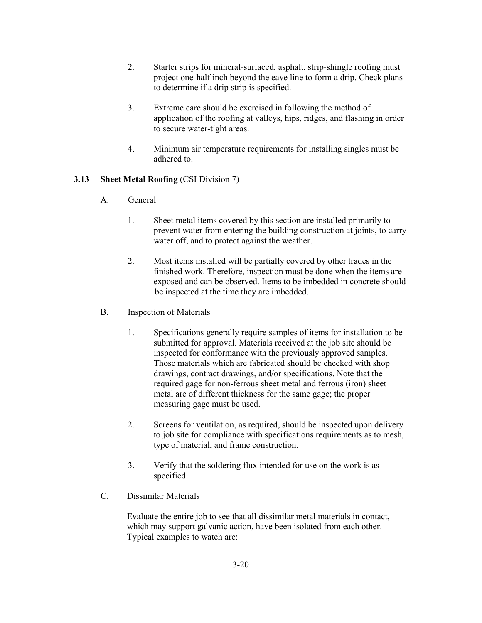- 2. Starter strips for mineral-surfaced, asphalt, strip-shingle roofing must project one-half inch beyond the eave line to form a drip. Check plans to determine if a drip strip is specified.
- 3. Extreme care should be exercised in following the method of application of the roofing at valleys, hips, ridges, and flashing in order to secure water-tight areas.
- 4. Minimum air temperature requirements for installing singles must be adhered to.

### **3.13 Sheet Metal Roofing** (CSI Division 7)

- A. General
	- 1. Sheet metal items covered by this section are installed primarily to prevent water from entering the building construction at joints, to carry water off, and to protect against the weather.
	- 2. Most items installed will be partially covered by other trades in the finished work. Therefore, inspection must be done when the items are exposed and can be observed. Items to be imbedded in concrete should be inspected at the time they are imbedded.

#### B. Inspection of Materials

- 1. Specifications generally require samples of items for installation to be submitted for approval. Materials received at the job site should be inspected for conformance with the previously approved samples. Those materials which are fabricated should be checked with shop drawings, contract drawings, and/or specifications. Note that the required gage for non-ferrous sheet metal and ferrous (iron) sheet metal are of different thickness for the same gage; the proper measuring gage must be used.
- 2. Screens for ventilation, as required, should be inspected upon delivery to job site for compliance with specifications requirements as to mesh, type of material, and frame construction.
- 3. Verify that the soldering flux intended for use on the work is as specified.
- C. Dissimilar Materials

Evaluate the entire job to see that all dissimilar metal materials in contact, which may support galvanic action, have been isolated from each other. Typical examples to watch are: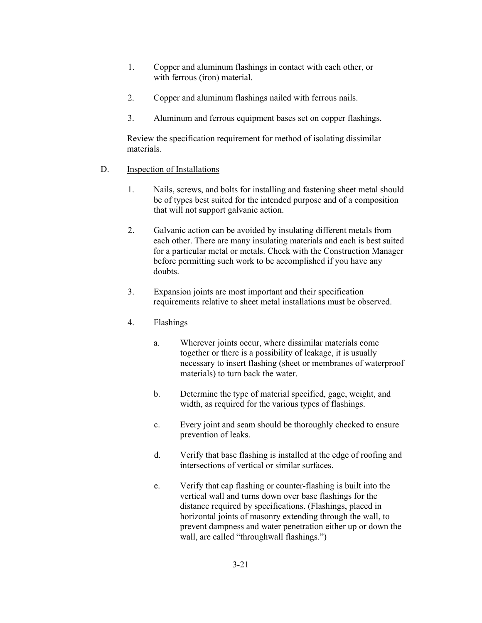- 1. Copper and aluminum flashings in contact with each other, or with ferrous (iron) material.
- 2. Copper and aluminum flashings nailed with ferrous nails.
- 3. Aluminum and ferrous equipment bases set on copper flashings.

Review the specification requirement for method of isolating dissimilar materials.

- D. **Inspection of Installations** 
	- 1. Nails, screws, and bolts for installing and fastening sheet metal should be of types best suited for the intended purpose and of a composition that will not support galvanic action.
	- 2. Galvanic action can be avoided by insulating different metals from each other. There are many insulating materials and each is best suited for a particular metal or metals. Check with the Construction Manager before permitting such work to be accomplished if you have any doubts.
	- 3. Expansion joints are most important and their specification requirements relative to sheet metal installations must be observed.
	- 4. Flashings
		- a. Wherever joints occur, where dissimilar materials come together or there is a possibility of leakage, it is usually necessary to insert flashing (sheet or membranes of waterproof materials) to turn back the water.
		- b. Determine the type of material specified, gage, weight, and width, as required for the various types of flashings.
		- c. Every joint and seam should be thoroughly checked to ensure prevention of leaks.
		- d. Verify that base flashing is installed at the edge of roofing and intersections of vertical or similar surfaces.
		- e. Verify that cap flashing or counter-flashing is built into the vertical wall and turns down over base flashings for the distance required by specifications. (Flashings, placed in horizontal joints of masonry extending through the wall, to prevent dampness and water penetration either up or down the wall, are called "throughwall flashings.")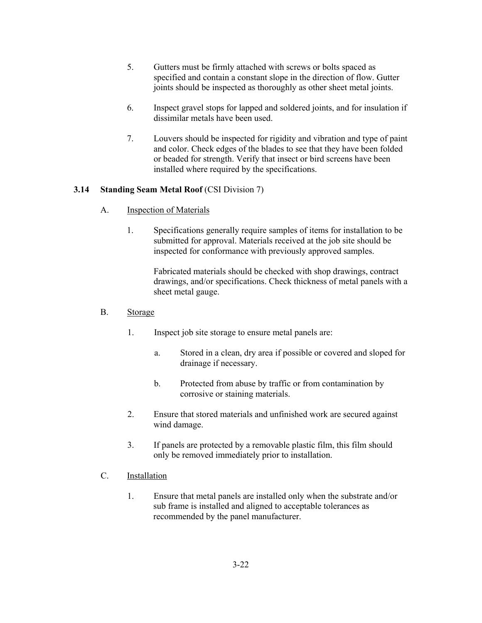- 5. Gutters must be firmly attached with screws or bolts spaced as specified and contain a constant slope in the direction of flow. Gutter joints should be inspected as thoroughly as other sheet metal joints.
- 6. Inspect gravel stops for lapped and soldered joints, and for insulation if dissimilar metals have been used.
- 7. Louvers should be inspected for rigidity and vibration and type of paint and color. Check edges of the blades to see that they have been folded or beaded for strength. Verify that insect or bird screens have been installed where required by the specifications.

## **3.14 Standing Seam Metal Roof** (CSI Division 7)

- A. Inspection of Materials
	- 1. Specifications generally require samples of items for installation to be submitted for approval. Materials received at the job site should be inspected for conformance with previously approved samples.

Fabricated materials should be checked with shop drawings, contract drawings, and/or specifications. Check thickness of metal panels with a sheet metal gauge.

### B. Storage

- 1. Inspect job site storage to ensure metal panels are:
	- a. Stored in a clean, dry area if possible or covered and sloped for drainage if necessary.
	- b. Protected from abuse by traffic or from contamination by corrosive or staining materials.
- 2. Ensure that stored materials and unfinished work are secured against wind damage.
- 3. If panels are protected by a removable plastic film, this film should only be removed immediately prior to installation.
- C. Installation
	- 1. Ensure that metal panels are installed only when the substrate and/or sub frame is installed and aligned to acceptable tolerances as recommended by the panel manufacturer.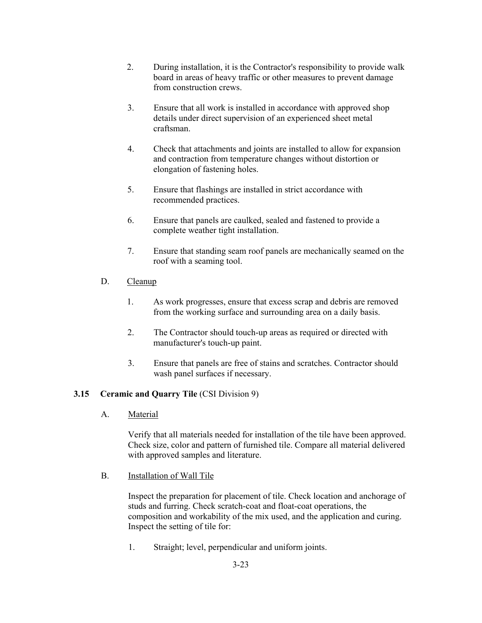- 2. During installation, it is the Contractor's responsibility to provide walk board in areas of heavy traffic or other measures to prevent damage from construction crews.
- 3. Ensure that all work is installed in accordance with approved shop details under direct supervision of an experienced sheet metal craftsman.
- 4. Check that attachments and joints are installed to allow for expansion and contraction from temperature changes without distortion or elongation of fastening holes.
- 5. Ensure that flashings are installed in strict accordance with recommended practices.
- 6. Ensure that panels are caulked, sealed and fastened to provide a complete weather tight installation.
- 7. Ensure that standing seam roof panels are mechanically seamed on the roof with a seaming tool.
- D. Cleanup
	- 1. As work progresses, ensure that excess scrap and debris are removed from the working surface and surrounding area on a daily basis.
	- 2. The Contractor should touch-up areas as required or directed with manufacturer's touch-up paint.
	- 3. Ensure that panels are free of stains and scratches. Contractor should wash panel surfaces if necessary.

# **3.15 Ceramic and Quarry Tile** (CSI Division 9)

A. Material

Verify that all materials needed for installation of the tile have been approved. Check size, color and pattern of furnished tile. Compare all material delivered with approved samples and literature.

B. Installation of Wall Tile

Inspect the preparation for placement of tile. Check location and anchorage of studs and furring. Check scratch-coat and float-coat operations, the composition and workability of the mix used, and the application and curing. Inspect the setting of tile for:

1. Straight; level, perpendicular and uniform joints.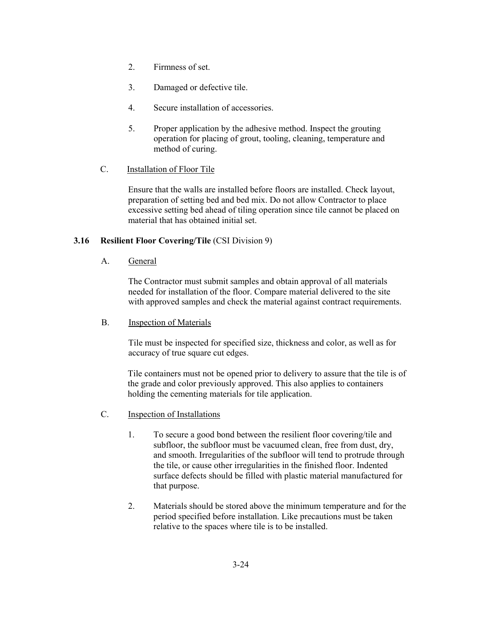- 2. Firmness of set.
- 3. Damaged or defective tile.
- 4. Secure installation of accessories.
- 5. Proper application by the adhesive method. Inspect the grouting operation for placing of grout, tooling, cleaning, temperature and method of curing.

### C. Installation of Floor Tile

Ensure that the walls are installed before floors are installed. Check layout, preparation of setting bed and bed mix. Do not allow Contractor to place excessive setting bed ahead of tiling operation since tile cannot be placed on material that has obtained initial set.

### **3.16 Resilient Floor Covering/Tile** (CSI Division 9)

### A. General

The Contractor must submit samples and obtain approval of all materials needed for installation of the floor. Compare material delivered to the site with approved samples and check the material against contract requirements.

#### B. Inspection of Materials

Tile must be inspected for specified size, thickness and color, as well as for accuracy of true square cut edges.

Tile containers must not be opened prior to delivery to assure that the tile is of the grade and color previously approved. This also applies to containers holding the cementing materials for tile application.

- C. Inspection of Installations
	- 1. To secure a good bond between the resilient floor covering/tile and subfloor, the subfloor must be vacuumed clean, free from dust, dry, and smooth. Irregularities of the subfloor will tend to protrude through the tile, or cause other irregularities in the finished floor. Indented surface defects should be filled with plastic material manufactured for that purpose.
	- 2. Materials should be stored above the minimum temperature and for the period specified before installation. Like precautions must be taken relative to the spaces where tile is to be installed.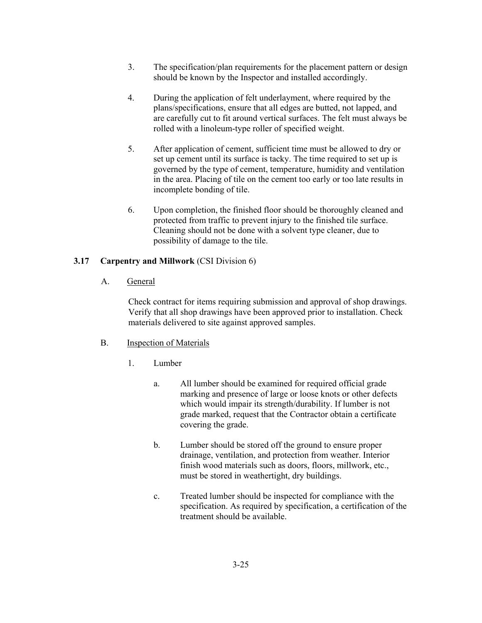- 3. The specification/plan requirements for the placement pattern or design should be known by the Inspector and installed accordingly.
- 4. During the application of felt underlayment, where required by the plans/specifications, ensure that all edges are butted, not lapped, and are carefully cut to fit around vertical surfaces. The felt must always be rolled with a linoleum-type roller of specified weight.
- 5. After application of cement, sufficient time must be allowed to dry or set up cement until its surface is tacky. The time required to set up is governed by the type of cement, temperature, humidity and ventilation in the area. Placing of tile on the cement too early or too late results in incomplete bonding of tile.
- 6. Upon completion, the finished floor should be thoroughly cleaned and protected from traffic to prevent injury to the finished tile surface. Cleaning should not be done with a solvent type cleaner, due to possibility of damage to the tile.

# **3.17 Carpentry and Millwork** (CSI Division 6)

A. General

Check contract for items requiring submission and approval of shop drawings. Verify that all shop drawings have been approved prior to installation. Check materials delivered to site against approved samples.

- B. Inspection of Materials
	- 1. Lumber
		- a. All lumber should be examined for required official grade marking and presence of large or loose knots or other defects which would impair its strength/durability. If lumber is not grade marked, request that the Contractor obtain a certificate covering the grade.
		- b. Lumber should be stored off the ground to ensure proper drainage, ventilation, and protection from weather. Interior finish wood materials such as doors, floors, millwork, etc., must be stored in weathertight, dry buildings.
		- c. Treated lumber should be inspected for compliance with the specification. As required by specification, a certification of the treatment should be available.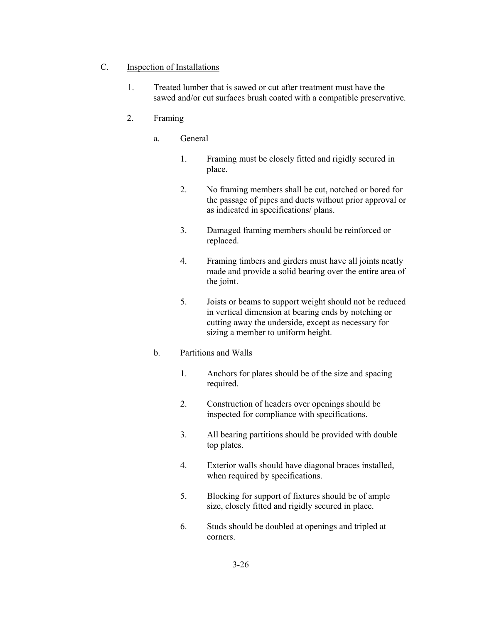### C. Inspection of Installations

- 1. Treated lumber that is sawed or cut after treatment must have the sawed and/or cut surfaces brush coated with a compatible preservative.
- 2. Framing
	- a. General
		- 1. Framing must be closely fitted and rigidly secured in place.
		- 2. No framing members shall be cut, notched or bored for the passage of pipes and ducts without prior approval or as indicated in specifications/ plans.
		- 3. Damaged framing members should be reinforced or replaced.
		- 4. Framing timbers and girders must have all joints neatly made and provide a solid bearing over the entire area of the joint.
		- 5. Joists or beams to support weight should not be reduced in vertical dimension at bearing ends by notching or cutting away the underside, except as necessary for sizing a member to uniform height.

#### b. Partitions and Walls

- 1. Anchors for plates should be of the size and spacing required.
- 2. Construction of headers over openings should be inspected for compliance with specifications.
- 3. All bearing partitions should be provided with double top plates.
- 4. Exterior walls should have diagonal braces installed, when required by specifications.
- 5. Blocking for support of fixtures should be of ample size, closely fitted and rigidly secured in place.
- 6. Studs should be doubled at openings and tripled at corners.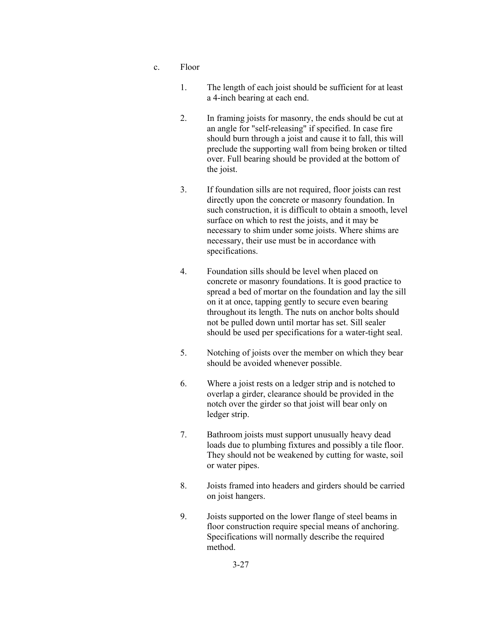- c. Floor
	- 1. The length of each joist should be sufficient for at least a 4-inch bearing at each end.
	- 2. In framing joists for masonry, the ends should be cut at an angle for "self-releasing" if specified. In case fire should burn through a joist and cause it to fall, this will preclude the supporting wall from being broken or tilted over. Full bearing should be provided at the bottom of the joist.
	- 3. If foundation sills are not required, floor joists can rest directly upon the concrete or masonry foundation. In such construction, it is difficult to obtain a smooth, level surface on which to rest the joists, and it may be necessary to shim under some joists. Where shims are necessary, their use must be in accordance with specifications.
	- 4. Foundation sills should be level when placed on concrete or masonry foundations. It is good practice to spread a bed of mortar on the foundation and lay the sill on it at once, tapping gently to secure even bearing throughout its length. The nuts on anchor bolts should not be pulled down until mortar has set. Sill sealer should be used per specifications for a water-tight seal.
	- 5. Notching of joists over the member on which they bear should be avoided whenever possible.
	- 6. Where a joist rests on a ledger strip and is notched to overlap a girder, clearance should be provided in the notch over the girder so that joist will bear only on ledger strip.
	- 7. Bathroom joists must support unusually heavy dead loads due to plumbing fixtures and possibly a tile floor. They should not be weakened by cutting for waste, soil or water pipes.
	- 8. Joists framed into headers and girders should be carried on joist hangers.
	- 9. Joists supported on the lower flange of steel beams in floor construction require special means of anchoring. Specifications will normally describe the required method.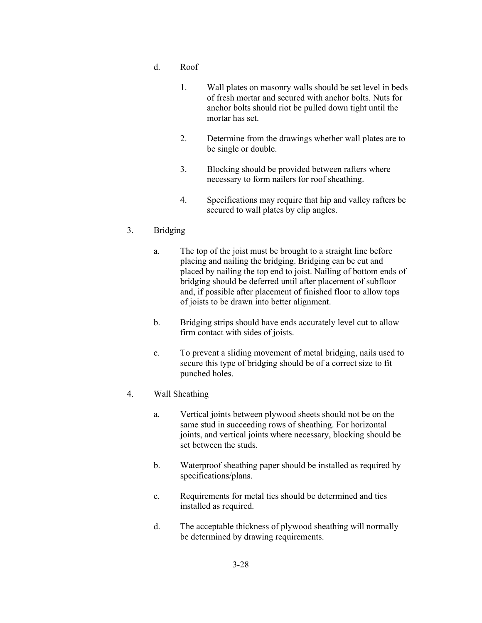- d. Roof
	- 1. Wall plates on masonry walls should be set level in beds of fresh mortar and secured with anchor bolts. Nuts for anchor bolts should riot be pulled down tight until the mortar has set.
	- 2. Determine from the drawings whether wall plates are to be single or double.
	- 3. Blocking should be provided between rafters where necessary to form nailers for roof sheathing.
	- 4. Specifications may require that hip and valley rafters be secured to wall plates by clip angles.

# 3. Bridging

- a. The top of the joist must be brought to a straight line before placing and nailing the bridging. Bridging can be cut and placed by nailing the top end to joist. Nailing of bottom ends of bridging should be deferred until after placement of subfloor and, if possible after placement of finished floor to allow tops of joists to be drawn into better alignment.
- b. Bridging strips should have ends accurately level cut to allow firm contact with sides of joists.
- c. To prevent a sliding movement of metal bridging, nails used to secure this type of bridging should be of a correct size to fit punched holes.

## 4. Wall Sheathing

- a. Vertical joints between plywood sheets should not be on the same stud in succeeding rows of sheathing. For horizontal joints, and vertical joints where necessary, blocking should be set between the studs.
- b. Waterproof sheathing paper should be installed as required by specifications/plans.
- c. Requirements for metal ties should be determined and ties installed as required.
- d. The acceptable thickness of plywood sheathing will normally be determined by drawing requirements.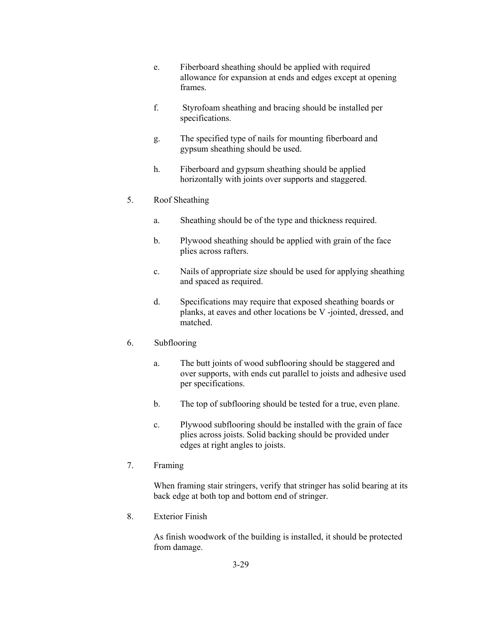- e. Fiberboard sheathing should be applied with required allowance for expansion at ends and edges except at opening frames.
- f. Styrofoam sheathing and bracing should be installed per specifications.
- g. The specified type of nails for mounting fiberboard and gypsum sheathing should be used.
- h. Fiberboard and gypsum sheathing should be applied horizontally with joints over supports and staggered.

### 5. Roof Sheathing

- a. Sheathing should be of the type and thickness required.
- b. Plywood sheathing should be applied with grain of the face plies across rafters.
- c. Nails of appropriate size should be used for applying sheathing and spaced as required.
- d. Specifications may require that exposed sheathing boards or planks, at eaves and other locations be V -jointed, dressed, and matched.

## 6. Subflooring

- a. The butt joints of wood subflooring should be staggered and over supports, with ends cut parallel to joists and adhesive used per specifications.
- b. The top of subflooring should be tested for a true, even plane.
- c. Plywood subflooring should be installed with the grain of face plies across joists. Solid backing should be provided under edges at right angles to joists.
- 7. Framing

When framing stair stringers, verify that stringer has solid bearing at its back edge at both top and bottom end of stringer.

8. Exterior Finish

As finish woodwork of the building is installed, it should be protected from damage.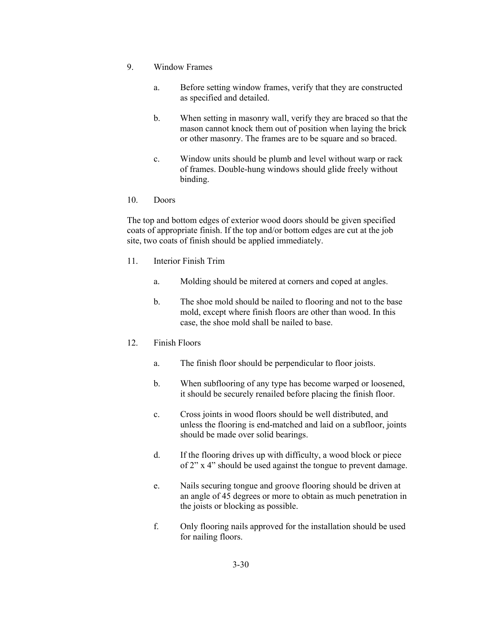- 9. Window Frames
	- a. Before setting window frames, verify that they are constructed as specified and detailed.
	- b. When setting in masonry wall, verify they are braced so that the mason cannot knock them out of position when laying the brick or other masonry. The frames are to be square and so braced.
	- c. Window units should be plumb and level without warp or rack of frames. Double-hung windows should glide freely without binding.
- 10. Doors

The top and bottom edges of exterior wood doors should be given specified coats of appropriate finish. If the top and/or bottom edges are cut at the job site, two coats of finish should be applied immediately.

- 11. Interior Finish Trim
	- a. Molding should be mitered at corners and coped at angles.
	- b. The shoe mold should be nailed to flooring and not to the base mold, except where finish floors are other than wood. In this case, the shoe mold shall be nailed to base.
- 12. Finish Floors
	- a. The finish floor should be perpendicular to floor joists.
	- b. When subflooring of any type has become warped or loosened, it should be securely renailed before placing the finish floor.
	- c. Cross joints in wood floors should be well distributed, and unless the flooring is end-matched and laid on a subfloor, joints should be made over solid bearings.
	- d. If the flooring drives up with difficulty, a wood block or piece of 2" x 4" should be used against the tongue to prevent damage.
	- e. Nails securing tongue and groove flooring should be driven at an angle of 45 degrees or more to obtain as much penetration in the joists or blocking as possible.
	- f. Only flooring nails approved for the installation should be used for nailing floors.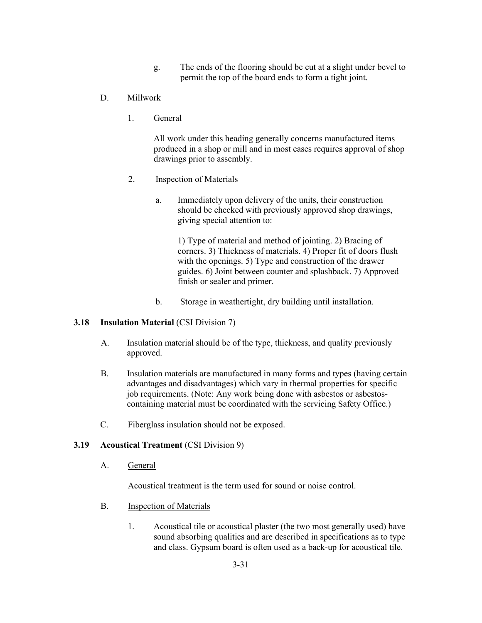g. The ends of the flooring should be cut at a slight under bevel to permit the top of the board ends to form a tight joint.

### D. Millwork

1. General

All work under this heading generally concerns manufactured items produced in a shop or mill and in most cases requires approval of shop drawings prior to assembly.

- 2. Inspection of Materials
	- a. Immediately upon delivery of the units, their construction should be checked with previously approved shop drawings, giving special attention to:

1) Type of material and method of jointing. 2) Bracing of corners. 3) Thickness of materials. 4) Proper fit of doors flush with the openings. 5) Type and construction of the drawer guides. 6) Joint between counter and splashback. 7) Approved finish or sealer and primer.

b. Storage in weathertight, dry building until installation.

#### **3.18 Insulation Material** (CSI Division 7)

- A. Insulation material should be of the type, thickness, and quality previously approved.
- B. Insulation materials are manufactured in many forms and types (having certain advantages and disadvantages) which vary in thermal properties for specific job requirements. (Note: Any work being done with asbestos or asbestoscontaining material must be coordinated with the servicing Safety Office.)
- C. Fiberglass insulation should not be exposed.

#### **3.19 Acoustical Treatment** (CSI Division 9)

A. General

Acoustical treatment is the term used for sound or noise control.

- B. Inspection of Materials
	- 1. Acoustical tile or acoustical plaster (the two most generally used) have sound absorbing qualities and are described in specifications as to type and class. Gypsum board is often used as a back-up for acoustical tile.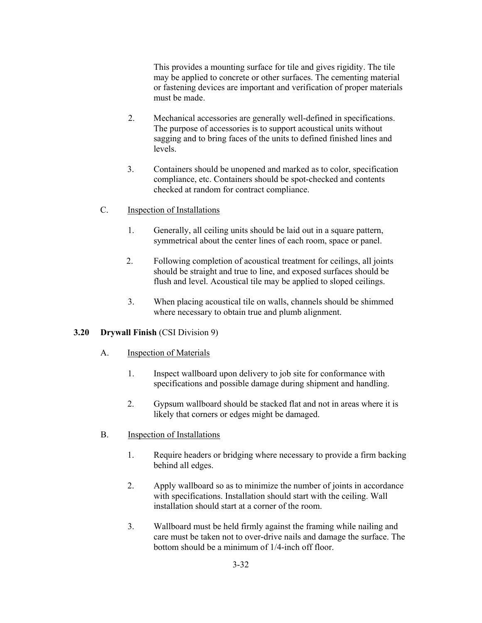This provides a mounting surface for tile and gives rigidity. The tile may be applied to concrete or other surfaces. The cementing material or fastening devices are important and verification of proper materials must be made.

- 2. Mechanical accessories are generally well-defined in specifications. The purpose of accessories is to support acoustical units without sagging and to bring faces of the units to defined finished lines and levels.
- 3. Containers should be unopened and marked as to color, specification compliance, etc. Containers should be spot-checked and contents checked at random for contract compliance.
- C. Inspection of Installations
	- 1. Generally, all ceiling units should be laid out in a square pattern, symmetrical about the center lines of each room, space or panel.
	- 2. Following completion of acoustical treatment for ceilings, all joints should be straight and true to line, and exposed surfaces should be flush and level. Acoustical tile may be applied to sloped ceilings.
	- 3. When placing acoustical tile on walls, channels should be shimmed where necessary to obtain true and plumb alignment.

#### **3.20 Drywall Finish** (CSI Division 9)

#### A. Inspection of Materials

- 1. Inspect wallboard upon delivery to job site for conformance with specifications and possible damage during shipment and handling.
- 2. Gypsum wallboard should be stacked flat and not in areas where it is likely that corners or edges might be damaged.
- B. Inspection of Installations
	- 1. Require headers or bridging where necessary to provide a firm backing behind all edges.
	- 2. Apply wallboard so as to minimize the number of joints in accordance with specifications. Installation should start with the ceiling. Wall installation should start at a corner of the room.
	- 3. Wallboard must be held firmly against the framing while nailing and care must be taken not to over-drive nails and damage the surface. The bottom should be a minimum of 1/4-inch off floor.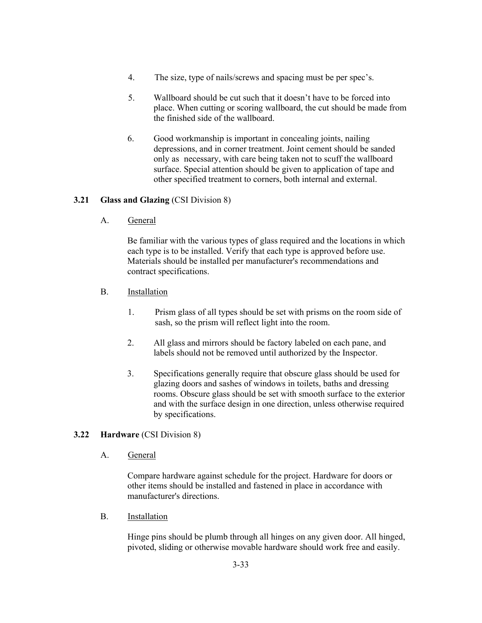- 4. The size, type of nails/screws and spacing must be per spec's.
- 5. Wallboard should be cut such that it doesn't have to be forced into place. When cutting or scoring wallboard, the cut should be made from the finished side of the wallboard.
- 6. Good workmanship is important in concealing joints, nailing depressions, and in corner treatment. Joint cement should be sanded only as necessary, with care being taken not to scuff the wallboard surface. Special attention should be given to application of tape and other specified treatment to corners, both internal and external.

### **3.21 Glass and Glazing** (CSI Division 8)

A. General

Be familiar with the various types of glass required and the locations in which each type is to be installed. Verify that each type is approved before use. Materials should be installed per manufacturer's recommendations and contract specifications.

- B. Installation
	- 1. Prism glass of all types should be set with prisms on the room side of sash, so the prism will reflect light into the room.
	- 2. All glass and mirrors should be factory labeled on each pane, and labels should not be removed until authorized by the Inspector.
	- 3. Specifications generally require that obscure glass should be used for glazing doors and sashes of windows in toilets, baths and dressing rooms. Obscure glass should be set with smooth surface to the exterior and with the surface design in one direction, unless otherwise required by specifications.

#### **3.22 Hardware** (CSI Division 8)

A. General

Compare hardware against schedule for the project. Hardware for doors or other items should be installed and fastened in place in accordance with manufacturer's directions.

B. Installation

Hinge pins should be plumb through all hinges on any given door. All hinged, pivoted, sliding or otherwise movable hardware should work free and easily.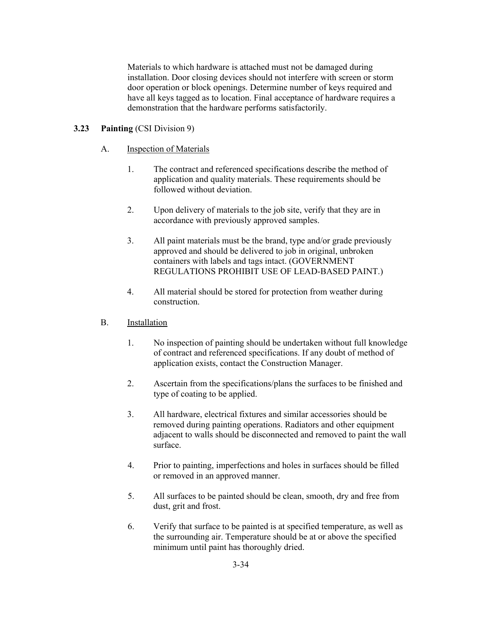Materials to which hardware is attached must not be damaged during installation. Door closing devices should not interfere with screen or storm door operation or block openings. Determine number of keys required and have all keys tagged as to location. Final acceptance of hardware requires a demonstration that the hardware performs satisfactorily.

### **3.23 Painting** (CSI Division 9)

#### A. Inspection of Materials

- 1. The contract and referenced specifications describe the method of application and quality materials. These requirements should be followed without deviation.
- 2. Upon delivery of materials to the job site, verify that they are in accordance with previously approved samples.
- 3. All paint materials must be the brand, type and/or grade previously approved and should be delivered to job in original, unbroken containers with labels and tags intact. (GOVERNMENT REGULATIONS PROHIBIT USE OF LEAD-BASED PAINT.)
- 4. All material should be stored for protection from weather during construction.

#### B. Installation

- 1. No inspection of painting should be undertaken without full knowledge of contract and referenced specifications. If any doubt of method of application exists, contact the Construction Manager.
- 2. Ascertain from the specifications/plans the surfaces to be finished and type of coating to be applied.
- 3. All hardware, electrical fixtures and similar accessories should be removed during painting operations. Radiators and other equipment adjacent to walls should be disconnected and removed to paint the wall surface.
- 4. Prior to painting, imperfections and holes in surfaces should be filled or removed in an approved manner.
- 5. All surfaces to be painted should be clean, smooth, dry and free from dust, grit and frost.
- 6. Verify that surface to be painted is at specified temperature, as well as the surrounding air. Temperature should be at or above the specified minimum until paint has thoroughly dried.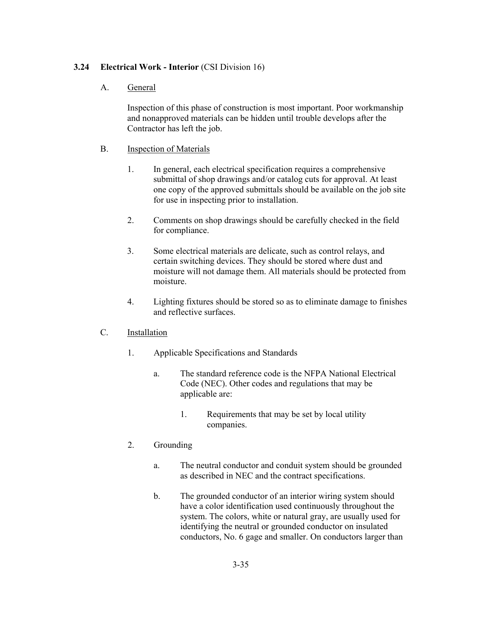# **3.24 Electrical Work - Interior** (CSI Division 16)

# A. General

Inspection of this phase of construction is most important. Poor workmanship and nonapproved materials can be hidden until trouble develops after the Contractor has left the job.

## B. Inspection of Materials

- 1. In general, each electrical specification requires a comprehensive submittal of shop drawings and/or catalog cuts for approval. At least one copy of the approved submittals should be available on the job site for use in inspecting prior to installation.
- 2. Comments on shop drawings should be carefully checked in the field for compliance.
- 3. Some electrical materials are delicate, such as control relays, and certain switching devices. They should be stored where dust and moisture will not damage them. All materials should be protected from moisture.
- 4. Lighting fixtures should be stored so as to eliminate damage to finishes and reflective surfaces.

## C. Installation

- 1. Applicable Specifications and Standards
	- a. The standard reference code is the NFPA National Electrical Code (NEC). Other codes and regulations that may be applicable are:
		- 1. Requirements that may be set by local utility companies.

# 2. Grounding

- a. The neutral conductor and conduit system should be grounded as described in NEC and the contract specifications.
- b. The grounded conductor of an interior wiring system should have a color identification used continuously throughout the system. The colors, white or natural gray, are usually used for identifying the neutral or grounded conductor on insulated conductors, No. 6 gage and smaller. On conductors larger than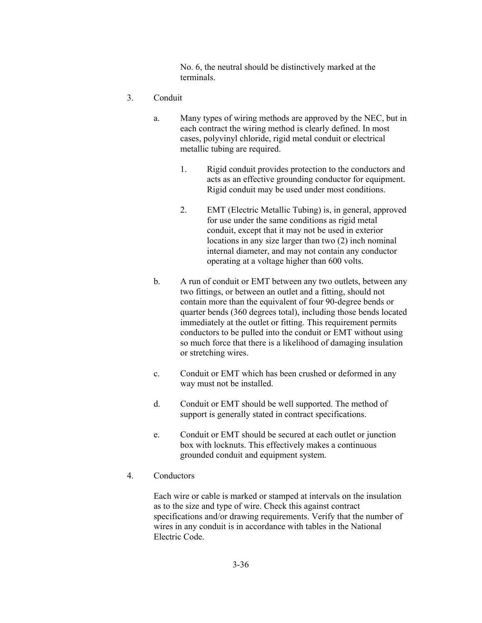No. 6, the neutral should be distinctively marked at the terminals.

- 3. Conduit
	- a. Many types of wiring methods are approved by the NEC, but in each contract the wiring method is clearly defined. In most cases, polyvinyl chloride, rigid metal conduit or electrical metallic tubing are required.
		- 1. Rigid conduit provides protection to the conductors and acts as an effective grounding conductor for equipment. Rigid conduit may be used under most conditions.
		- 2. EMT (Electric Metallic Tubing) is, in general, approved for use under the same conditions as rigid metal conduit, except that it may not be used in exterior locations in any size larger than two (2) inch nominal internal diameter, and may not contain any conductor operating at a voltage higher than 600 volts.
	- b. A run of conduit or EMT between any two outlets, between any two fittings, or between an outlet and a fitting, should not contain more than the equivalent of four 90-degree bends or quarter bends (360 degrees total), including those bends located immediately at the outlet or fitting. This requirement permits conductors to be pulled into the conduit or EMT without using so much force that there is a likelihood of damaging insulation or stretching wires.
	- c. Conduit or EMT which has been crushed or deformed in any way must not be installed.
	- d. Conduit or EMT should be well supported. The method of support is generally stated in contract specifications.
	- e. Conduit or EMT should be secured at each outlet or junction box with locknuts. This effectively makes a continuous grounded conduit and equipment system.
- 4. Conductors

Each wire or cable is marked or stamped at intervals on the insulation as to the size and type of wire. Check this against contract specifications and/or drawing requirements. Verify that the number of wires in any conduit is in accordance with tables in the National Electric Code.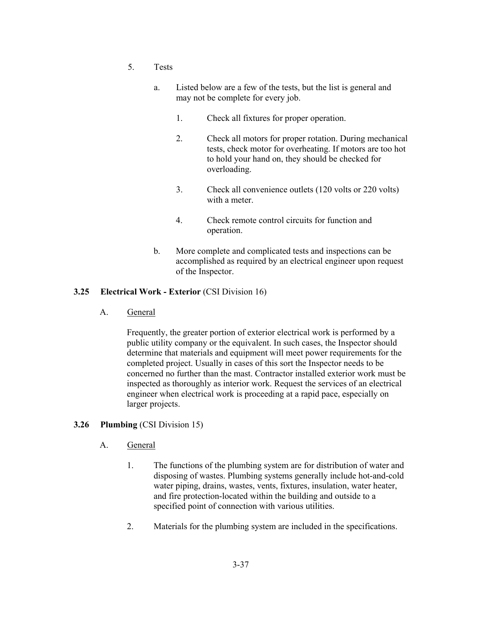- 5. Tests
	- a. Listed below are a few of the tests, but the list is general and may not be complete for every job.
		- 1. Check all fixtures for proper operation.
		- 2. Check all motors for proper rotation. During mechanical tests, check motor for overheating. If motors are too hot to hold your hand on, they should be checked for overloading.
		- 3. Check all convenience outlets (120 volts or 220 volts) with a meter.
		- 4. Check remote control circuits for function and operation.
	- b. More complete and complicated tests and inspections can be accomplished as required by an electrical engineer upon request of the Inspector.

## **3.25 Electrical Work - Exterior** (CSI Division 16)

A. General

Frequently, the greater portion of exterior electrical work is performed by a public utility company or the equivalent. In such cases, the Inspector should determine that materials and equipment will meet power requirements for the completed project. Usually in cases of this sort the Inspector needs to be concerned no further than the mast. Contractor installed exterior work must be inspected as thoroughly as interior work. Request the services of an electrical engineer when electrical work is proceeding at a rapid pace, especially on larger projects.

#### **3.26 Plumbing** (CSI Division 15)

- A. General
	- 1. The functions of the plumbing system are for distribution of water and disposing of wastes. Plumbing systems generally include hot-and-cold water piping, drains, wastes, vents, fixtures, insulation, water heater, and fire protection-located within the building and outside to a specified point of connection with various utilities.
	- 2. Materials for the plumbing system are included in the specifications.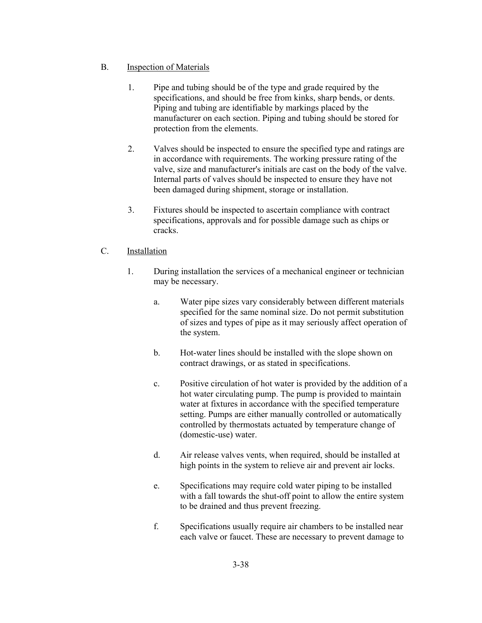# B. Inspection of Materials

- 1. Pipe and tubing should be of the type and grade required by the specifications, and should be free from kinks, sharp bends, or dents. Piping and tubing are identifiable by markings placed by the manufacturer on each section. Piping and tubing should be stored for protection from the elements.
- 2. Valves should be inspected to ensure the specified type and ratings are in accordance with requirements. The working pressure rating of the valve, size and manufacturer's initials are cast on the body of the valve. Internal parts of valves should be inspected to ensure they have not been damaged during shipment, storage or installation.
- 3. Fixtures should be inspected to ascertain compliance with contract specifications, approvals and for possible damage such as chips or cracks.

# C. Installation

- 1. During installation the services of a mechanical engineer or technician may be necessary.
	- a. Water pipe sizes vary considerably between different materials specified for the same nominal size. Do not permit substitution of sizes and types of pipe as it may seriously affect operation of the system.
	- b. Hot-water lines should be installed with the slope shown on contract drawings, or as stated in specifications.
	- c. Positive circulation of hot water is provided by the addition of a hot water circulating pump. The pump is provided to maintain water at fixtures in accordance with the specified temperature setting. Pumps are either manually controlled or automatically controlled by thermostats actuated by temperature change of (domestic-use) water.
	- d. Air release valves vents, when required, should be installed at high points in the system to relieve air and prevent air locks.
	- e. Specifications may require cold water piping to be installed with a fall towards the shut-off point to allow the entire system to be drained and thus prevent freezing.
	- f. Specifications usually require air chambers to be installed near each valve or faucet. These are necessary to prevent damage to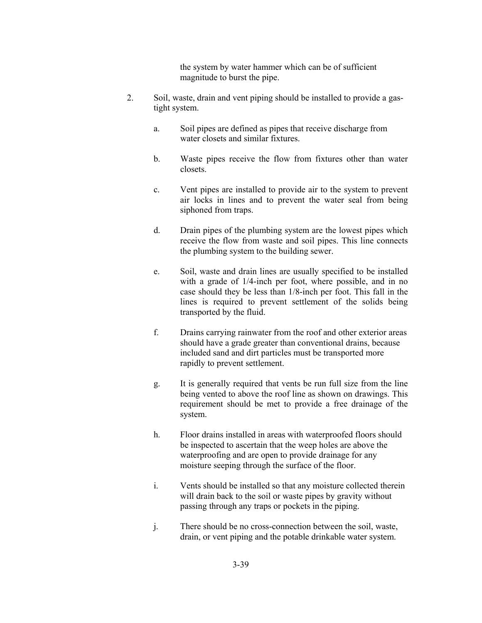the system by water hammer which can be of sufficient magnitude to burst the pipe.

- 2. Soil, waste, drain and vent piping should be installed to provide a gastight system.
	- a. Soil pipes are defined as pipes that receive discharge from water closets and similar fixtures.
	- b. Waste pipes receive the flow from fixtures other than water closets.
	- c. Vent pipes are installed to provide air to the system to prevent air locks in lines and to prevent the water seal from being siphoned from traps.
	- d. Drain pipes of the plumbing system are the lowest pipes which receive the flow from waste and soil pipes. This line connects the plumbing system to the building sewer.
	- e. Soil, waste and drain lines are usually specified to be installed with a grade of 1/4-inch per foot, where possible, and in no case should they be less than 1/8-inch per foot. This fall in the lines is required to prevent settlement of the solids being transported by the fluid.
	- f. Drains carrying rainwater from the roof and other exterior areas should have a grade greater than conventional drains, because included sand and dirt particles must be transported more rapidly to prevent settlement.
	- g. It is generally required that vents be run full size from the line being vented to above the roof line as shown on drawings. This requirement should be met to provide a free drainage of the system.
	- h. Floor drains installed in areas with waterproofed floors should be inspected to ascertain that the weep holes are above the waterproofing and are open to provide drainage for any moisture seeping through the surface of the floor.
	- i. Vents should be installed so that any moisture collected therein will drain back to the soil or waste pipes by gravity without passing through any traps or pockets in the piping.
	- j. There should be no cross-connection between the soil, waste, drain, or vent piping and the potable drinkable water system.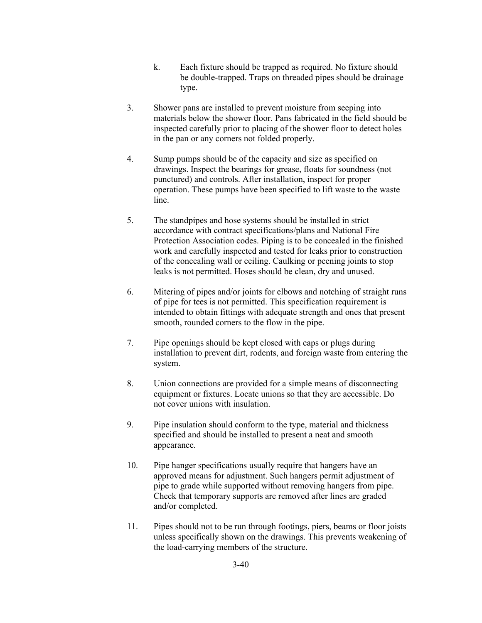- k. Each fixture should be trapped as required. No fixture should be double-trapped. Traps on threaded pipes should be drainage type.
- 3. Shower pans are installed to prevent moisture from seeping into materials below the shower floor. Pans fabricated in the field should be inspected carefully prior to placing of the shower floor to detect holes in the pan or any corners not folded properly.
- 4. Sump pumps should be of the capacity and size as specified on drawings. Inspect the bearings for grease, floats for soundness (not punctured) and controls. After installation, inspect for proper operation. These pumps have been specified to lift waste to the waste line.
- 5. The standpipes and hose systems should be installed in strict accordance with contract specifications/plans and National Fire Protection Association codes. Piping is to be concealed in the finished work and carefully inspected and tested for leaks prior to construction of the concealing wall or ceiling. Caulking or peening joints to stop leaks is not permitted. Hoses should be clean, dry and unused.
- 6. Mitering of pipes and/or joints for elbows and notching of straight runs of pipe for tees is not permitted. This specification requirement is intended to obtain fittings with adequate strength and ones that present smooth, rounded corners to the flow in the pipe.
- 7. Pipe openings should be kept closed with caps or plugs during installation to prevent dirt, rodents, and foreign waste from entering the system.
- 8. Union connections are provided for a simple means of disconnecting equipment or fixtures. Locate unions so that they are accessible. Do not cover unions with insulation.
- 9. Pipe insulation should conform to the type, material and thickness specified and should be installed to present a neat and smooth appearance.
- 10. Pipe hanger specifications usually require that hangers have an approved means for adjustment. Such hangers permit adjustment of pipe to grade while supported without removing hangers from pipe. Check that temporary supports are removed after lines are graded and/or completed.
- 11. Pipes should not to be run through footings, piers, beams or floor joists unless specifically shown on the drawings. This prevents weakening of the load-carrying members of the structure.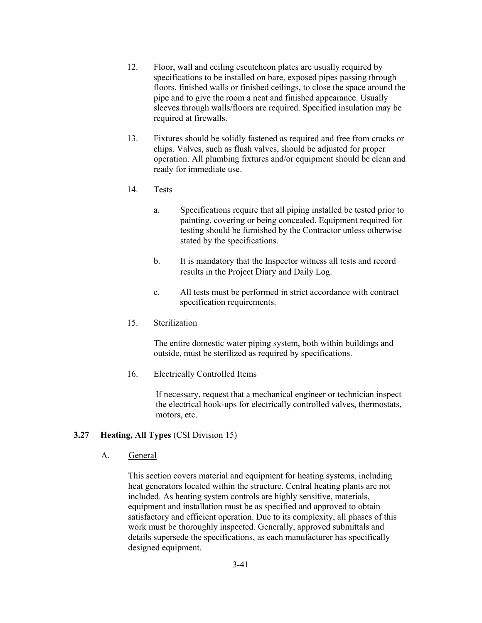- 12. Floor, wall and ceiling escutcheon plates are usually required by specifications to be installed on bare, exposed pipes passing through floors, finished walls or finished ceilings, to close the space around the pipe and to give the room a neat and finished appearance. Usually sleeves through walls/floors are required. Specified insulation may be required at firewalls.
- 13. Fixtures should be solidly fastened as required and free from cracks or chips. Valves, such as flush valves, should be adjusted for proper operation. All plumbing fixtures and/or equipment should be clean and ready for immediate use.
- 14. Tests
	- a. Specifications require that all piping installed be tested prior to painting, covering or being concealed. Equipment required for testing should be furnished by the Contractor unless otherwise stated by the specifications.
	- b. It is mandatory that the Inspector witness all tests and record results in the Project Diary and Daily Log.
	- c. All tests must be performed in strict accordance with contract specification requirements.
- 15. Sterilization

The entire domestic water piping system, both within buildings and outside, must be sterilized as required by specifications.

16. Electrically Controlled Items

If necessary, request that a mechanical engineer or technician inspect the electrical hook-ups for electrically controlled valves, thermostats, motors, etc.

## **3.27 Heating, All Types** (CSI Division 15)

A. General

This section covers material and equipment for heating systems, including heat generators located within the structure. Central heating plants are not included. As heating system controls are highly sensitive, materials, equipment and installation must be as specified and approved to obtain satisfactory and efficient operation. Due to its complexity, all phases of this work must be thoroughly inspected. Generally, approved submittals and details supersede the specifications, as each manufacturer has specifically designed equipment.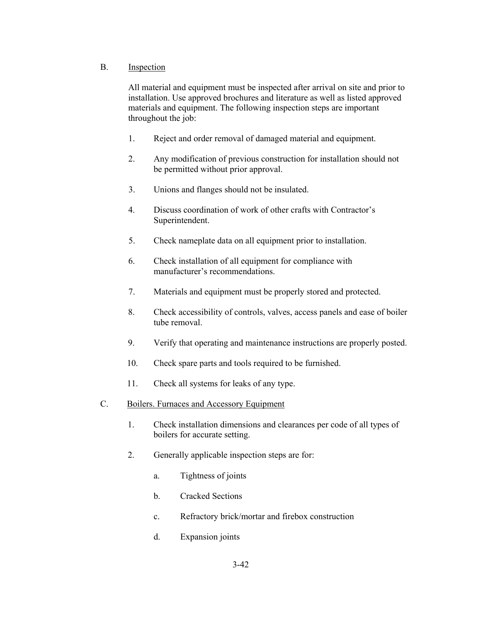# B. Inspection

All material and equipment must be inspected after arrival on site and prior to installation. Use approved brochures and literature as well as listed approved materials and equipment. The following inspection steps are important throughout the job:

- 1. Reject and order removal of damaged material and equipment.
- 2. Any modification of previous construction for installation should not be permitted without prior approval.
- 3. Unions and flanges should not be insulated.
- 4. Discuss coordination of work of other crafts with Contractor's Superintendent.
- 5. Check nameplate data on all equipment prior to installation.
- 6. Check installation of all equipment for compliance with manufacturer's recommendations.
- 7. Materials and equipment must be properly stored and protected.
- 8. Check accessibility of controls, valves, access panels and ease of boiler tube removal.
- 9. Verify that operating and maintenance instructions are properly posted.
- 10. Check spare parts and tools required to be furnished.
- 11. Check all systems for leaks of any type.
- C. Boilers. Furnaces and Accessory Equipment
	- 1. Check installation dimensions and clearances per code of all types of boilers for accurate setting.
	- 2. Generally applicable inspection steps are for:
		- a. Tightness of joints
		- b. Cracked Sections
		- c. Refractory brick/mortar and firebox construction
		- d. Expansion joints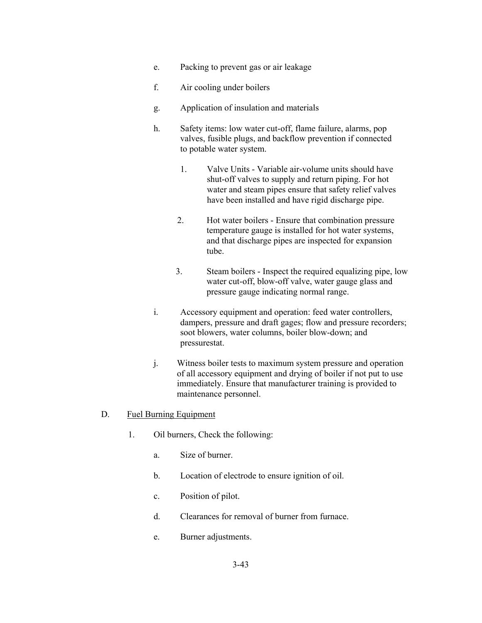- e. Packing to prevent gas or air leakage
- f. Air cooling under boilers
- g. Application of insulation and materials
- h. Safety items: low water cut-off, flame failure, alarms, pop valves, fusible plugs, and backflow prevention if connected to potable water system.
	- 1. Valve Units Variable air-volume units should have shut-off valves to supply and return piping. For hot water and steam pipes ensure that safety relief valves have been installed and have rigid discharge pipe.
	- 2. Hot water boilers Ensure that combination pressure temperature gauge is installed for hot water systems, and that discharge pipes are inspected for expansion tube.
	- 3. Steam boilers Inspect the required equalizing pipe, low water cut-off, blow-off valve, water gauge glass and pressure gauge indicating normal range.
- i. Accessory equipment and operation: feed water controllers, dampers, pressure and draft gages; flow and pressure recorders; soot blowers, water columns, boiler blow-down; and pressurestat.
- j. Witness boiler tests to maximum system pressure and operation of all accessory equipment and drying of boiler if not put to use immediately. Ensure that manufacturer training is provided to maintenance personnel.

#### D. Fuel Burning Equipment

- 1. Oil burners, Check the following:
	- a. Size of burner.
	- b. Location of electrode to ensure ignition of oil.
	- c. Position of pilot.
	- d. Clearances for removal of burner from furnace.
	- e. Burner adjustments.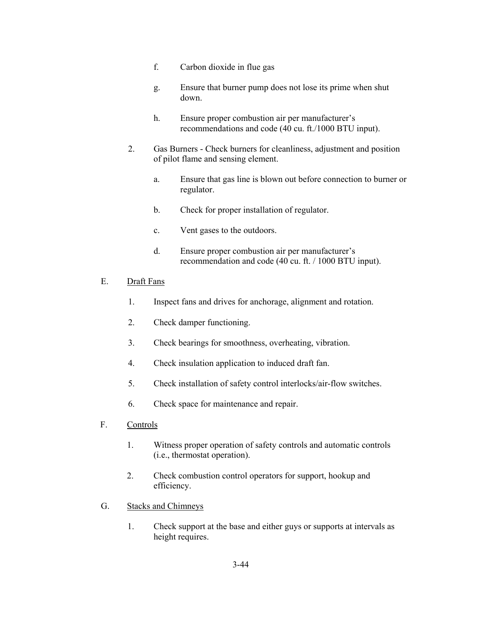- f. Carbon dioxide in flue gas
- g. Ensure that burner pump does not lose its prime when shut down.
- h. Ensure proper combustion air per manufacturer's recommendations and code (40 cu. ft./1000 BTU input).
- 2. Gas Burners Check burners for cleanliness, adjustment and position of pilot flame and sensing element.
	- a. Ensure that gas line is blown out before connection to burner or regulator.
	- b. Check for proper installation of regulator.
	- c. Vent gases to the outdoors.
	- d. Ensure proper combustion air per manufacturer's recommendation and code (40 cu. ft. / 1000 BTU input).

### E. Draft Fans

- 1. Inspect fans and drives for anchorage, alignment and rotation.
- 2. Check damper functioning.
- 3. Check bearings for smoothness, overheating, vibration.
- 4. Check insulation application to induced draft fan.
- 5. Check installation of safety control interlocks/air-flow switches.
- 6. Check space for maintenance and repair.
- F. Controls
	- 1. Witness proper operation of safety controls and automatic controls (i.e., thermostat operation).
	- 2. Check combustion control operators for support, hookup and efficiency.
- G. Stacks and Chimneys
	- 1. Check support at the base and either guys or supports at intervals as height requires.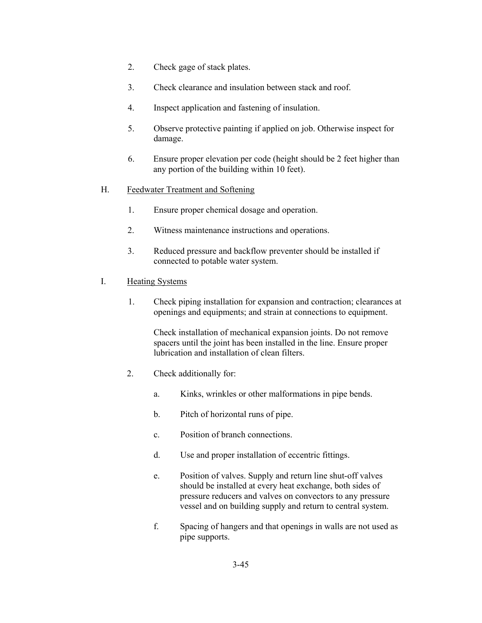- 2. Check gage of stack plates.
- 3. Check clearance and insulation between stack and roof.
- 4. Inspect application and fastening of insulation.
- 5. Observe protective painting if applied on job. Otherwise inspect for damage.
- 6. Ensure proper elevation per code (height should be 2 feet higher than any portion of the building within 10 feet).
- H. Feedwater Treatment and Softening
	- 1. Ensure proper chemical dosage and operation.
	- 2. Witness maintenance instructions and operations.
	- 3. Reduced pressure and backflow preventer should be installed if connected to potable water system.
- I. Heating Systems
	- 1. Check piping installation for expansion and contraction; clearances at openings and equipments; and strain at connections to equipment.

Check installation of mechanical expansion joints. Do not remove spacers until the joint has been installed in the line. Ensure proper lubrication and installation of clean filters.

- 2. Check additionally for:
	- a. Kinks, wrinkles or other malformations in pipe bends.
	- b. Pitch of horizontal runs of pipe.
	- c. Position of branch connections.
	- d. Use and proper installation of eccentric fittings.
	- e. Position of valves. Supply and return line shut-off valves should be installed at every heat exchange, both sides of pressure reducers and valves on convectors to any pressure vessel and on building supply and return to central system.
	- f. Spacing of hangers and that openings in walls are not used as pipe supports.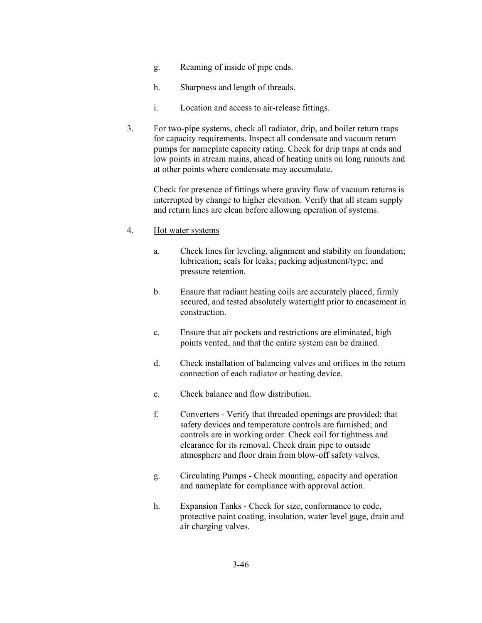- g. Reaming of inside of pipe ends.
- h. Sharpness and length of threads.
- i. Location and access to air-release fittings.
- 3. For two-pipe systems, check all radiator, drip, and boiler return traps for capacity requirements. Inspect all condensate and vacuum return pumps for nameplate capacity rating. Check for drip traps at ends and low points in stream mains, ahead of heating units on long runouts and at other points where condensate may accumulate.

Check for presence of fittings where gravity flow of vacuum returns is interrupted by change to higher elevation. Verify that all steam supply and return lines are clean before allowing operation of systems.

### 4. Hot water systems

- a. Check lines for leveling, alignment and stability on foundation; lubrication; seals for leaks; packing adjustment/type; and pressure retention.
- b. Ensure that radiant heating coils are accurately placed, firmly secured, and tested absolutely watertight prior to encasement in construction.
- c. Ensure that air pockets and restrictions are eliminated, high points vented, and that the entire system can be drained.
- d. Check installation of balancing valves and orifices in the return connection of each radiator or heating device.
- e. Check balance and flow distribution.
- f. Converters Verify that threaded openings are provided; that safety devices and temperature controls are furnished; and controls are in working order. Check coil for tightness and clearance for its removal. Check drain pipe to outside atmosphere and floor drain from blow-off safety valves.
- g. Circulating Pumps Check mounting, capacity and operation and nameplate for compliance with approval action.
- h. Expansion Tanks Check for size, conformance to code, protective paint coating, insulation, water level gage, drain and air charging valves.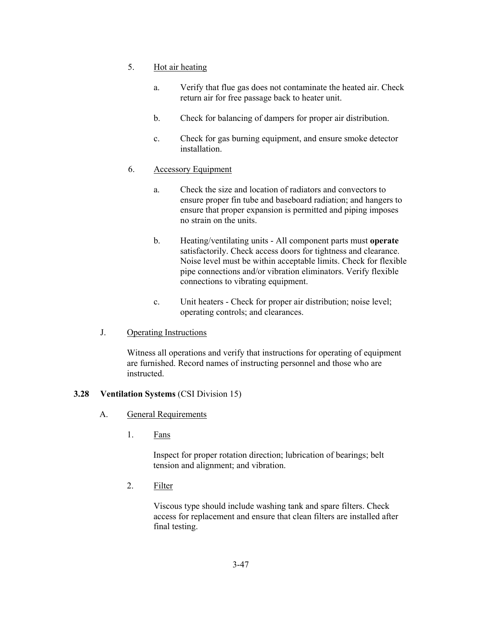- 5. Hot air heating
	- a. Verify that flue gas does not contaminate the heated air. Check return air for free passage back to heater unit.
	- b. Check for balancing of dampers for proper air distribution.
	- c. Check for gas burning equipment, and ensure smoke detector installation.
- 6. Accessory Equipment
	- a. Check the size and location of radiators and convectors to ensure proper fin tube and baseboard radiation; and hangers to ensure that proper expansion is permitted and piping imposes no strain on the units.
	- b. Heating/ventilating units All component parts must **operate**  satisfactorily. Check access doors for tightness and clearance. Noise level must be within acceptable limits. Check for flexible pipe connections and/or vibration eliminators. Verify flexible connections to vibrating equipment.
	- c. Unit heaters Check for proper air distribution; noise level; operating controls; and clearances.
- J. Operating Instructions

Witness all operations and verify that instructions for operating of equipment are furnished. Record names of instructing personnel and those who are instructed.

## **3.28 Ventilation Systems** (CSI Division 15)

- A. General Requirements
	- 1. Fans

Inspect for proper rotation direction; lubrication of bearings; belt tension and alignment; and vibration.

2. Filter

Viscous type should include washing tank and spare filters. Check access for replacement and ensure that clean filters are installed after final testing.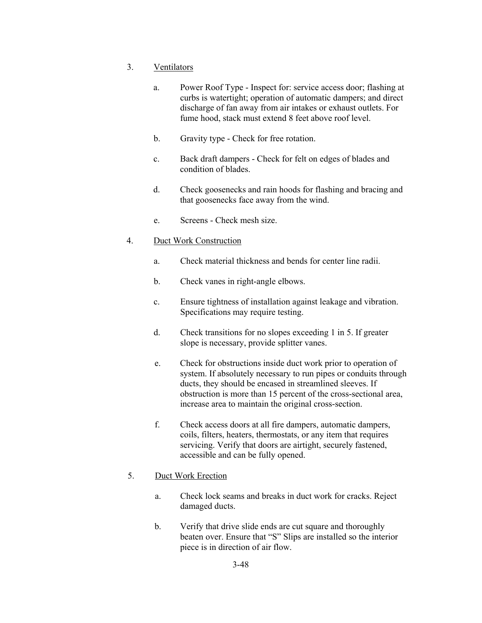- 3. Ventilators
	- a. Power Roof Type Inspect for: service access door; flashing at curbs is watertight; operation of automatic dampers; and direct discharge of fan away from air intakes or exhaust outlets. For fume hood, stack must extend 8 feet above roof level.
	- b. Gravity type Check for free rotation.
	- c. Back draft dampers Check for felt on edges of blades and condition of blades.
	- d. Check goosenecks and rain hoods for flashing and bracing and that goosenecks face away from the wind.
	- e. Screens Check mesh size.

### 4. Duct Work Construction

- a. Check material thickness and bends for center line radii.
- b. Check vanes in right-angle elbows.
- c. Ensure tightness of installation against leakage and vibration. Specifications may require testing.
- d. Check transitions for no slopes exceeding 1 in 5. If greater slope is necessary, provide splitter vanes.
- e. Check for obstructions inside duct work prior to operation of system. If absolutely necessary to run pipes or conduits through ducts, they should be encased in streamlined sleeves. If obstruction is more than 15 percent of the cross-sectional area, increase area to maintain the original cross-section.
- f. Check access doors at all fire dampers, automatic dampers, coils, filters, heaters, thermostats, or any item that requires servicing. Verify that doors are airtight, securely fastened, accessible and can be fully opened.

## 5. Duct Work Erection

- a. Check lock seams and breaks in duct work for cracks. Reject damaged ducts.
- b. Verify that drive slide ends are cut square and thoroughly beaten over. Ensure that "S" Slips are installed so the interior piece is in direction of air flow.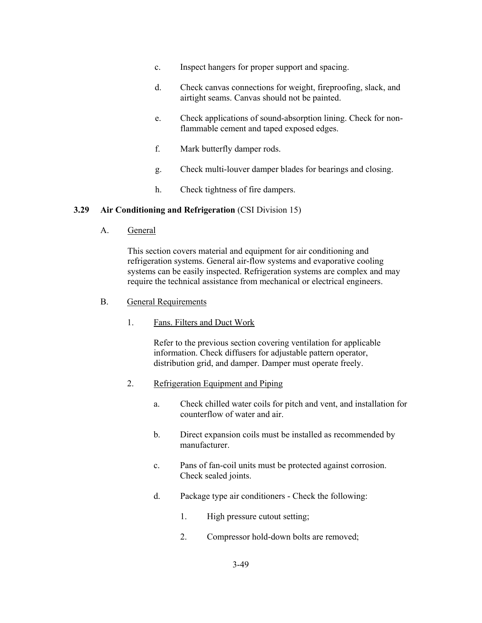- c. Inspect hangers for proper support and spacing.
- d. Check canvas connections for weight, fireproofing, slack, and airtight seams. Canvas should not be painted.
- e. Check applications of sound-absorption lining. Check for nonflammable cement and taped exposed edges.
- f. Mark butterfly damper rods.
- g. Check multi-louver damper blades for bearings and closing.
- h. Check tightness of fire dampers.

#### **3.29 Air Conditioning and Refrigeration** (CSI Division 15)

A. General

This section covers material and equipment for air conditioning and refrigeration systems. General air-flow systems and evaporative cooling systems can be easily inspected. Refrigeration systems are complex and may require the technical assistance from mechanical or electrical engineers.

- B. General Requirements
	- 1. Fans. Filters and Duct Work

Refer to the previous section covering ventilation for applicable information. Check diffusers for adjustable pattern operator, distribution grid, and damper. Damper must operate freely.

- 2. Refrigeration Equipment and Piping
	- a. Check chilled water coils for pitch and vent, and installation for counterflow of water and air.
	- b. Direct expansion coils must be installed as recommended by manufacturer.
	- c. Pans of fan-coil units must be protected against corrosion. Check sealed joints.
	- d. Package type air conditioners Check the following:
		- 1. High pressure cutout setting;
		- 2. Compressor hold-down bolts are removed;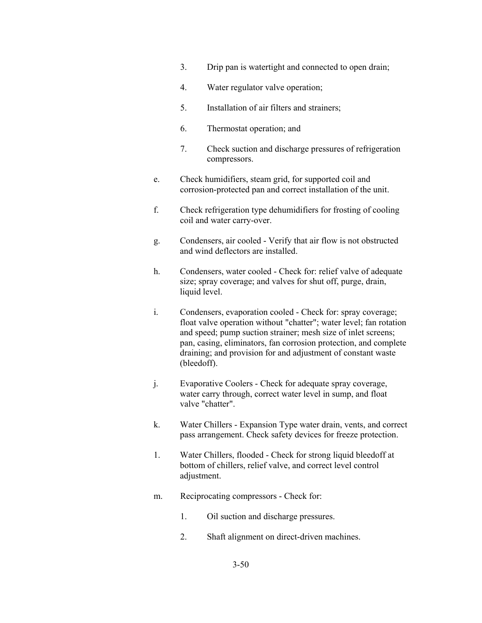- 3. Drip pan is watertight and connected to open drain;
- 4. Water regulator valve operation;
- 5. Installation of air filters and strainers;
- 6. Thermostat operation; and
- 7. Check suction and discharge pressures of refrigeration compressors.
- e. Check humidifiers, steam grid, for supported coil and corrosion-protected pan and correct installation of the unit.
- f. Check refrigeration type dehumidifiers for frosting of cooling coil and water carry-over.
- g. Condensers, air cooled Verify that air flow is not obstructed and wind deflectors are installed.
- h. Condensers, water cooled Check for: relief valve of adequate size; spray coverage; and valves for shut off, purge, drain, liquid level.
- i. Condensers, evaporation cooled Check for: spray coverage; float valve operation without "chatter"; water level; fan rotation and speed; pump suction strainer; mesh size of inlet screens; pan, casing, eliminators, fan corrosion protection, and complete draining; and provision for and adjustment of constant waste (bleedoff).
- j. Evaporative Coolers Check for adequate spray coverage, water carry through, correct water level in sump, and float valve "chatter".
- k. Water Chillers Expansion Type water drain, vents, and correct pass arrangement. Check safety devices for freeze protection.
- 1. Water Chillers, flooded Check for strong liquid bleedoff at bottom of chillers, relief valve, and correct level control adjustment.
- m. Reciprocating compressors Check for:
	- 1. Oil suction and discharge pressures.
	- 2. Shaft alignment on direct-driven machines.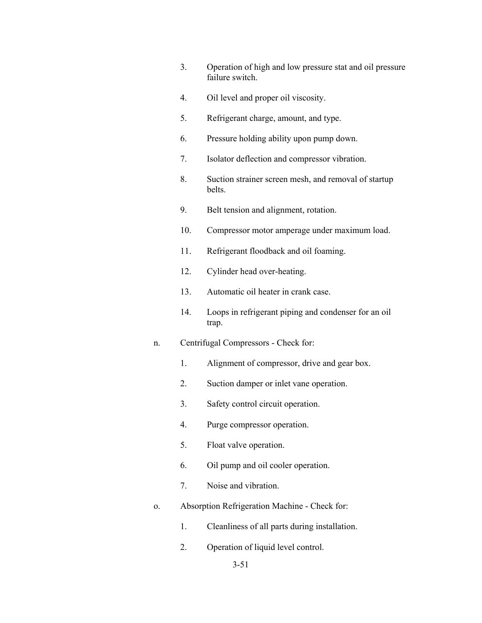- 3. Operation of high and low pressure stat and oil pressure failure switch.
- 4. Oil level and proper oil viscosity.
- 5. Refrigerant charge, amount, and type.
- 6. Pressure holding ability upon pump down.
- 7. Isolator deflection and compressor vibration.
- 8. Suction strainer screen mesh, and removal of startup belts.
- 9. Belt tension and alignment, rotation.
- 10. Compressor motor amperage under maximum load.
- 11. Refrigerant floodback and oil foaming.
- 12. Cylinder head over-heating.
- 13. Automatic oil heater in crank case.
- 14. Loops in refrigerant piping and condenser for an oil trap.
- n. Centrifugal Compressors Check for:
	- 1. Alignment of compressor, drive and gear box.
	- 2. Suction damper or inlet vane operation.
	- 3. Safety control circuit operation.
	- 4. Purge compressor operation.
	- 5. Float valve operation.
	- 6. Oil pump and oil cooler operation.
	- 7. Noise and vibration.
- o. Absorption Refrigeration Machine Check for:
	- 1. Cleanliness of all parts during installation.
	- 2. Operation of liquid level control.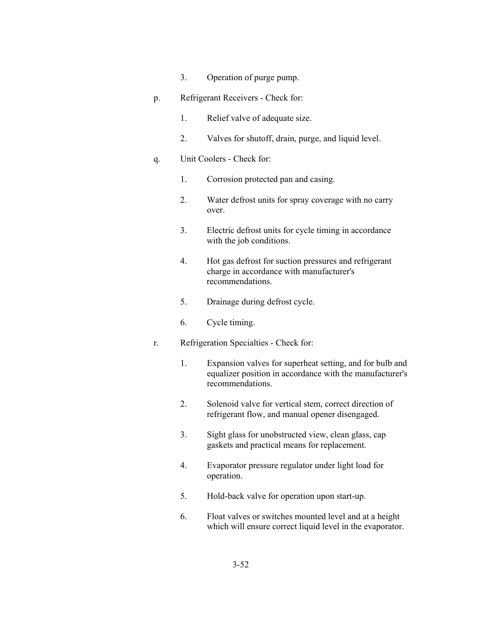- 3. Operation of purge pump.
- p. Refrigerant Receivers Check for:
	- 1. Relief valve of adequate size.
	- 2. Valves for shutoff, drain, purge, and liquid level.
- q. Unit Coolers Check for:
	- 1. Corrosion protected pan and casing.
	- 2. Water defrost units for spray coverage with no carry over.
	- 3. Electric defrost units for cycle timing in accordance with the job conditions.
	- 4. Hot gas defrost for suction pressures and refrigerant charge in accordance with manufacturer's recommendations.
	- 5. Drainage during defrost cycle.
	- 6. Cycle timing.
- r. Refrigeration Specialties Check for:
	- 1. Expansion valves for superheat setting, and for bulb and equalizer position in accordance with the manufacturer's recommendations.
	- 2. Solenoid valve for vertical stem, correct direction of refrigerant flow, and manual opener disengaged.
	- 3. Sight glass for unobstructed view, clean glass, cap gaskets and practical means for replacement.
	- 4. Evaporator pressure regulator under light load for operation.
	- 5. Hold-back valve for operation upon start-up.
	- 6. Float valves or switches mounted level and at a height which will ensure correct liquid level in the evaporator.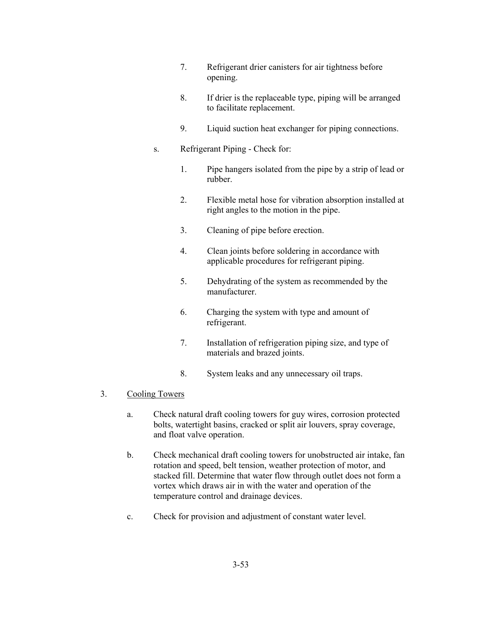- 7. Refrigerant drier canisters for air tightness before opening.
- 8. If drier is the replaceable type, piping will be arranged to facilitate replacement.
- 9. Liquid suction heat exchanger for piping connections.
- s. Refrigerant Piping Check for:
	- 1. Pipe hangers isolated from the pipe by a strip of lead or rubber.
	- 2. Flexible metal hose for vibration absorption installed at right angles to the motion in the pipe.
	- 3. Cleaning of pipe before erection.
	- 4. Clean joints before soldering in accordance with applicable procedures for refrigerant piping.
	- 5. Dehydrating of the system as recommended by the manufacturer.
	- 6. Charging the system with type and amount of refrigerant.
	- 7. Installation of refrigeration piping size, and type of materials and brazed joints.
	- 8. System leaks and any unnecessary oil traps.
- 3. Cooling Towers
	- a. Check natural draft cooling towers for guy wires, corrosion protected bolts, watertight basins, cracked or split air louvers, spray coverage, and float valve operation.
	- b. Check mechanical draft cooling towers for unobstructed air intake, fan rotation and speed, belt tension, weather protection of motor, and stacked fill. Determine that water flow through outlet does not form a vortex which draws air in with the water and operation of the temperature control and drainage devices.
	- c. Check for provision and adjustment of constant water level.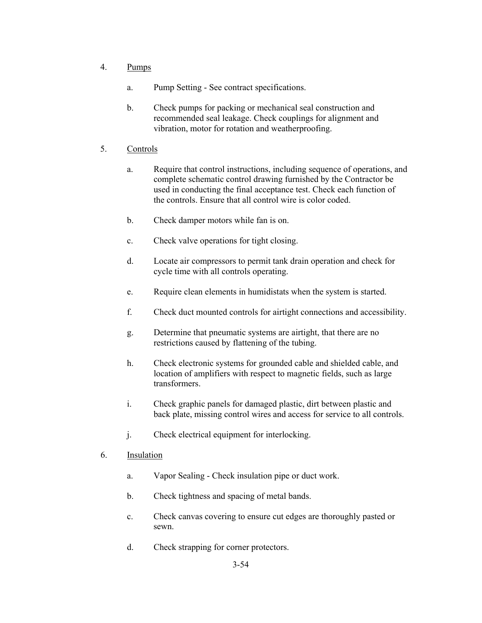- 4. Pumps
	- a. Pump Setting See contract specifications.
	- b. Check pumps for packing or mechanical seal construction and recommended seal leakage. Check couplings for alignment and vibration, motor for rotation and weatherproofing.

# 5. Controls

- a. Require that control instructions, including sequence of operations, and complete schematic control drawing furnished by the Contractor be used in conducting the final acceptance test. Check each function of the controls. Ensure that all control wire is color coded.
- b. Check damper motors while fan is on.
- c. Check valve operations for tight closing.
- d. Locate air compressors to permit tank drain operation and check for cycle time with all controls operating.
- e. Require clean elements in humidistats when the system is started.
- f. Check duct mounted controls for airtight connections and accessibility.
- g. Determine that pneumatic systems are airtight, that there are no restrictions caused by flattening of the tubing.
- h. Check electronic systems for grounded cable and shielded cable, and location of amplifiers with respect to magnetic fields, such as large transformers.
- i. Check graphic panels for damaged plastic, dirt between plastic and back plate, missing control wires and access for service to all controls.
- j. Check electrical equipment for interlocking.
- 6. Insulation
	- a. Vapor Sealing Check insulation pipe or duct work.
	- b. Check tightness and spacing of metal bands.
	- c. Check canvas covering to ensure cut edges are thoroughly pasted or sewn.
	- d. Check strapping for corner protectors.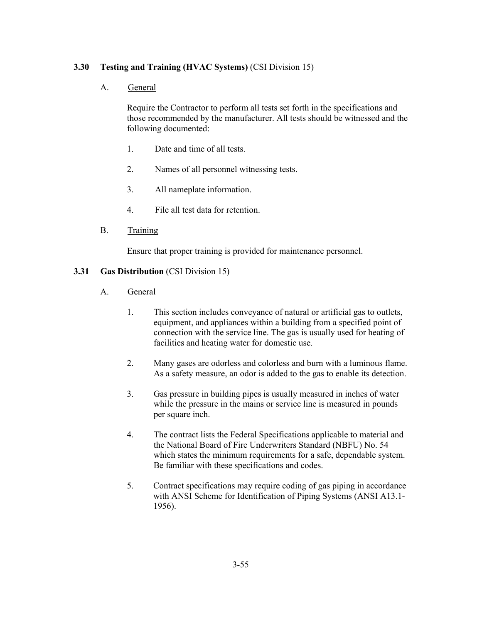# **3.30 Testing and Training (HVAC Systems)** (CSI Division 15)

# A. General

Require the Contractor to perform all tests set forth in the specifications and those recommended by the manufacturer. All tests should be witnessed and the following documented:

- 1. Date and time of all tests.
- 2. Names of all personnel witnessing tests.
- 3. All nameplate information.
- 4. File all test data for retention.
- B. Training

Ensure that proper training is provided for maintenance personnel.

# **3.31 Gas Distribution** (CSI Division 15)

- A. General
	- 1. This section includes conveyance of natural or artificial gas to outlets, equipment, and appliances within a building from a specified point of connection with the service line. The gas is usually used for heating of facilities and heating water for domestic use.
	- 2. Many gases are odorless and colorless and burn with a luminous flame. As a safety measure, an odor is added to the gas to enable its detection.
	- 3. Gas pressure in building pipes is usually measured in inches of water while the pressure in the mains or service line is measured in pounds per square inch.
	- 4. The contract lists the Federal Specifications applicable to material and the National Board of Fire Underwriters Standard (NBFU) No. 54 which states the minimum requirements for a safe, dependable system. Be familiar with these specifications and codes.
	- 5. Contract specifications may require coding of gas piping in accordance with ANSI Scheme for Identification of Piping Systems (ANSI A13.1- 1956).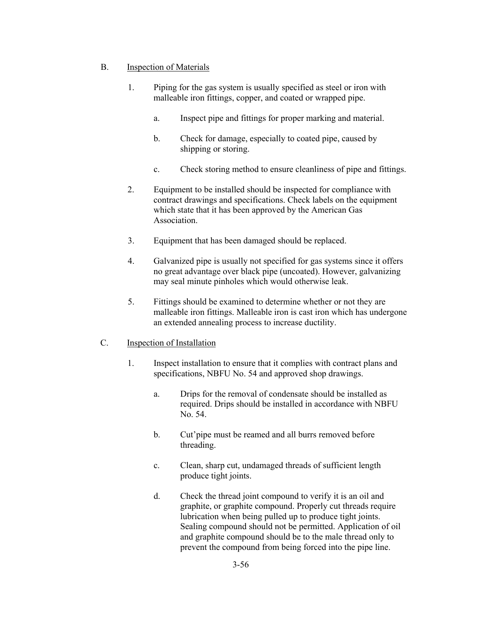# B. Inspection of Materials

- 1. Piping for the gas system is usually specified as steel or iron with malleable iron fittings, copper, and coated or wrapped pipe.
	- a. Inspect pipe and fittings for proper marking and material.
	- b. Check for damage, especially to coated pipe, caused by shipping or storing.
	- c. Check storing method to ensure cleanliness of pipe and fittings.
- 2. Equipment to be installed should be inspected for compliance with contract drawings and specifications. Check labels on the equipment which state that it has been approved by the American Gas Association.
- 3. Equipment that has been damaged should be replaced.
- 4. Galvanized pipe is usually not specified for gas systems since it offers no great advantage over black pipe (uncoated). However, galvanizing may seal minute pinholes which would otherwise leak.
- 5. Fittings should be examined to determine whether or not they are malleable iron fittings. Malleable iron is cast iron which has undergone an extended annealing process to increase ductility.

# C. Inspection of Installation

- 1. Inspect installation to ensure that it complies with contract plans and specifications, NBFU No. 54 and approved shop drawings.
	- a. Drips for the removal of condensate should be installed as required. Drips should be installed in accordance with NBFU No. 54.
	- b. Cut'pipe must be reamed and all burrs removed before threading.
	- c. Clean, sharp cut, undamaged threads of sufficient length produce tight joints.
	- d. Check the thread joint compound to verify it is an oil and graphite, or graphite compound. Properly cut threads require lubrication when being pulled up to produce tight joints. Sealing compound should not be permitted. Application of oil and graphite compound should be to the male thread only to prevent the compound from being forced into the pipe line.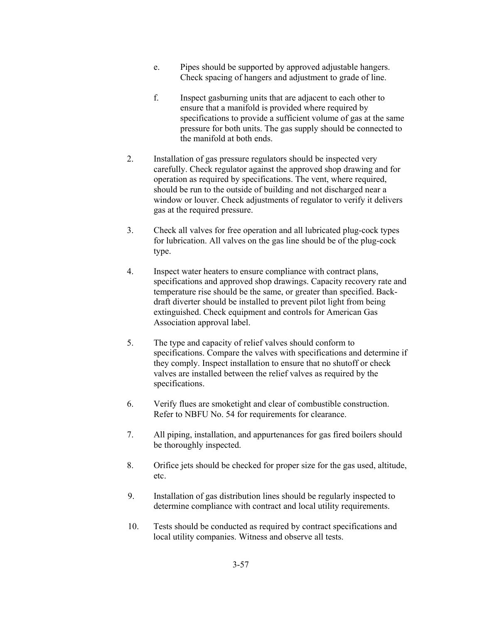- e. Pipes should be supported by approved adjustable hangers. Check spacing of hangers and adjustment to grade of line.
- f. Inspect gasburning units that are adjacent to each other to ensure that a manifold is provided where required by specifications to provide a sufficient volume of gas at the same pressure for both units. The gas supply should be connected to the manifold at both ends.
- 2. Installation of gas pressure regulators should be inspected very carefully. Check regulator against the approved shop drawing and for operation as required by specifications. The vent, where required, should be run to the outside of building and not discharged near a window or louver. Check adjustments of regulator to verify it delivers gas at the required pressure.
- 3. Check all valves for free operation and all lubricated plug-cock types for lubrication. All valves on the gas line should be of the plug-cock type.
- 4. Inspect water heaters to ensure compliance with contract plans, specifications and approved shop drawings. Capacity recovery rate and temperature rise should be the same, or greater than specified. Backdraft diverter should be installed to prevent pilot light from being extinguished. Check equipment and controls for American Gas Association approval label.
- 5. The type and capacity of relief valves should conform to specifications. Compare the valves with specifications and determine if they comply. Inspect installation to ensure that no shutoff or check valves are installed between the relief valves as required by the specifications.
- 6. Verify flues are smoketight and clear of combustible construction. Refer to NBFU No. 54 for requirements for clearance.
- 7. All piping, installation, and appurtenances for gas fired boilers should be thoroughly inspected.
- 8. Orifice jets should be checked for proper size for the gas used, altitude, etc.
- 9. Installation of gas distribution lines should be regularly inspected to determine compliance with contract and local utility requirements.
- 10. Tests should be conducted as required by contract specifications and local utility companies. Witness and observe all tests.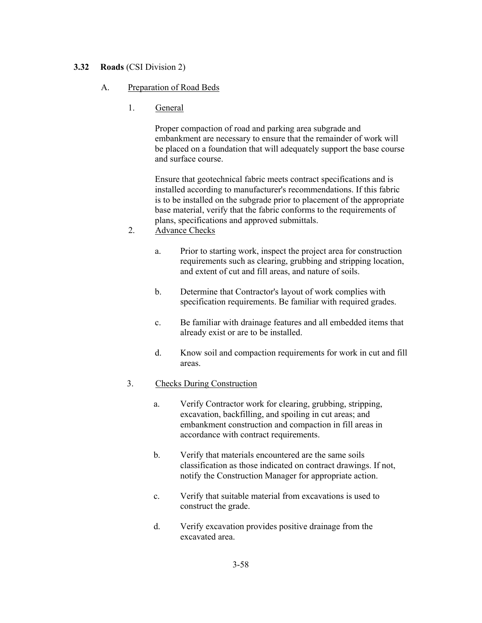# **3.32 Roads** (CSI Division 2)

# A. Preparation of Road Beds

1. General

Proper compaction of road and parking area subgrade and embankment are necessary to ensure that the remainder of work will be placed on a foundation that will adequately support the base course and surface course.

Ensure that geotechnical fabric meets contract specifications and is installed according to manufacturer's recommendations. If this fabric is to be installed on the subgrade prior to placement of the appropriate base material, verify that the fabric conforms to the requirements of plans, specifications and approved submittals.

- 2. Advance Checks
	- a. Prior to starting work, inspect the project area for construction requirements such as clearing, grubbing and stripping location, and extent of cut and fill areas, and nature of soils.
	- b. Determine that Contractor's layout of work complies with specification requirements. Be familiar with required grades.
	- c. Be familiar with drainage features and all embedded items that already exist or are to be installed.
	- d. Know soil and compaction requirements for work in cut and fill areas.

# 3. Checks During Construction

- a. Verify Contractor work for clearing, grubbing, stripping, excavation, backfilling, and spoiling in cut areas; and embankment construction and compaction in fill areas in accordance with contract requirements.
- b. Verify that materials encountered are the same soils classification as those indicated on contract drawings. If not, notify the Construction Manager for appropriate action.
- c. Verify that suitable material from excavations is used to construct the grade.
- d. Verify excavation provides positive drainage from the excavated area.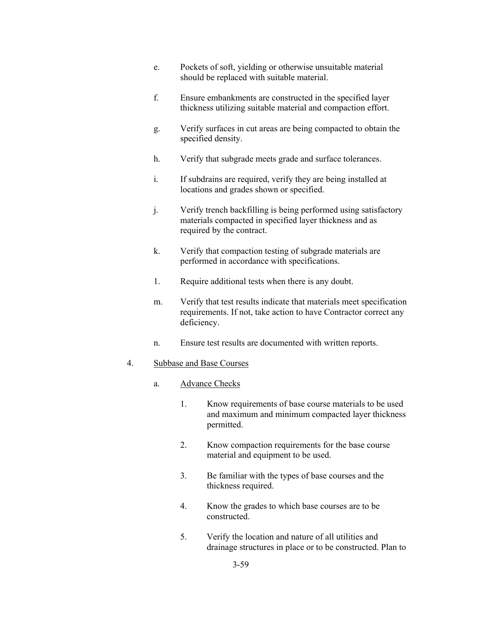- e. Pockets of soft, yielding or otherwise unsuitable material should be replaced with suitable material.
- f. Ensure embankments are constructed in the specified layer thickness utilizing suitable material and compaction effort.
- g. Verify surfaces in cut areas are being compacted to obtain the specified density.
- h. Verify that subgrade meets grade and surface tolerances.
- i. If subdrains are required, verify they are being installed at locations and grades shown or specified.
- j. Verify trench backfilling is being performed using satisfactory materials compacted in specified layer thickness and as required by the contract.
- k. Verify that compaction testing of subgrade materials are performed in accordance with specifications.
- 1. Require additional tests when there is any doubt.
- m. Verify that test results indicate that materials meet specification requirements. If not, take action to have Contractor correct any deficiency.
- n. Ensure test results are documented with written reports.

# 4. Subbase and Base Courses

- a. Advance Checks
	- 1. Know requirements of base course materials to be used and maximum and minimum compacted layer thickness permitted.
	- 2. Know compaction requirements for the base course material and equipment to be used.
	- 3. Be familiar with the types of base courses and the thickness required.
	- 4. Know the grades to which base courses are to be constructed.
	- 5. Verify the location and nature of all utilities and drainage structures in place or to be constructed. Plan to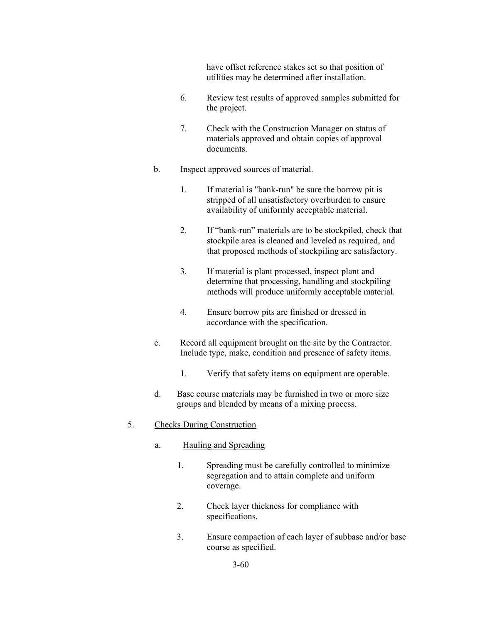have offset reference stakes set so that position of utilities may be determined after installation.

- 6. Review test results of approved samples submitted for the project.
- 7. Check with the Construction Manager on status of materials approved and obtain copies of approval documents.
- b. Inspect approved sources of material.
	- 1. If material is "bank-run" be sure the borrow pit is stripped of all unsatisfactory overburden to ensure availability of uniformly acceptable material.
	- 2. If "bank-run" materials are to be stockpiled, check that stockpile area is cleaned and leveled as required, and that proposed methods of stockpiling are satisfactory.
	- 3. If material is plant processed, inspect plant and determine that processing, handling and stockpiling methods will produce uniformly acceptable material.
	- 4. Ensure borrow pits are finished or dressed in accordance with the specification.
- c. Record all equipment brought on the site by the Contractor. Include type, make, condition and presence of safety items.
	- 1. Verify that safety items on equipment are operable.
- d. Base course materials may be furnished in two or more size groups and blended by means of a mixing process.

## 5. Checks During Construction

- a. Hauling and Spreading
	- 1. Spreading must be carefully controlled to minimize segregation and to attain complete and uniform coverage.
	- 2. Check layer thickness for compliance with specifications.
	- 3. Ensure compaction of each layer of subbase and/or base course as specified.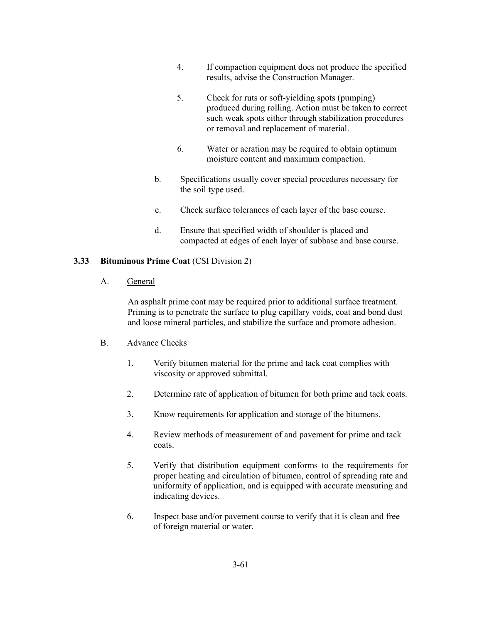- 4. If compaction equipment does not produce the specified results, advise the Construction Manager.
- 5. Check for ruts or soft-yielding spots (pumping) produced during rolling. Action must be taken to correct such weak spots either through stabilization procedures or removal and replacement of material.
- 6. Water or aeration may be required to obtain optimum moisture content and maximum compaction.
- b. Specifications usually cover special procedures necessary for the soil type used.
- c. Check surface tolerances of each layer of the base course.
- d. Ensure that specified width of shoulder is placed and compacted at edges of each layer of subbase and base course.

## **3.33 Bituminous Prime Coat** (CSI Division 2)

#### A. General

An asphalt prime coat may be required prior to additional surface treatment. Priming is to penetrate the surface to plug capillary voids, coat and bond dust and loose mineral particles, and stabilize the surface and promote adhesion.

## B. Advance Checks

- 1. Verify bitumen material for the prime and tack coat complies with viscosity or approved submittal.
- 2. Determine rate of application of bitumen for both prime and tack coats.
- 3. Know requirements for application and storage of the bitumens.
- 4. Review methods of measurement of and pavement for prime and tack coats.
- 5. Verify that distribution equipment conforms to the requirements for proper heating and circulation of bitumen, control of spreading rate and uniformity of application, and is equipped with accurate measuring and indicating devices.
- 6. Inspect base and/or pavement course to verify that it is clean and free of foreign material or water.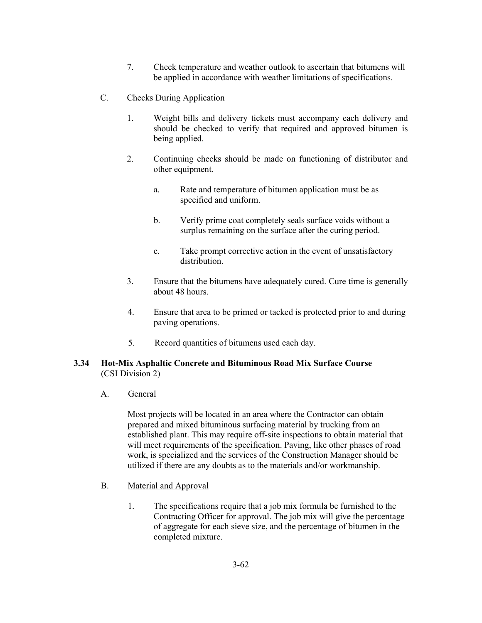- 7. Check temperature and weather outlook to ascertain that bitumens will be applied in accordance with weather limitations of specifications.
- C. Checks During Application
	- 1. Weight bills and delivery tickets must accompany each delivery and should be checked to verify that required and approved bitumen is being applied.
	- 2. Continuing checks should be made on functioning of distributor and other equipment.
		- a. Rate and temperature of bitumen application must be as specified and uniform.
		- b. Verify prime coat completely seals surface voids without a surplus remaining on the surface after the curing period.
		- c. Take prompt corrective action in the event of unsatisfactory distribution.
	- 3. Ensure that the bitumens have adequately cured. Cure time is generally about 48 hours.
	- 4. Ensure that area to be primed or tacked is protected prior to and during paving operations.
	- 5. Record quantities of bitumens used each day.

# **3.34 Hot-Mix Asphaltic Concrete and Bituminous Road Mix Surface Course**  (CSI Division 2)

A. General

Most projects will be located in an area where the Contractor can obtain prepared and mixed bituminous surfacing material by trucking from an established plant. This may require off-site inspections to obtain material that will meet requirements of the specification. Paving, like other phases of road work, is specialized and the services of the Construction Manager should be utilized if there are any doubts as to the materials and/or workmanship.

- B. Material and Approval
	- 1. The specifications require that a job mix formula be furnished to the Contracting Officer for approval. The job mix will give the percentage of aggregate for each sieve size, and the percentage of bitumen in the completed mixture.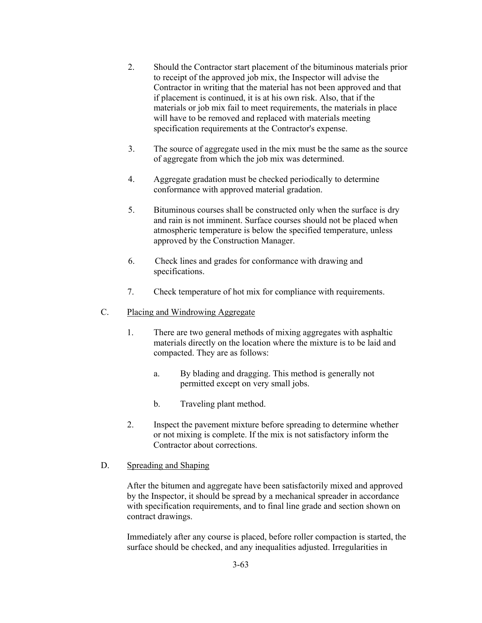- 2. Should the Contractor start placement of the bituminous materials prior to receipt of the approved job mix, the Inspector will advise the Contractor in writing that the material has not been approved and that if placement is continued, it is at his own risk. Also, that if the materials or job mix fail to meet requirements, the materials in place will have to be removed and replaced with materials meeting specification requirements at the Contractor's expense.
- 3. The source of aggregate used in the mix must be the same as the source of aggregate from which the job mix was determined.
- 4. Aggregate gradation must be checked periodically to determine conformance with approved material gradation.
- 5. Bituminous courses shall be constructed only when the surface is dry and rain is not imminent. Surface courses should not be placed when atmospheric temperature is below the specified temperature, unless approved by the Construction Manager.
- 6. Check lines and grades for conformance with drawing and specifications.
- 7. Check temperature of hot mix for compliance with requirements.
- C. Placing and Windrowing Aggregate
	- 1. There are two general methods of mixing aggregates with asphaltic materials directly on the location where the mixture is to be laid and compacted. They are as follows:
		- a. By blading and dragging. This method is generally not permitted except on very small jobs.
		- b. Traveling plant method.
	- 2. Inspect the pavement mixture before spreading to determine whether or not mixing is complete. If the mix is not satisfactory inform the Contractor about corrections.
- D. Spreading and Shaping

After the bitumen and aggregate have been satisfactorily mixed and approved by the Inspector, it should be spread by a mechanical spreader in accordance with specification requirements, and to final line grade and section shown on contract drawings.

Immediately after any course is placed, before roller compaction is started, the surface should be checked, and any inequalities adjusted. Irregularities in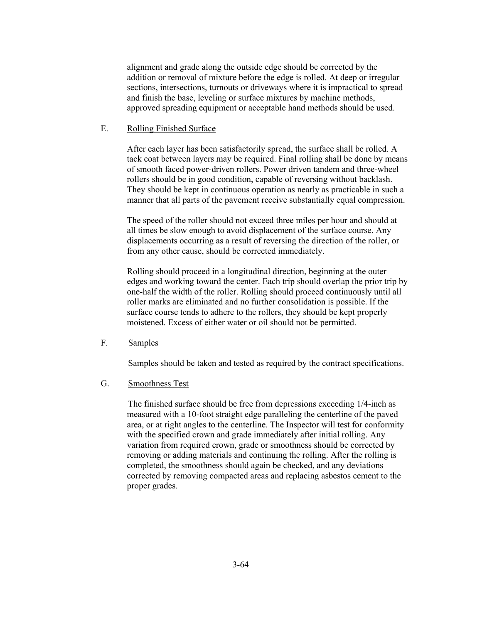alignment and grade along the outside edge should be corrected by the addition or removal of mixture before the edge is rolled. At deep or irregular sections, intersections, turnouts or driveways where it is impractical to spread and finish the base, leveling or surface mixtures by machine methods, approved spreading equipment or acceptable hand methods should be used.

#### E. Rolling Finished Surface

After each layer has been satisfactorily spread, the surface shall be rolled. A tack coat between layers may be required. Final rolling shall be done by means of smooth faced power-driven rollers. Power driven tandem and three-wheel rollers should be in good condition, capable of reversing without backlash. They should be kept in continuous operation as nearly as practicable in such a manner that all parts of the pavement receive substantially equal compression.

The speed of the roller should not exceed three miles per hour and should at all times be slow enough to avoid displacement of the surface course. Any displacements occurring as a result of reversing the direction of the roller, or from any other cause, should be corrected immediately.

Rolling should proceed in a longitudinal direction, beginning at the outer edges and working toward the center. Each trip should overlap the prior trip by one-half the width of the roller. Rolling should proceed continuously until all roller marks are eliminated and no further consolidation is possible. If the surface course tends to adhere to the rollers, they should be kept properly moistened. Excess of either water or oil should not be permitted.

F. Samples

Samples should be taken and tested as required by the contract specifications.

#### G. Smoothness Test

 The finished surface should be free from depressions exceeding 1/4-inch as measured with a 10-foot straight edge paralleling the centerline of the paved area, or at right angles to the centerline. The Inspector will test for conformity with the specified crown and grade immediately after initial rolling. Any variation from required crown, grade or smoothness should be corrected by removing or adding materials and continuing the rolling. After the rolling is completed, the smoothness should again be checked, and any deviations corrected by removing compacted areas and replacing asbestos cement to the proper grades.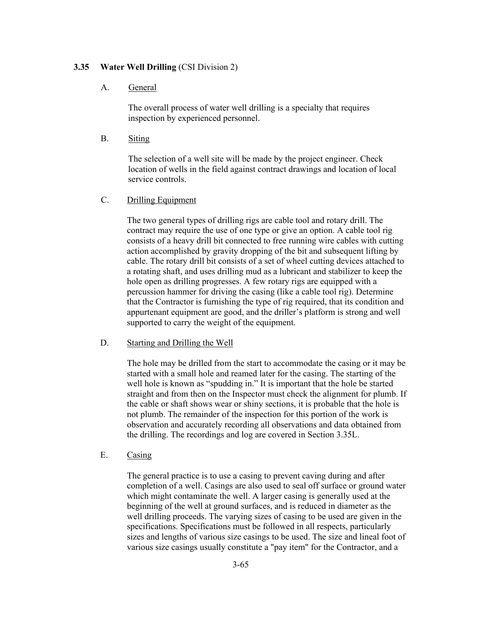#### **3.35 Water Well Drilling** (CSI Division 2)

#### A. General

The overall process of water well drilling is a specialty that requires inspection by experienced personnel.

B. Siting

The selection of a well site will be made by the project engineer. Check location of wells in the field against contract drawings and location of local service controls.

# C. Drilling Equipment

The two general types of drilling rigs are cable tool and rotary drill. The contract may require the use of one type or give an option. A cable tool rig consists of a heavy drill bit connected to free running wire cables with cutting action accomplished by gravity dropping of the bit and subsequent lifting by cable. The rotary drill bit consists of a set of wheel cutting devices attached to a rotating shaft, and uses drilling mud as a lubricant and stabilizer to keep the hole open as drilling progresses. A few rotary rigs are equipped with a percussion hammer for driving the casing (like a cable tool rig). Determine that the Contractor is furnishing the type of rig required, that its condition and appurtenant equipment are good, and the driller's platform is strong and well supported to carry the weight of the equipment.

#### D. Starting and Drilling the Well

The hole may be drilled from the start to accommodate the casing or it may be started with a small hole and reamed later for the casing. The starting of the well hole is known as "spudding in." It is important that the hole be started straight and from then on the Inspector must check the alignment for plumb. If the cable or shaft shows wear or shiny sections, it is probable that the hole is not plumb. The remainder of the inspection for this portion of the work is observation and accurately recording all observations and data obtained from the drilling. The recordings and log are covered in Section 3.35L.

#### E. Casing

The general practice is to use a casing to prevent caving during and after completion of a well. Casings are also used to seal off surface or ground water which might contaminate the well. A larger casing is generally used at the beginning of the well at ground surfaces, and is reduced in diameter as the well drilling proceeds. The varying sizes of casing to be used are given in the specifications. Specifications must be followed in all respects, particularly sizes and lengths of various size casings to be used. The size and lineal foot of various size casings usually constitute a "pay item" for the Contractor, and a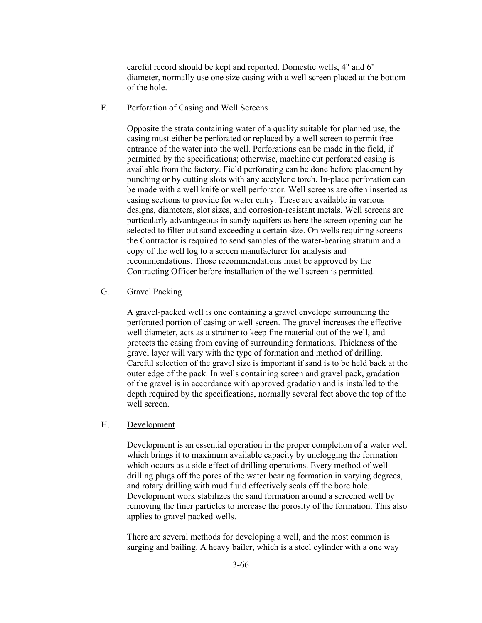careful record should be kept and reported. Domestic wells, 4" and 6" diameter, normally use one size casing with a well screen placed at the bottom of the hole.

#### F. Perforation of Casing and Well Screens

Opposite the strata containing water of a quality suitable for planned use, the casing must either be perforated or replaced by a well screen to permit free entrance of the water into the well. Perforations can be made in the field, if permitted by the specifications; otherwise, machine cut perforated casing is available from the factory. Field perforating can be done before placement by punching or by cutting slots with any acetylene torch. In-place perforation can be made with a well knife or well perforator. Well screens are often inserted as casing sections to provide for water entry. These are available in various designs, diameters, slot sizes, and corrosion-resistant metals. Well screens are particularly advantageous in sandy aquifers as here the screen opening can be selected to filter out sand exceeding a certain size. On wells requiring screens the Contractor is required to send samples of the water-bearing stratum and a copy of the well log to a screen manufacturer for analysis and recommendations. Those recommendations must be approved by the Contracting Officer before installation of the well screen is permitted.

## G. Gravel Packing

A gravel-packed well is one containing a gravel envelope surrounding the perforated portion of casing or well screen. The gravel increases the effective well diameter, acts as a strainer to keep fine material out of the well, and protects the casing from caving of surrounding formations. Thickness of the gravel layer will vary with the type of formation and method of drilling. Careful selection of the gravel size is important if sand is to be held back at the outer edge of the pack. In wells containing screen and gravel pack, gradation of the gravel is in accordance with approved gradation and is installed to the depth required by the specifications, normally several feet above the top of the well screen.

## H. Development

Development is an essential operation in the proper completion of a water well which brings it to maximum available capacity by unclogging the formation which occurs as a side effect of drilling operations. Every method of well drilling plugs off the pores of the water bearing formation in varying degrees, and rotary drilling with mud fluid effectively seals off the bore hole. Development work stabilizes the sand formation around a screened well by removing the finer particles to increase the porosity of the formation. This also applies to gravel packed wells.

There are several methods for developing a well, and the most common is surging and bailing. A heavy bailer, which is a steel cylinder with a one way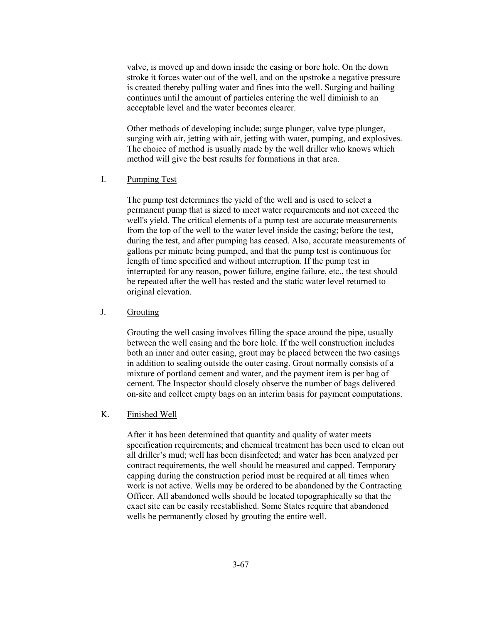valve, is moved up and down inside the casing or bore hole. On the down stroke it forces water out of the well, and on the upstroke a negative pressure is created thereby pulling water and fines into the well. Surging and bailing continues until the amount of particles entering the well diminish to an acceptable level and the water becomes clearer.

Other methods of developing include; surge plunger, valve type plunger, surging with air, jetting with air, jetting with water, pumping, and explosives. The choice of method is usually made by the well driller who knows which method will give the best results for formations in that area.

## I. Pumping Test

The pump test determines the yield of the well and is used to select a permanent pump that is sized to meet water requirements and not exceed the well's yield. The critical elements of a pump test are accurate measurements from the top of the well to the water level inside the casing; before the test, during the test, and after pumping has ceased. Also, accurate measurements of gallons per minute being pumped, and that the pump test is continuous for length of time specified and without interruption. If the pump test in interrupted for any reason, power failure, engine failure, etc., the test should be repeated after the well has rested and the static water level returned to original elevation.

## J. Grouting

Grouting the well casing involves filling the space around the pipe, usually between the well casing and the bore hole. If the well construction includes both an inner and outer casing, grout may be placed between the two casings in addition to sealing outside the outer casing. Grout normally consists of a mixture of portland cement and water, and the payment item is per bag of cement. The Inspector should closely observe the number of bags delivered on-site and collect empty bags on an interim basis for payment computations.

#### K. Finished Well

After it has been determined that quantity and quality of water meets specification requirements; and chemical treatment has been used to clean out all driller's mud; well has been disinfected; and water has been analyzed per contract requirements, the well should be measured and capped. Temporary capping during the construction period must be required at all times when work is not active. Wells may be ordered to be abandoned by the Contracting Officer. All abandoned wells should be located topographically so that the exact site can be easily reestablished. Some States require that abandoned wells be permanently closed by grouting the entire well.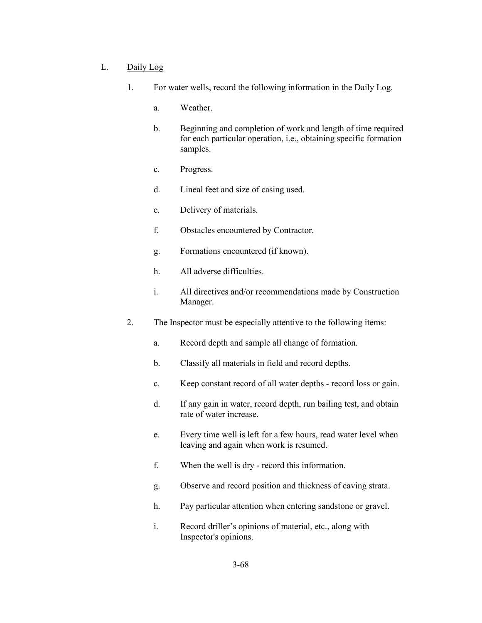## L. Daily Log

- 1. For water wells, record the following information in the Daily Log.
	- a. Weather.
	- b. Beginning and completion of work and length of time required for each particular operation, i.e., obtaining specific formation samples.
	- c. Progress.
	- d. Lineal feet and size of casing used.
	- e. Delivery of materials.
	- f. Obstacles encountered by Contractor.
	- g. Formations encountered (if known).
	- h. All adverse difficulties.
	- i. All directives and/or recommendations made by Construction Manager.
- 2. The Inspector must be especially attentive to the following items:
	- a. Record depth and sample all change of formation.
	- b. Classify all materials in field and record depths.
	- c. Keep constant record of all water depths record loss or gain.
	- d. If any gain in water, record depth, run bailing test, and obtain rate of water increase.
	- e. Every time well is left for a few hours, read water level when leaving and again when work is resumed.
	- f. When the well is dry record this information.
	- g. Observe and record position and thickness of caving strata.
	- h. Pay particular attention when entering sandstone or gravel.
	- i. Record driller's opinions of material, etc., along with Inspector's opinions.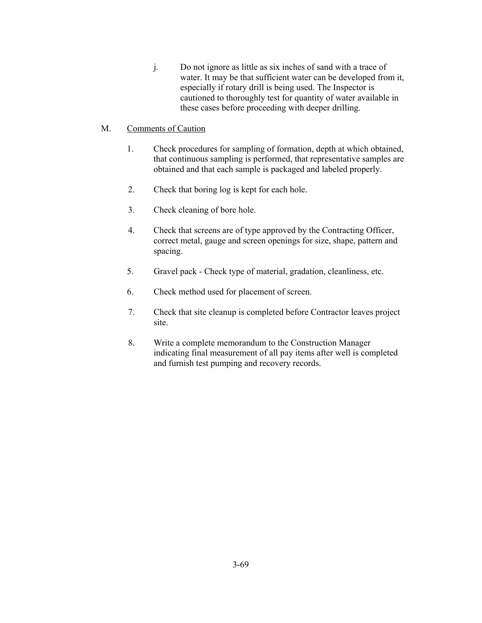j. Do not ignore as little as six inches of sand with a trace of water. It may be that sufficient water can be developed from it, especially if rotary drill is being used. The Inspector is cautioned to thoroughly test for quantity of water available in these cases before proceeding with deeper drilling.

# M. Comments of Caution

- 1. Check procedures for sampling of formation, depth at which obtained, that continuous sampling is performed, that representative samples are obtained and that each sample is packaged and labeled properly.
- 2. Check that boring log is kept for each hole.
- 3. Check cleaning of bore hole.
- 4. Check that screens are of type approved by the Contracting Officer, correct metal, gauge and screen openings for size, shape, pattern and spacing.
- 5. Gravel pack Check type of material, gradation, cleanliness, etc.
- 6. Check method used for placement of screen.
- 7. Check that site cleanup is completed before Contractor leaves project site.
- 8. Write a complete memorandum to the Construction Manager indicating final measurement of all pay items after well is completed and furnish test pumping and recovery records.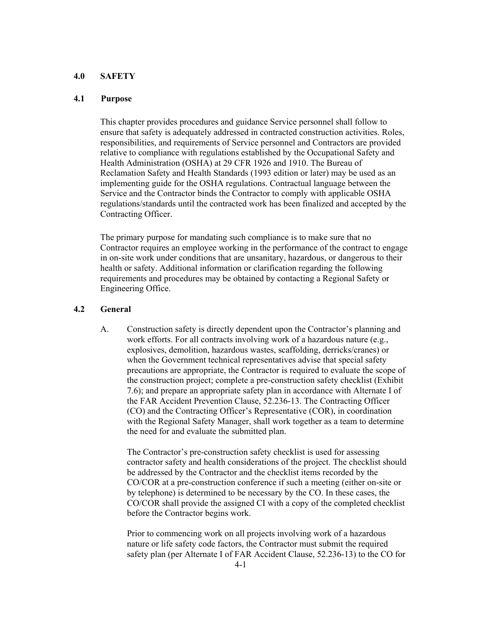## **4.0 SAFETY**

#### **4.1 Purpose**

This chapter provides procedures and guidance Service personnel shall follow to ensure that safety is adequately addressed in contracted construction activities. Roles, responsibilities, and requirements of Service personnel and Contractors are provided relative to compliance with regulations established by the Occupational Safety and Health Administration (OSHA) at 29 CFR 1926 and 1910. The Bureau of Reclamation Safety and Health Standards (1993 edition or later) may be used as an implementing guide for the OSHA regulations. Contractual language between the Service and the Contractor binds the Contractor to comply with applicable OSHA regulations/standards until the contracted work has been finalized and accepted by the Contracting Officer.

The primary purpose for mandating such compliance is to make sure that no Contractor requires an employee working in the performance of the contract to engage in on-site work under conditions that are unsanitary, hazardous, or dangerous to their health or safety. Additional information or clarification regarding the following requirements and procedures may be obtained by contacting a Regional Safety or Engineering Office.

## **4.2 General**

A. Construction safety is directly dependent upon the Contractor's planning and work efforts. For all contracts involving work of a hazardous nature (e.g., explosives, demolition, hazardous wastes, scaffolding, derricks/cranes) or when the Government technical representatives advise that special safety precautions are appropriate, the Contractor is required to evaluate the scope of the construction project; complete a pre-construction safety checklist (Exhibit 7.6); and prepare an appropriate safety plan in accordance with Alternate I of the FAR Accident Prevention Clause, 52.236-13. The Contracting Officer (CO) and the Contracting Officer's Representative (COR), in coordination with the Regional Safety Manager, shall work together as a team to determine the need for and evaluate the submitted plan.

The Contractor's pre-construction safety checklist is used for assessing contractor safety and health considerations of the project. The checklist should be addressed by the Contractor and the checklist items recorded by the CO/COR at a pre-construction conference if such a meeting (either on-site or by telephone) is determined to be necessary by the CO. In these cases, the CO/COR shall provide the assigned CI with a copy of the completed checklist before the Contractor begins work.

Prior to commencing work on all projects involving work of a hazardous nature or life safety code factors, the Contractor must submit the required safety plan (per Alternate I of FAR Accident Clause, 52.236-13) to the CO for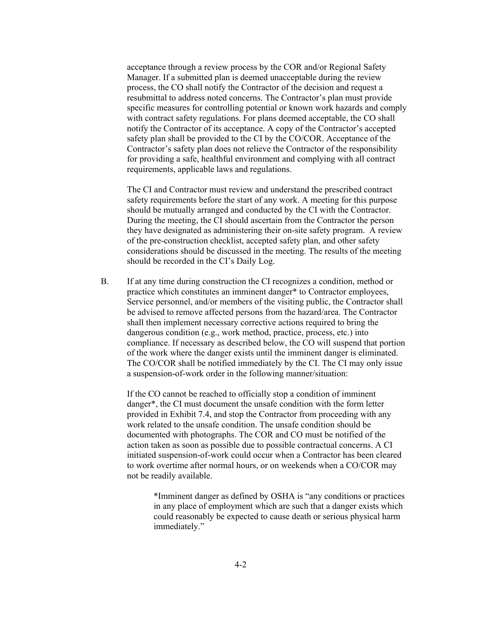acceptance through a review process by the COR and/or Regional Safety Manager. If a submitted plan is deemed unacceptable during the review process, the CO shall notify the Contractor of the decision and request a resubmittal to address noted concerns. The Contractor's plan must provide specific measures for controlling potential or known work hazards and comply with contract safety regulations. For plans deemed acceptable, the CO shall notify the Contractor of its acceptance. A copy of the Contractor's accepted safety plan shall be provided to the CI by the CO/COR. Acceptance of the Contractor's safety plan does not relieve the Contractor of the responsibility for providing a safe, healthful environment and complying with all contract requirements, applicable laws and regulations.

The CI and Contractor must review and understand the prescribed contract safety requirements before the start of any work. A meeting for this purpose should be mutually arranged and conducted by the CI with the Contractor. During the meeting, the CI should ascertain from the Contractor the person they have designated as administering their on-site safety program. A review of the pre-construction checklist, accepted safety plan, and other safety considerations should be discussed in the meeting. The results of the meeting should be recorded in the CI's Daily Log.

 B. If at any time during construction the CI recognizes a condition, method or practice which constitutes an imminent danger\* to Contractor employees, Service personnel, and/or members of the visiting public, the Contractor shall be advised to remove affected persons from the hazard/area. The Contractor shall then implement necessary corrective actions required to bring the dangerous condition (e.g., work method, practice, process, etc.) into compliance. If necessary as described below, the CO will suspend that portion of the work where the danger exists until the imminent danger is eliminated. The CO/COR shall be notified immediately by the CI. The CI may only issue a suspension-of-work order in the following manner/situation:

If the CO cannot be reached to officially stop a condition of imminent danger\*, the CI must document the unsafe condition with the form letter provided in Exhibit 7.4, and stop the Contractor from proceeding with any work related to the unsafe condition. The unsafe condition should be documented with photographs. The COR and CO must be notified of the action taken as soon as possible due to possible contractual concerns. A CI initiated suspension-of-work could occur when a Contractor has been cleared to work overtime after normal hours, or on weekends when a CO/COR may not be readily available.

\*Imminent danger as defined by OSHA is "any conditions or practices in any place of employment which are such that a danger exists which could reasonably be expected to cause death or serious physical harm immediately."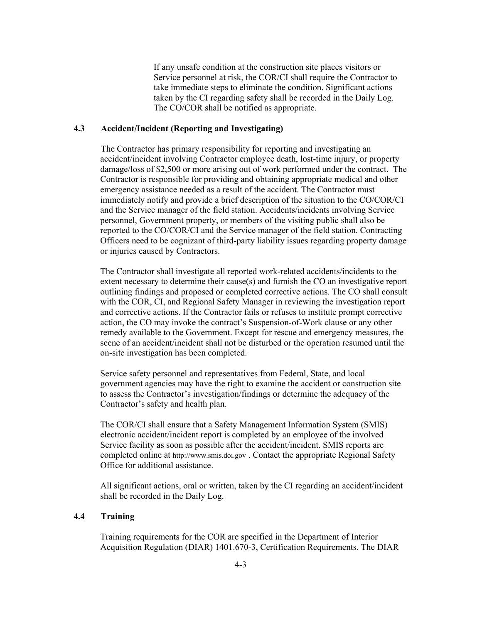If any unsafe condition at the construction site places visitors or Service personnel at risk, the COR/CI shall require the Contractor to take immediate steps to eliminate the condition. Significant actions taken by the CI regarding safety shall be recorded in the Daily Log. The CO/COR shall be notified as appropriate.

### **4.3 Accident/Incident (Reporting and Investigating)**

 The Contractor has primary responsibility for reporting and investigating an accident/incident involving Contractor employee death, lost-time injury, or property damage/loss of \$2,500 or more arising out of work performed under the contract. The Contractor is responsible for providing and obtaining appropriate medical and other emergency assistance needed as a result of the accident. The Contractor must immediately notify and provide a brief description of the situation to the CO/COR/CI and the Service manager of the field station. Accidents/incidents involving Service personnel, Government property, or members of the visiting public shall also be reported to the CO/COR/CI and the Service manager of the field station. Contracting Officers need to be cognizant of third-party liability issues regarding property damage or injuries caused by Contractors.

The Contractor shall investigate all reported work-related accidents/incidents to the extent necessary to determine their cause(s) and furnish the CO an investigative report outlining findings and proposed or completed corrective actions. The CO shall consult with the COR, CI, and Regional Safety Manager in reviewing the investigation report and corrective actions. If the Contractor fails or refuses to institute prompt corrective action, the CO may invoke the contract's Suspension-of-Work clause or any other remedy available to the Government. Except for rescue and emergency measures, the scene of an accident/incident shall not be disturbed or the operation resumed until the on-site investigation has been completed.

Service safety personnel and representatives from Federal, State, and local government agencies may have the right to examine the accident or construction site to assess the Contractor's investigation/findings or determine the adequacy of the Contractor's safety and health plan.

The COR/CI shall ensure that a Safety Management Information System (SMIS) electronic accident/incident report is completed by an employee of the involved Service facility as soon as possible after the accident/incident. SMIS reports are completed online at http://www.smis.doi.gov . Contact the appropriate Regional Safety Office for additional assistance.

All significant actions, oral or written, taken by the CI regarding an accident/incident shall be recorded in the Daily Log.

## **4.4 Training**

Training requirements for the COR are specified in the Department of Interior Acquisition Regulation (DIAR) 1401.670-3, Certification Requirements. The DIAR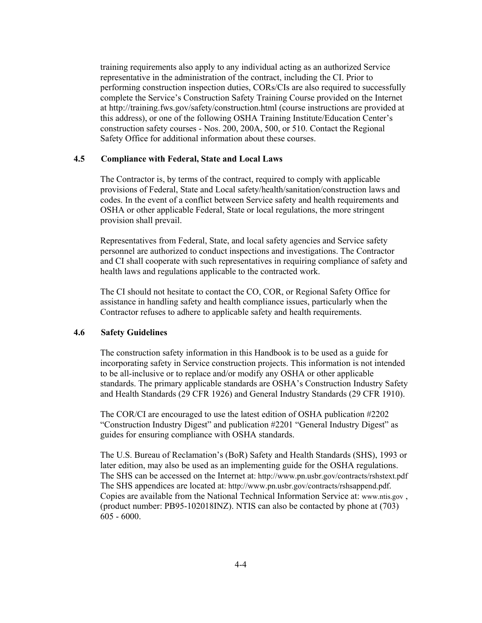training requirements also apply to any individual acting as an authorized Service representative in the administration of the contract, including the CI. Prior to performing construction inspection duties, CORs/CIs are also required to successfully complete the Service's Construction Safety Training Course provided on the Internet at http://training.fws.gov/safety/construction.html (course instructions are provided at this address), or one of the following OSHA Training Institute/Education Center's construction safety courses - Nos. 200, 200A, 500, or 510. Contact the Regional Safety Office for additional information about these courses.

#### **4.5 Compliance with Federal, State and Local Laws**

The Contractor is, by terms of the contract, required to comply with applicable provisions of Federal, State and Local safety/health/sanitation/construction laws and codes. In the event of a conflict between Service safety and health requirements and OSHA or other applicable Federal, State or local regulations, the more stringent provision shall prevail.

Representatives from Federal, State, and local safety agencies and Service safety personnel are authorized to conduct inspections and investigations. The Contractor and CI shall cooperate with such representatives in requiring compliance of safety and health laws and regulations applicable to the contracted work.

The CI should not hesitate to contact the CO, COR, or Regional Safety Office for assistance in handling safety and health compliance issues, particularly when the Contractor refuses to adhere to applicable safety and health requirements.

## **4.6 Safety Guidelines**

The construction safety information in this Handbook is to be used as a guide for incorporating safety in Service construction projects. This information is not intended to be all-inclusive or to replace and/or modify any OSHA or other applicable standards. The primary applicable standards are OSHA's Construction Industry Safety and Health Standards (29 CFR 1926) and General Industry Standards (29 CFR 1910).

The COR/CI are encouraged to use the latest edition of OSHA publication #2202 "Construction Industry Digest" and publication #2201 "General Industry Digest" as guides for ensuring compliance with OSHA standards.

The U.S. Bureau of Reclamation's (BoR) Safety and Health Standards (SHS), 1993 or later edition, may also be used as an implementing guide for the OSHA regulations. The SHS can be accessed on the Internet at: http://www.pn.usbr.gov/contracts/rshstext.pdf The SHS appendices are located at: http://www.pn.usbr.gov/contracts/rshsappend.pdf. Copies are available from the National Technical Information Service at: www.ntis.gov , (product number: PB95-102018INZ). NTIS can also be contacted by phone at (703) 605 - 6000.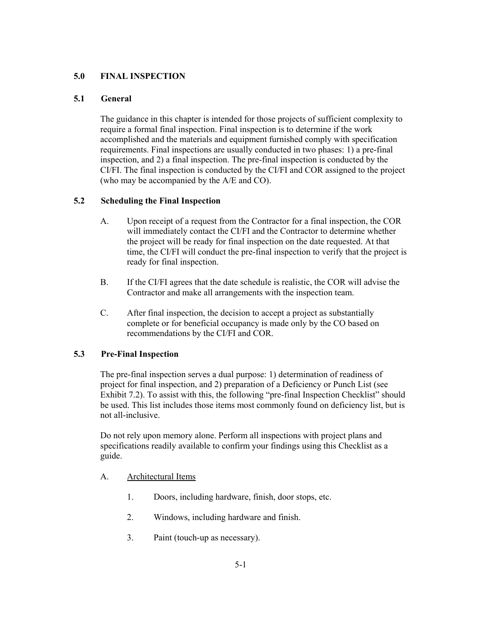# **5.0 FINAL INSPECTION**

# **5.1 General**

The guidance in this chapter is intended for those projects of sufficient complexity to require a formal final inspection. Final inspection is to determine if the work accomplished and the materials and equipment furnished comply with specification requirements. Final inspections are usually conducted in two phases: 1) a pre-final inspection, and 2) a final inspection. The pre-final inspection is conducted by the CI/FI. The final inspection is conducted by the CI/FI and COR assigned to the project (who may be accompanied by the A/E and CO).

# **5.2 Scheduling the Final Inspection**

- A. Upon receipt of a request from the Contractor for a final inspection, the COR will immediately contact the CI/FI and the Contractor to determine whether the project will be ready for final inspection on the date requested. At that time, the CI/FI will conduct the pre-final inspection to verify that the project is ready for final inspection.
- B. If the CI/FI agrees that the date schedule is realistic, the COR will advise the Contractor and make all arrangements with the inspection team.
- C. After final inspection, the decision to accept a project as substantially complete or for beneficial occupancy is made only by the CO based on recommendations by the CI/FI and COR.

# **5.3 Pre-Final Inspection**

The pre-final inspection serves a dual purpose: 1) determination of readiness of project for final inspection, and 2) preparation of a Deficiency or Punch List (see Exhibit 7.2). To assist with this, the following "pre-final Inspection Checklist" should be used. This list includes those items most commonly found on deficiency list, but is not all-inclusive.

Do not rely upon memory alone. Perform all inspections with project plans and specifications readily available to confirm your findings using this Checklist as a guide.

## A. Architectural Items

- 1. Doors, including hardware, finish, door stops, etc.
- 2. Windows, including hardware and finish.
- 3. Paint (touch-up as necessary).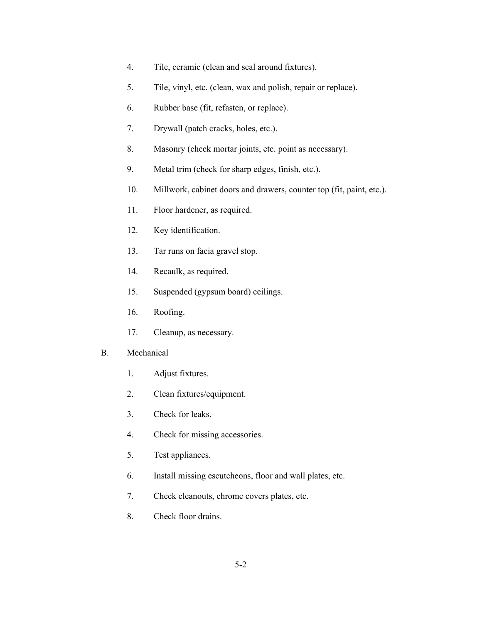- 4. Tile, ceramic (clean and seal around fixtures).
- 5. Tile, vinyl, etc. (clean, wax and polish, repair or replace).
- 6. Rubber base (fit, refasten, or replace).
- 7. Drywall (patch cracks, holes, etc.).
- 8. Masonry (check mortar joints, etc. point as necessary).
- 9. Metal trim (check for sharp edges, finish, etc.).
- 10. Millwork, cabinet doors and drawers, counter top (fit, paint, etc.).
- 11. Floor hardener, as required.
- 12. Key identification.
- 13. Tar runs on facia gravel stop.
- 14. Recaulk, as required.
- 15. Suspended (gypsum board) ceilings.
- 16. Roofing.
- 17. Cleanup, as necessary.

# B. Mechanical

- 1. Adjust fixtures.
- 2. Clean fixtures/equipment.
- 3. Check for leaks.
- 4. Check for missing accessories.
- 5. Test appliances.
- 6. Install missing escutcheons, floor and wall plates, etc.
- 7. Check cleanouts, chrome covers plates, etc.
- 8. Check floor drains.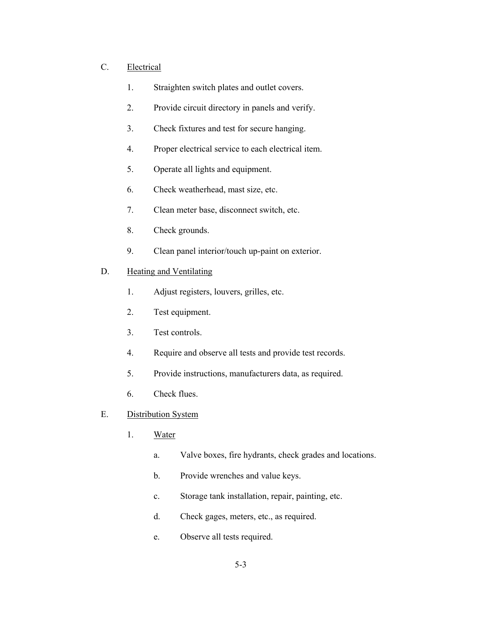# C. Electrical

- 1. Straighten switch plates and outlet covers.
- 2. Provide circuit directory in panels and verify.
- 3. Check fixtures and test for secure hanging.
- 4. Proper electrical service to each electrical item.
- 5. Operate all lights and equipment.
- 6. Check weatherhead, mast size, etc.
- 7. Clean meter base, disconnect switch, etc.
- 8. Check grounds.
- 9. Clean panel interior/touch up-paint on exterior.
- D. Heating and Ventilating
	- 1. Adjust registers, louvers, grilles, etc.
	- 2. Test equipment.
	- 3. Test controls.
	- 4. Require and observe all tests and provide test records.
	- 5. Provide instructions, manufacturers data, as required.
	- 6. Check flues.
- E. Distribution System
	- 1. Water
		- a. Valve boxes, fire hydrants, check grades and locations.
		- b. Provide wrenches and value keys.
		- c. Storage tank installation, repair, painting, etc.
		- d. Check gages, meters, etc., as required.
		- e. Observe all tests required.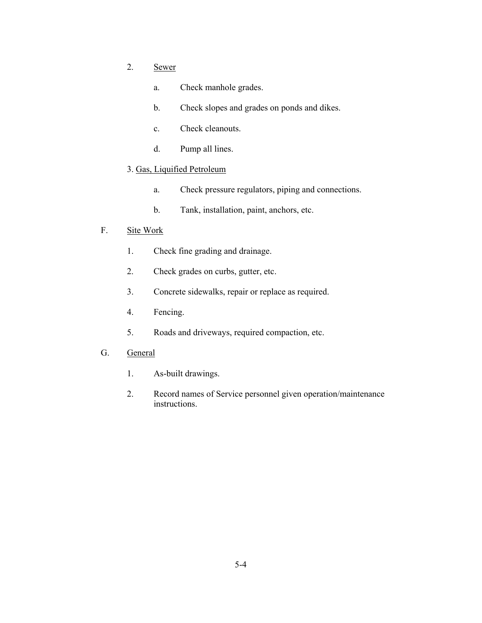- 2. Sewer
	- a. Check manhole grades.
	- b. Check slopes and grades on ponds and dikes.
	- c. Check cleanouts.
	- d. Pump all lines.
- 3. Gas, Liquified Petroleum
	- a. Check pressure regulators, piping and connections.
	- b. Tank, installation, paint, anchors, etc.

# F. Site Work

- 1. Check fine grading and drainage.
- 2. Check grades on curbs, gutter, etc.
- 3. Concrete sidewalks, repair or replace as required.
- 4. Fencing.
- 5. Roads and driveways, required compaction, etc.
- G. General
	- 1. As-built drawings.
	- 2. Record names of Service personnel given operation/maintenance instructions.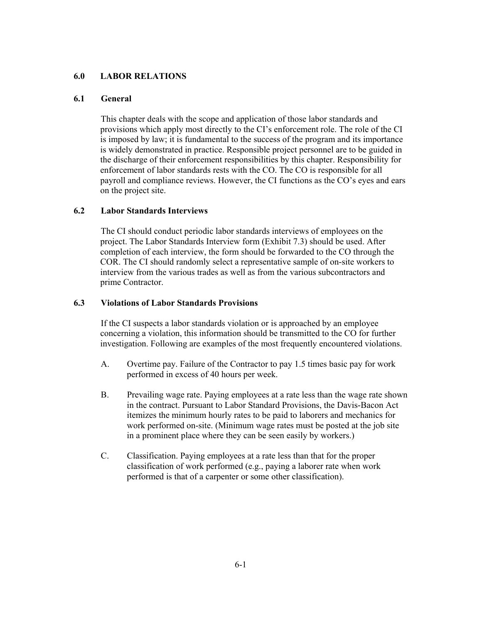## **6.0 LABOR RELATIONS**

## **6.1 General**

 This chapter deals with the scope and application of those labor standards and provisions which apply most directly to the CI's enforcement role. The role of the CI is imposed by law; it is fundamental to the success of the program and its importance is widely demonstrated in practice. Responsible project personnel are to be guided in the discharge of their enforcement responsibilities by this chapter. Responsibility for enforcement of labor standards rests with the CO. The CO is responsible for all payroll and compliance reviews. However, the CI functions as the CO's eyes and ears on the project site.

## **6.2 Labor Standards Interviews**

 The CI should conduct periodic labor standards interviews of employees on the project. The Labor Standards Interview form (Exhibit 7.3) should be used. After completion of each interview, the form should be forwarded to the CO through the COR. The CI should randomly select a representative sample of on-site workers to interview from the various trades as well as from the various subcontractors and prime Contractor.

## **6.3 Violations of Labor Standards Provisions**

 If the CI suspects a labor standards violation or is approached by an employee concerning a violation, this information should be transmitted to the CO for further investigation. Following are examples of the most frequently encountered violations.

- A. Overtime pay. Failure of the Contractor to pay 1.5 times basic pay for work performed in excess of 40 hours per week.
- B. Prevailing wage rate. Paying employees at a rate less than the wage rate shown in the contract. Pursuant to Labor Standard Provisions, the Davis-Bacon Act itemizes the minimum hourly rates to be paid to laborers and mechanics for work performed on-site. (Minimum wage rates must be posted at the job site in a prominent place where they can be seen easily by workers.)
- C. Classification. Paying employees at a rate less than that for the proper classification of work performed (e.g., paying a laborer rate when work performed is that of a carpenter or some other classification).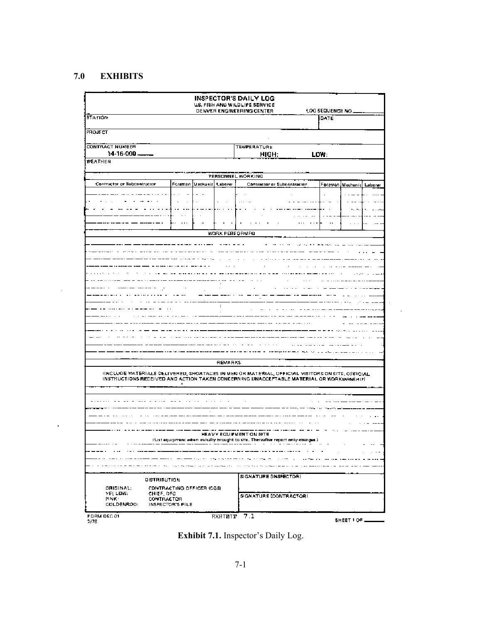# **7.0 EXHIBITS**

 $\sim$ 

 $\sim 100$ 

|                                                                                                                                                                                            |                                           |                            |                      | DENVER ENGINEERING CENTER                                                                                   |   | LOG BEQUENCE NO., |                  |
|--------------------------------------------------------------------------------------------------------------------------------------------------------------------------------------------|-------------------------------------------|----------------------------|----------------------|-------------------------------------------------------------------------------------------------------------|---|-------------------|------------------|
| <b>STATION</b>                                                                                                                                                                             |                                           |                            |                      |                                                                                                             |   | DATE              |                  |
| <b>PROJECT</b>                                                                                                                                                                             |                                           |                            |                      |                                                                                                             |   |                   |                  |
| <b>CONTRACT NUMBER</b>                                                                                                                                                                     |                                           |                            |                      | <b>TEMPERATURE</b>                                                                                          |   |                   |                  |
| $14.16-000$                                                                                                                                                                                |                                           |                            |                      | HIGH:                                                                                                       |   | LOW:              |                  |
| WEATHER                                                                                                                                                                                    |                                           |                            |                      |                                                                                                             |   |                   |                  |
|                                                                                                                                                                                            |                                           |                            |                      | PERSONNEL WORKING                                                                                           |   |                   |                  |
| Contractor or Subcontractor                                                                                                                                                                |                                           | Foraman [Mechanic] Laborer |                      | Contractor or Subcontractor                                                                                 |   | Foreman           | Mechanic Laborer |
|                                                                                                                                                                                            |                                           |                            |                      |                                                                                                             |   |                   |                  |
|                                                                                                                                                                                            |                                           |                            |                      |                                                                                                             |   |                   |                  |
|                                                                                                                                                                                            |                                           |                            |                      |                                                                                                             |   |                   |                  |
|                                                                                                                                                                                            |                                           |                            |                      |                                                                                                             |   |                   |                  |
|                                                                                                                                                                                            |                                           |                            |                      |                                                                                                             |   |                   |                  |
|                                                                                                                                                                                            |                                           |                            |                      |                                                                                                             |   |                   |                  |
|                                                                                                                                                                                            |                                           |                            |                      | WORK PERFORMED.                                                                                             |   |                   |                  |
|                                                                                                                                                                                            |                                           |                            |                      |                                                                                                             |   |                   |                  |
|                                                                                                                                                                                            |                                           |                            |                      |                                                                                                             |   |                   |                  |
|                                                                                                                                                                                            |                                           |                            |                      |                                                                                                             |   |                   |                  |
|                                                                                                                                                                                            |                                           |                            |                      |                                                                                                             |   |                   |                  |
|                                                                                                                                                                                            |                                           |                            |                      |                                                                                                             |   |                   |                  |
|                                                                                                                                                                                            |                                           |                            |                      |                                                                                                             |   |                   |                  |
|                                                                                                                                                                                            |                                           |                            |                      |                                                                                                             |   |                   |                  |
|                                                                                                                                                                                            |                                           |                            |                      |                                                                                                             |   |                   |                  |
|                                                                                                                                                                                            |                                           |                            |                      |                                                                                                             |   |                   |                  |
|                                                                                                                                                                                            |                                           |                            |                      |                                                                                                             |   |                   |                  |
|                                                                                                                                                                                            |                                           |                            | $\ddot{\phantom{a}}$ |                                                                                                             |   |                   |                  |
|                                                                                                                                                                                            |                                           |                            |                      |                                                                                                             |   |                   |                  |
|                                                                                                                                                                                            |                                           |                            |                      |                                                                                                             |   |                   |                  |
|                                                                                                                                                                                            |                                           |                            |                      |                                                                                                             |   |                   |                  |
|                                                                                                                                                                                            |                                           |                            |                      |                                                                                                             |   |                   |                  |
|                                                                                                                                                                                            |                                           |                            |                      |                                                                                                             |   |                   |                  |
|                                                                                                                                                                                            |                                           |                            |                      |                                                                                                             |   |                   |                  |
|                                                                                                                                                                                            |                                           |                            |                      |                                                                                                             |   |                   |                  |
|                                                                                                                                                                                            |                                           |                            | REMARKS              |                                                                                                             |   |                   |                  |
| IINCLUDE MATERIALS DELIVERED, SHORTAGES IN MEN OR MATERIAL, OFFICIAL VISITORS ON SITE, OFFICIAL<br>INSTRUCTIONS RECEIVED AND ACTION TAKEN CONCERNING UNACCEPTABLE MATERIAL OR WORKWANGAIPI | $\mathbf{I}$                              |                            |                      |                                                                                                             |   |                   |                  |
|                                                                                                                                                                                            |                                           |                            |                      |                                                                                                             |   |                   |                  |
|                                                                                                                                                                                            |                                           |                            |                      | HEAVY EQUIPMENT ON SITE<br>(List equipment when initially brought to site. Thereafter report only changes.) | . |                   |                  |
|                                                                                                                                                                                            |                                           |                            |                      |                                                                                                             |   |                   |                  |
|                                                                                                                                                                                            |                                           |                            |                      |                                                                                                             |   |                   |                  |
|                                                                                                                                                                                            |                                           |                            |                      |                                                                                                             |   |                   |                  |
|                                                                                                                                                                                            |                                           |                            |                      | SIGNATURE (INSPECTOR)                                                                                       |   |                   |                  |
|                                                                                                                                                                                            | DISTRIBUTION<br>CONTRACTING OFFICER (CGS) |                            |                      |                                                                                                             |   |                   |                  |
|                                                                                                                                                                                            |                                           |                            |                      |                                                                                                             |   |                   |                  |
| ORIGINAL:<br>YELLOW:                                                                                                                                                                       |                                           |                            |                      |                                                                                                             |   |                   |                  |
| CHIEF, DFC<br><b>PINK</b><br>CONTRACTOR<br>GOLDENROD:                                                                                                                                      | <b>INSPECTOR'S FILE</b>                   |                            |                      | SIGNATURE (CONTRACTORI                                                                                      |   |                   |                  |

**Exhibit 7.1.** Inspector's Daily Log.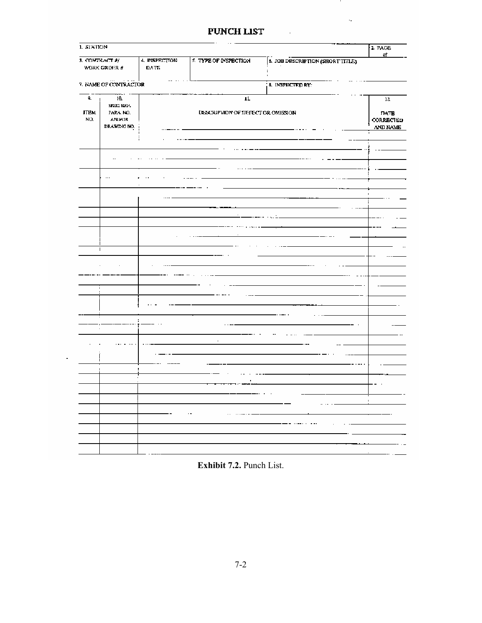| 1. STATION           |                                                 |               |                                   |                                  | 2 PAGE<br>of             |
|----------------------|-------------------------------------------------|---------------|-----------------------------------|----------------------------------|--------------------------|
| 3. CONTRACT #/       |                                                 | 4. INSPECTION | 5. TYPE OF INSPECTION             | 6. JOB DESCRIPTION (SHORT TITLE) |                          |
|                      | <b>WORK ORDER #</b>                             | <b>DATE</b>   |                                   |                                  |                          |
|                      | 7. NAME OF CONTRACTOR                           |               |                                   | .<br>, 8. INSPECTED RY:          |                          |
| 9.                   | 10.                                             |               | 11                                |                                  | 12                       |
| <b>ITEM</b><br>NO.   | SPECI RPP.<br>PARA NO.<br>ANIXUR<br>DRAWING NO. |               | DESCRIPTION OF DEFECT OR OMISSION |                                  | <b>DATE</b><br>CORRECTED |
|                      |                                                 |               |                                   |                                  | AND NAME                 |
|                      |                                                 |               |                                   |                                  |                          |
|                      |                                                 |               |                                   |                                  |                          |
|                      | $\cdots$                                        |               |                                   |                                  |                          |
|                      |                                                 |               |                                   |                                  |                          |
|                      |                                                 |               |                                   |                                  |                          |
|                      |                                                 |               |                                   |                                  |                          |
|                      |                                                 |               |                                   |                                  |                          |
|                      |                                                 |               |                                   |                                  |                          |
|                      |                                                 |               |                                   |                                  |                          |
|                      | 1                                               |               |                                   |                                  |                          |
|                      |                                                 |               |                                   |                                  |                          |
|                      |                                                 |               |                                   |                                  |                          |
| $\ddot{\phantom{a}}$ |                                                 |               |                                   |                                  |                          |
|                      |                                                 |               |                                   |                                  |                          |
|                      |                                                 |               |                                   |                                  |                          |
|                      |                                                 |               |                                   |                                  |                          |
|                      |                                                 |               |                                   |                                  |                          |
|                      |                                                 |               | $\ddot{\phantom{a}}$              |                                  |                          |
|                      |                                                 |               |                                   |                                  |                          |
|                      |                                                 |               |                                   |                                  |                          |
|                      |                                                 |               |                                   |                                  |                          |
|                      |                                                 |               |                                   |                                  |                          |
|                      |                                                 |               |                                   | ————————————                     | $\ddot{\phantom{0}}$     |
|                      |                                                 |               |                                   |                                  | <b>.</b>                 |
|                      |                                                 |               |                                   | —————————————————                | -                        |
|                      |                                                 |               |                                   |                                  | -                        |
|                      |                                                 |               |                                   |                                  | - . -<br>                |

# PUNCH LIST

 $\sim$ 

 $\hat{\phi}$ 

**Exhibit 7.2.** Punch List.

 $\blacksquare$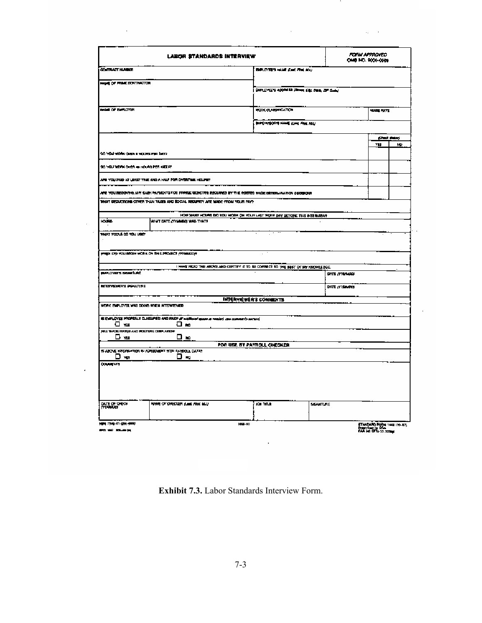|                                                | LABOR STANDARDS INTERVIEW                                                                                     |                                                                                  |                                          | FORM APPROVED<br>CHAB NO. 9000-0089                                      |
|------------------------------------------------|---------------------------------------------------------------------------------------------------------------|----------------------------------------------------------------------------------|------------------------------------------|--------------------------------------------------------------------------|
| <b>CONTRACT NUMBER</b>                         |                                                                                                               | BAPLOVER'S WHAT GAVE FIVE MAY                                                    |                                          |                                                                          |
| HANG OF RISK DONTINGTON                        |                                                                                                               |                                                                                  |                                          |                                                                          |
|                                                |                                                                                                               |                                                                                  | DIFLORE'S ADDRESS ABOVE CAL SER, 29 Game |                                                                          |
| <b>WAS OF BUILDING</b>                         |                                                                                                               | WURK CLARAPPEATEN                                                                |                                          | WANG PATE                                                                |
|                                                |                                                                                                               | <b>BUREAUSORS NAME AND AND</b>                                                   |                                          |                                                                          |
|                                                |                                                                                                               |                                                                                  |                                          | (Wheat Bullet)                                                           |
|                                                |                                                                                                               |                                                                                  |                                          | TIS<br>ND                                                                |
| <b>CO YOU WORK QUEEN II NELES PER DICT?</b>    |                                                                                                               |                                                                                  |                                          |                                                                          |
| DO YOU WORK OVER 40 HOURS PER WEEK?            |                                                                                                               |                                                                                  |                                          |                                                                          |
|                                                | nne year paed at least year and a half for dwenter heliney                                                    |                                                                                  |                                          |                                                                          |
|                                                | ANE YOU RECENTIVE ANY CASH PAYMENTS FOR FRANKE SEMETHS RECURRED BY THE FOSTED WADE DISTINGUINATION ORCHARDING |                                                                                  |                                          |                                                                          |
|                                                | INVATIOISLACTIONS CITYER THAN TAXES AND \$DCIAL SECURITY ARE SAIDE FROM YOUR PAY?                             |                                                                                  |                                          |                                                                          |
|                                                |                                                                                                               | HOW SAMY HOURS DID YOU WORK ON YOUR LAST WORK DAY BEFORE THIS INTERVIEW?         |                                          |                                                                          |
| <b>HOURS</b>                                   | WHAT DATE COMMON WAS THAT!                                                                                    |                                                                                  |                                          |                                                                          |
| MART FORLA CO TON USEF                         |                                                                                                               |                                                                                  |                                          |                                                                          |
|                                                |                                                                                                               |                                                                                  |                                          |                                                                          |
|                                                |                                                                                                               |                                                                                  |                                          |                                                                          |
|                                                | WHEDI DRO YOU BEGIN WORK ON THIS PROJECT (VYIMLEOUT                                                           |                                                                                  |                                          |                                                                          |
|                                                |                                                                                                               | I HAVE FIELD THE ARCHE AND CENTIFY IT TO BE CORRECT TO THE MEST OF MY KNOWLEDGE. |                                          |                                                                          |
| <b>BURLEYER'S BRANTING</b>                     |                                                                                                               |                                                                                  | DATE (YN AWOD)                           |                                                                          |
| INTERVIEWER'S PEAUTURE                         |                                                                                                               |                                                                                  | DATE (YYELHOO)                           |                                                                          |
|                                                |                                                                                                               |                                                                                  |                                          |                                                                          |
| WORK ENPLOYEE WAS DOING WHEN INTERVIEWED       |                                                                                                               | INTERVIEWER'S COMMENTS                                                           |                                          |                                                                          |
|                                                |                                                                                                               |                                                                                  |                                          |                                                                          |
|                                                | IS EVERYONES PROPERLY CLUBBARED AND PROTECTIVE analysis space is readed use comments section)                 |                                                                                  |                                          |                                                                          |
| O was<br>ARE TAKEN FATES AND POSTERS DEPLAYED? | □⊷                                                                                                            |                                                                                  |                                          |                                                                          |
| Ҧ-жа                                           | □ ⊷                                                                                                           |                                                                                  |                                          |                                                                          |
|                                                |                                                                                                               | FOR USE BY PAYROLL CHECKER                                                       |                                          |                                                                          |
|                                                | 15 ABCNE WFORMATION IN ARRIBEMENT WITH PAYIROLL DATA!                                                         |                                                                                  |                                          |                                                                          |
| ᄆᇷ                                             | ⊃≂                                                                                                            |                                                                                  |                                          |                                                                          |
| <b>COUNTERTS</b>                               |                                                                                                               |                                                                                  |                                          |                                                                          |
|                                                |                                                                                                               |                                                                                  |                                          |                                                                          |
| DATE OF ORECA:<br>(Y) AMARO                    | NAME OF OPECATER (Last First MJJ)                                                                             | <b>JOHN TITLE</b>                                                                | SIGNATURE                                |                                                                          |
|                                                |                                                                                                               |                                                                                  |                                          |                                                                          |
| NEW 7549-01-004-9800                           |                                                                                                               | <b>HNL-101</b>                                                                   |                                          | STANDARD PORSI 1441 110-871<br>President by DSA<br>FAR (40 OPA) 55.520kg |

 $\cdot$ 

**Exhibit 7.3.** Labor Standards Interview Form.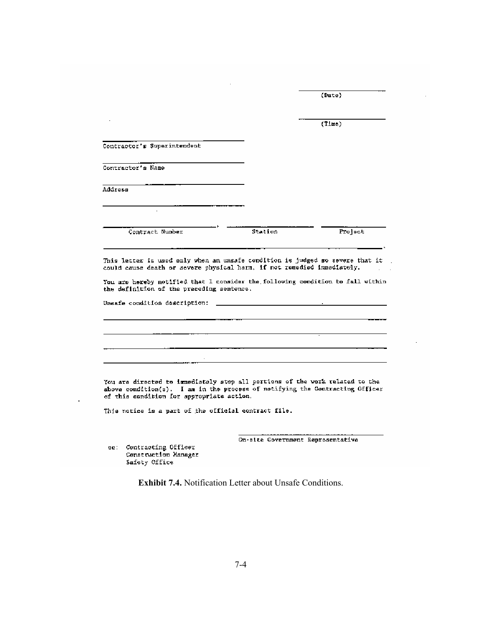|                                                                                                                                                                                                                                                                   |                                                                 | (Date)  |
|-------------------------------------------------------------------------------------------------------------------------------------------------------------------------------------------------------------------------------------------------------------------|-----------------------------------------------------------------|---------|
|                                                                                                                                                                                                                                                                   |                                                                 |         |
|                                                                                                                                                                                                                                                                   |                                                                 | (Time)  |
| Contractor's Superintendent                                                                                                                                                                                                                                       |                                                                 |         |
| Contractor's Name                                                                                                                                                                                                                                                 |                                                                 |         |
| Address                                                                                                                                                                                                                                                           |                                                                 |         |
|                                                                                                                                                                                                                                                                   |                                                                 |         |
| Contract Number                                                                                                                                                                                                                                                   | Station                                                         | Project |
| Unsafe condition description:                                                                                                                                                                                                                                     | the control of the control of the control of the control of the |         |
|                                                                                                                                                                                                                                                                   |                                                                 |         |
| You are directed to immediately stop all portions of the work related to the<br>above condition(s). I am in the process of notifying the Contracting Officer<br>of this condition for appropriate action.<br>This notice is a part of the official contract file. |                                                                 |         |
|                                                                                                                                                                                                                                                                   | On-alte Government Representative                               |         |
| Contracting Officer<br>cc :<br>Construction Manager<br>Safety Office                                                                                                                                                                                              |                                                                 |         |

 $\overline{\phantom{a}}$ 

**Exhibit 7.4.** Notification Letter about Unsafe Conditions.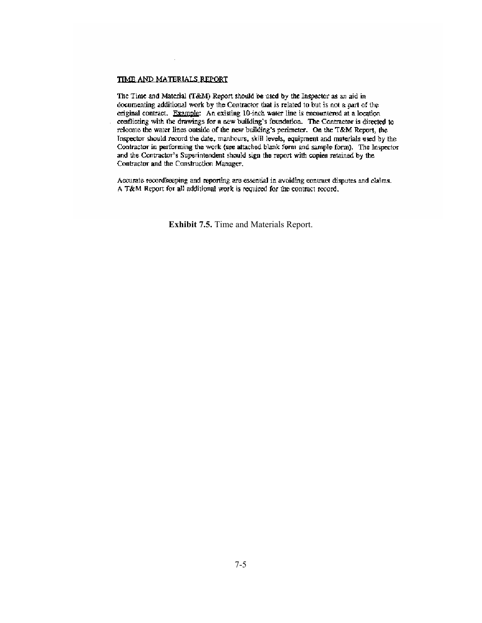#### TIME AND MATERIALS REPORT

The Time and Material (T&M) Report should be used by the Inspector as an aid in documenting additional work by the Contractor that is related to but is not a part of the original contract. Example: An existing 10-inch water line is encountered at a location conflicting with the drawings for a new building's foundation. The Contractor is directed to relocate the water lines outside of the new building's perimeter. On the T&M Report, the Inspector should record the date, manhours, skill levels, equipment and materials used by the Contractor in performing the work (see attached blank form and sample form). The Inspector and the Contractor's Superintendent should sign the report with copies retained by the Contractor and the Construction Manager,

Accurate recordkeeping and reporting are essential in avoiding contract disputes and claims. A T&M Report for all additional work is required for the contract record.

**Exhibit 7.5.** Time and Materials Report.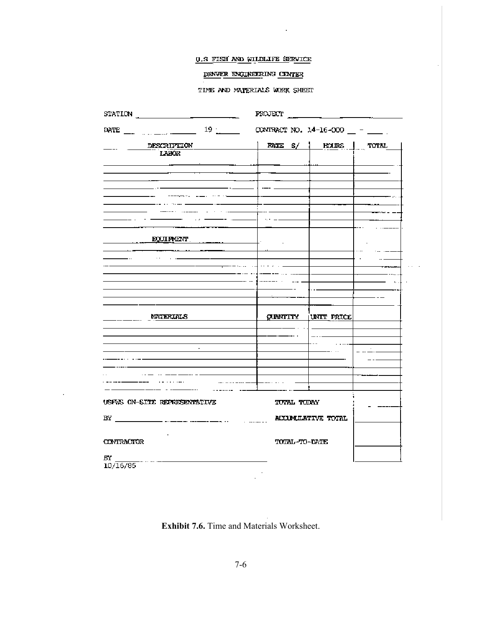#### U.S FISH AND WILDLIFE SERVICE

 $\sim 10^{-11}$ 

# DENVER ENGINEERING CENTER

#### TIME AND MATERIALS WORK SHEET

| STATION                                                      | PROJECT            |                            |        |
|--------------------------------------------------------------|--------------------|----------------------------|--------|
| DATE __ _ _ _ _ _ _ _ _ _ _ _ OCNTRACT NO. 14-16-000 _ - _ _ |                    |                            |        |
| DESCRIPTION                                                  |                    | RATE S/   ROURS   TOTAL    |        |
| LABOR                                                        |                    |                            |        |
|                                                              |                    |                            |        |
|                                                              |                    |                            |        |
|                                                              |                    |                            |        |
|                                                              |                    |                            |        |
|                                                              |                    |                            |        |
| $=$ $-$                                                      |                    |                            |        |
|                                                              |                    |                            |        |
| <b>EQUIPMENT</b>                                             | I.                 |                            |        |
|                                                              |                    |                            |        |
| $\sim$                                                       |                    |                            |        |
|                                                              | ----- --- -- - - - |                            |        |
|                                                              |                    |                            |        |
|                                                              |                    |                            | ٠.,    |
|                                                              |                    |                            |        |
|                                                              |                    |                            |        |
| <b>MATERIALS</b>                                             |                    | <b>CUBNITTY</b> UNIT PRICE |        |
|                                                              |                    |                            |        |
|                                                              |                    |                            |        |
| $\sim$                                                       |                    |                            | $\sim$ |
|                                                              |                    |                            |        |
|                                                              |                    |                            |        |
|                                                              |                    |                            |        |
|                                                              |                    |                            |        |
| USFWS ON-SITE REPRESENTATIVE                                 | TOTAL TODAY        |                            |        |
|                                                              |                    |                            |        |
|                                                              |                    | <b>ACCUMULATIVE TOTAL</b>  |        |
|                                                              |                    |                            |        |
| <b>CONTRACTOR</b>                                            | TOTAL-TO-DATE      |                            |        |
| BY .                                                         |                    |                            |        |
| 10/16/85                                                     |                    |                            |        |
|                                                              |                    |                            |        |

**Exhibit 7.6.** Time and Materials Worksheet.

 $\epsilon$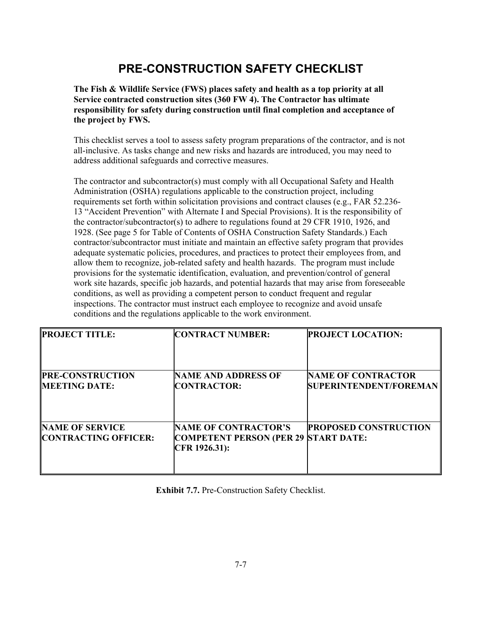# **PRE-CONSTRUCTION SAFETY CHECKLIST**

**The Fish & Wildlife Service (FWS) places safety and health as a top priority at all Service contracted construction sites (360 FW 4). The Contractor has ultimate responsibility for safety during construction until final completion and acceptance of the project by FWS.**

This checklist serves a tool to assess safety program preparations of the contractor, and is not all-inclusive. As tasks change and new risks and hazards are introduced, you may need to address additional safeguards and corrective measures.

The contractor and subcontractor(s) must comply with all Occupational Safety and Health Administration (OSHA) regulations applicable to the construction project, including requirements set forth within solicitation provisions and contract clauses (e.g., FAR 52.236- 13 "Accident Prevention" with Alternate I and Special Provisions). It is the responsibility of the contractor/subcontractor(s) to adhere to regulations found at 29 CFR 1910, 1926, and 1928. (See page 5 for Table of Contents of OSHA Construction Safety Standards.) Each contractor/subcontractor must initiate and maintain an effective safety program that provides adequate systematic policies, procedures, and practices to protect their employees from, and allow them to recognize, job-related safety and health hazards. The program must include provisions for the systematic identification, evaluation, and prevention/control of general work site hazards, specific job hazards, and potential hazards that may arise from foreseeable conditions, as well as providing a competent person to conduct frequent and regular inspections. The contractor must instruct each employee to recognize and avoid unsafe conditions and the regulations applicable to the work environment.

| <b>PROJECT TITLE:</b>   | <b>CONTRACT NUMBER:</b>                                      | <b>PROJECT LOCATION:</b>     |
|-------------------------|--------------------------------------------------------------|------------------------------|
| <b>PRE-CONSTRUCTION</b> | <b>NAME AND ADDRESS OF</b>                                   | <b>NAME OF CONTRACTOR</b>    |
| <b>MEETING DATE:</b>    | <b>CONTRACTOR:</b>                                           | SUPERINTENDENT/FOREMAN       |
| <b>NAME OF SERVICE</b>  | <b>NAME OF CONTRACTOR'S</b>                                  | <b>PROPOSED CONSTRUCTION</b> |
| CONTRACTING OFFICER:    | <b>COMPETENT PERSON (PER 29 START DATE:</b><br>CFR 1926.31): |                              |

**Exhibit 7.7.** Pre-Construction Safety Checklist.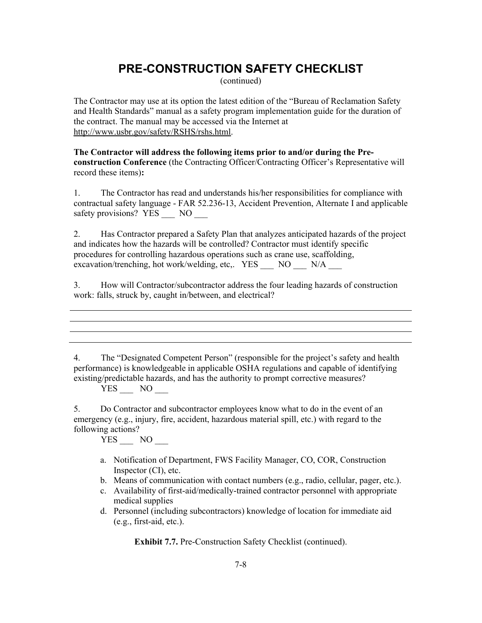# **PRE-CONSTRUCTION SAFETY CHECKLIST**

(continued)

The Contractor may use at its option the latest edition of the "Bureau of Reclamation Safety and Health Standards" manual as a safety program implementation guide for the duration of the contract. The manual may be accessed via the Internet at http://www.usbr.gov/safety/RSHS/rshs.html.

# **The Contractor will address the following items prior to and/or during the Preconstruction Conference** (the Contracting Officer/Contracting Officer's Representative will record these items)**:**

1. The Contractor has read and understands his/her responsibilities for compliance with contractual safety language - FAR 52.236-13, Accident Prevention, Alternate I and applicable safety provisions? YES \_\_\_ NO \_\_\_

2. Has Contractor prepared a Safety Plan that analyzes anticipated hazards of the project and indicates how the hazards will be controlled? Contractor must identify specific procedures for controlling hazardous operations such as crane use, scaffolding, excavation/trenching, hot work/welding, etc,. YES NO N/A

3. How will Contractor/subcontractor address the four leading hazards of construction work: falls, struck by, caught in/between, and electrical?

4. The "Designated Competent Person" (responsible for the project's safety and health performance) is knowledgeable in applicable OSHA regulations and capable of identifying existing/predictable hazards, and has the authority to prompt corrective measures?

YES NO

5. Do Contractor and subcontractor employees know what to do in the event of an emergency (e.g., injury, fire, accident, hazardous material spill, etc.) with regard to the following actions?

YES NO

- a. Notification of Department, FWS Facility Manager, CO, COR, Construction Inspector (CI), etc.
- b. Means of communication with contact numbers (e.g., radio, cellular, pager, etc.).
- c. Availability of first-aid/medically-trained contractor personnel with appropriate medical supplies
- d. Personnel (including subcontractors) knowledge of location for immediate aid (e.g., first-aid, etc.).

**Exhibit 7.7.** Pre-Construction Safety Checklist (continued).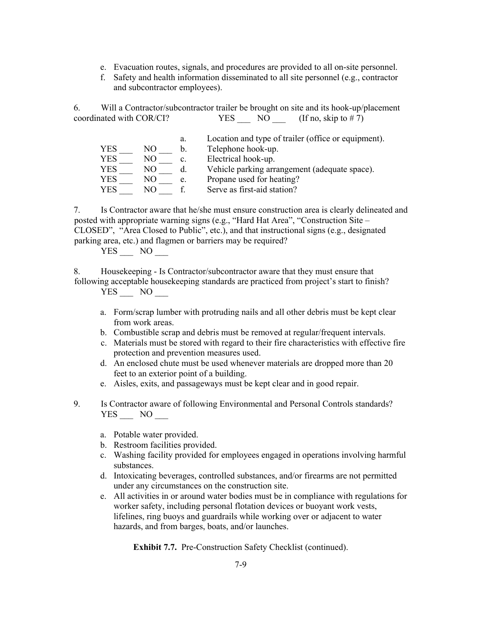- e. Evacuation routes, signals, and procedures are provided to all on-site personnel.
- f. Safety and health information disseminated to all site personnel (e.g., contractor and subcontractor employees).

6. Will a Contractor/subcontractor trailer be brought on site and its hook-up/placement coordinated with COR/CI?  $YES$  NO  $(If no, skip to # 7)$ 

|            |    | a. | Location and type of trailer (office or equipment). |
|------------|----|----|-----------------------------------------------------|
| YES        | NO | b. | Telephone hook-up.                                  |
| YES        | NΟ | c. | Electrical hook-up.                                 |
| YES        | NΟ |    | Vehicle parking arrangement (adequate space).       |
| YES        | NО | e. | Propane used for heating?                           |
| <b>YES</b> | NO |    | Serve as first-aid station?                         |

7. Is Contractor aware that he/she must ensure construction area is clearly delineated and posted with appropriate warning signs (e.g., "Hard Hat Area", "Construction Site – CLOSED", "Area Closed to Public", etc.), and that instructional signs (e.g., designated parking area, etc.) and flagmen or barriers may be required?

 $YES$  NO  $\_\_$ 

8. Housekeeping - Is Contractor/subcontractor aware that they must ensure that following acceptable housekeeping standards are practiced from project's start to finish?

YES NO

- a. Form/scrap lumber with protruding nails and all other debris must be kept clear from work areas.
- b. Combustible scrap and debris must be removed at regular/frequent intervals.
- c. Materials must be stored with regard to their fire characteristics with effective fire protection and prevention measures used.
- d. An enclosed chute must be used whenever materials are dropped more than 20 feet to an exterior point of a building.
- e. Aisles, exits, and passageways must be kept clear and in good repair.
- 9. Is Contractor aware of following Environmental and Personal Controls standards? YES NO
	- a. Potable water provided.
	- b. Restroom facilities provided.
	- c. Washing facility provided for employees engaged in operations involving harmful substances.
	- d. Intoxicating beverages, controlled substances, and/or firearms are not permitted under any circumstances on the construction site.
	- e. All activities in or around water bodies must be in compliance with regulations for worker safety, including personal flotation devices or buoyant work vests, lifelines, ring buoys and guardrails while working over or adjacent to water hazards, and from barges, boats, and/or launches.

**Exhibit 7.7.** Pre-Construction Safety Checklist (continued).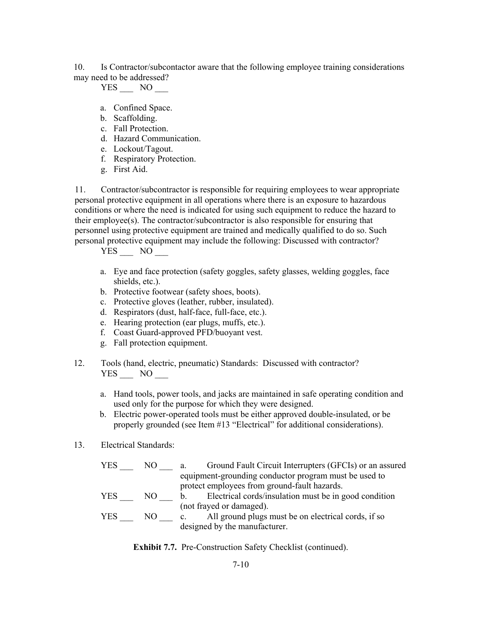10. Is Contractor/subcontactor aware that the following employee training considerations may need to be addressed?

YES NO

- a. Confined Space.
- b. Scaffolding.
- c. Fall Protection.
- d. Hazard Communication.
- e. Lockout/Tagout.
- f. Respiratory Protection.
- g. First Aid.

11. Contractor/subcontractor is responsible for requiring employees to wear appropriate personal protective equipment in all operations where there is an exposure to hazardous conditions or where the need is indicated for using such equipment to reduce the hazard to their employee(s). The contractor/subcontractor is also responsible for ensuring that personnel using protective equipment are trained and medically qualified to do so. Such personal protective equipment may include the following: Discussed with contractor?

 $YES$  NO  $\_\_$ 

- a. Eye and face protection (safety goggles, safety glasses, welding goggles, face shields, etc.).
- b. Protective footwear (safety shoes, boots).
- c. Protective gloves (leather, rubber, insulated).
- d. Respirators (dust, half-face, full-face, etc.).
- e. Hearing protection (ear plugs, muffs, etc.).
- f. Coast Guard-approved PFD/buoyant vest.
- g. Fall protection equipment.
- 12. Tools (hand, electric, pneumatic) Standards: Discussed with contractor? YES NO
	- a. Hand tools, power tools, and jacks are maintained in safe operating condition and used only for the purpose for which they were designed.
	- b. Electric power-operated tools must be either approved double-insulated, or be properly grounded (see Item #13 "Electrical" for additional considerations).
- 13. Electrical Standards:

| YES        | NC  | Ground Fault Circuit Interrupters (GFCIs) or an assured<br>a. |
|------------|-----|---------------------------------------------------------------|
|            |     | equipment-grounding conductor program must be used to         |
|            |     | protect employees from ground-fault hazards.                  |
| YES        | NO. | Electrical cords/insulation must be in good condition         |
|            |     | (not frayed or damaged).                                      |
| <b>YES</b> | NO  | All ground plugs must be on electrical cords, if so           |
|            |     | designed by the manufacturer.                                 |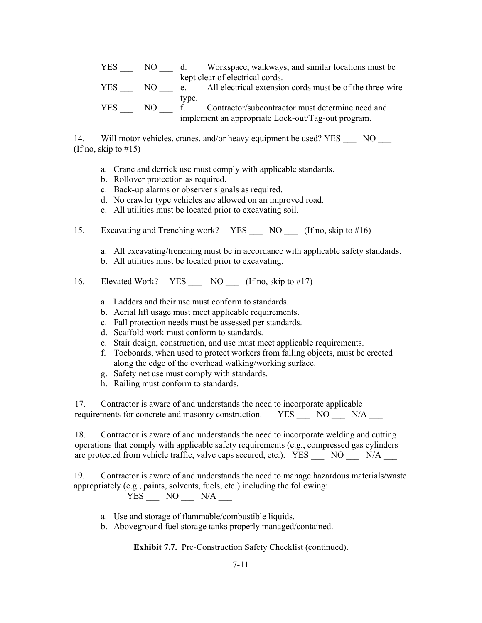| YES | NO. | Workspace, walkways, and similar locations must be.            |
|-----|-----|----------------------------------------------------------------|
|     |     | kept clear of electrical cords.                                |
| YES | NO. | All electrical extension cords must be of the three-wire<br>e. |
|     |     | type.                                                          |
| YES | NO. | Contractor/subcontractor must determine need and               |
|     |     | implement an appropriate Lock-out/Tag-out program.             |

14. Will motor vehicles, cranes, and/or heavy equipment be used? YES NO (If no, skip to  $\#15$ )

- a. Crane and derrick use must comply with applicable standards.
- b. Rollover protection as required.
- c. Back-up alarms or observer signals as required.
- d. No crawler type vehicles are allowed on an improved road.
- e. All utilities must be located prior to excavating soil.

15. Excavating and Trenching work? YES NO (If no, skip to #16)

- a. All excavating/trenching must be in accordance with applicable safety standards.
- b. All utilities must be located prior to excavating.

16. Elevated Work? YES  $NO$  (If no, skip to #17)

- a. Ladders and their use must conform to standards.
- b. Aerial lift usage must meet applicable requirements.
- c. Fall protection needs must be assessed per standards.
- d. Scaffold work must conform to standards.
- e. Stair design, construction, and use must meet applicable requirements.
- f. Toeboards, when used to protect workers from falling objects, must be erected along the edge of the overhead walking/working surface.
- g. Safety net use must comply with standards.
- h. Railing must conform to standards.

17. Contractor is aware of and understands the need to incorporate applicable requirements for concrete and masonry construction. YES \_\_\_ NO \_\_ N/A \_\_

18. Contractor is aware of and understands the need to incorporate welding and cutting operations that comply with applicable safety requirements (e.g., compressed gas cylinders are protected from vehicle traffic, valve caps secured, etc.). YES NO N/A

19. Contractor is aware of and understands the need to manage hazardous materials/waste appropriately (e.g., paints, solvents, fuels, etc.) including the following:

 $YES$  NO  $N/A$ 

- a. Use and storage of flammable/combustible liquids.
- b. Aboveground fuel storage tanks properly managed/contained.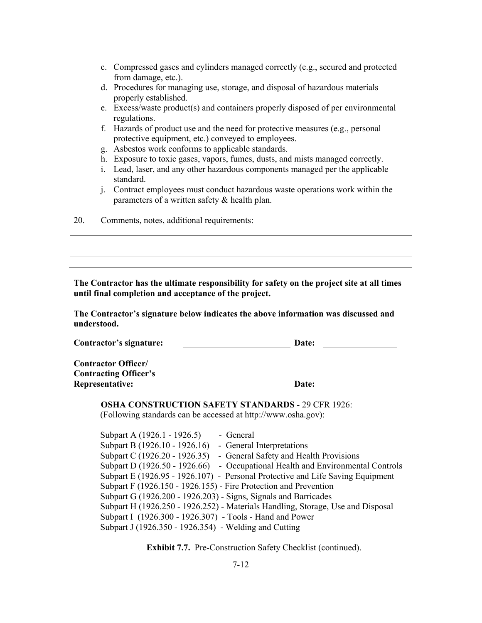- c. Compressed gases and cylinders managed correctly (e.g., secured and protected from damage, etc.).
- d. Procedures for managing use, storage, and disposal of hazardous materials properly established.
- e. Excess/waste product(s) and containers properly disposed of per environmental regulations.
- f. Hazards of product use and the need for protective measures (e.g., personal protective equipment, etc.) conveyed to employees.
- g. Asbestos work conforms to applicable standards.
- h. Exposure to toxic gases, vapors, fumes, dusts, and mists managed correctly.
- i. Lead, laser, and any other hazardous components managed per the applicable standard.
- j. Contract employees must conduct hazardous waste operations work within the parameters of a written safety & health plan.

20. Comments, notes, additional requirements:

**The Contractor has the ultimate responsibility for safety on the project site at all times until final completion and acceptance of the project.**

**The Contractor's signature below indicates the above information was discussed and understood.**

| Contractor's signature:      | Date: |
|------------------------------|-------|
| <b>Contractor Officer/</b>   |       |
| <b>Contracting Officer's</b> |       |
| <b>Representative:</b>       | Date: |

## **OSHA CONSTRUCTION SAFETY STANDARDS** - 29 CFR 1926: (Following standards can be accessed at http://www.osha.gov):

Subpart A (1926.1 - 1926.5) - General Subpart B (1926.10 - 1926.16) - General Interpretations Subpart C (1926.20 - 1926.35) - General Safety and Health Provisions Subpart D (1926.50 - 1926.66) - Occupational Health and Environmental Controls Subpart E (1926.95 - 1926.107) - Personal Protective and Life Saving Equipment Subpart F (1926.150 - 1926.155) - Fire Protection and Prevention Subpart G (1926.200 - 1926.203) - Signs, Signals and Barricades Subpart H (1926.250 - 1926.252) - Materials Handling, Storage, Use and Disposal Subpart I (1926.300 - 1926.307) - Tools - Hand and Power Subpart J (1926.350 - 1926.354) - Welding and Cutting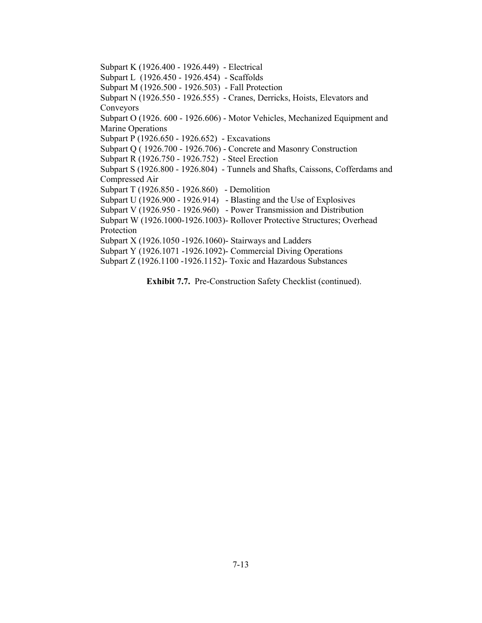Subpart K (1926.400 - 1926.449) - Electrical Subpart L (1926.450 - 1926.454) - Scaffolds Subpart M (1926.500 - 1926.503) - Fall Protection Subpart N (1926.550 - 1926.555) - Cranes, Derricks, Hoists, Elevators and Conveyors Subpart O (1926. 600 - 1926.606) - Motor Vehicles, Mechanized Equipment and Marine Operations Subpart P (1926.650 - 1926.652) - Excavations Subpart Q ( 1926.700 - 1926.706) - Concrete and Masonry Construction Subpart R (1926.750 - 1926.752) - Steel Erection Subpart S (1926.800 - 1926.804) - Tunnels and Shafts, Caissons, Cofferdams and Compressed Air Subpart T (1926.850 - 1926.860) - Demolition Subpart U (1926.900 - 1926.914) - Blasting and the Use of Explosives Subpart V (1926.950 - 1926.960) - Power Transmission and Distribution Subpart W (1926.1000-1926.1003)- Rollover Protective Structures; Overhead Protection Subpart X (1926.1050 -1926.1060)- Stairways and Ladders Subpart Y (1926.1071 -1926.1092)- Commercial Diving Operations Subpart Z (1926.1100 -1926.1152)- Toxic and Hazardous Substances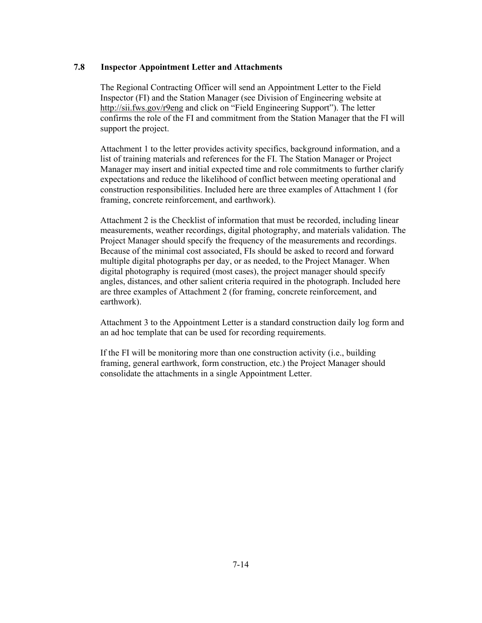## **7.8 Inspector Appointment Letter and Attachments**

The Regional Contracting Officer will send an Appointment Letter to the Field Inspector (FI) and the Station Manager (see Division of Engineering website at http://sii.fws.gov/r9eng and click on "Field Engineering Support"). The letter confirms the role of the FI and commitment from the Station Manager that the FI will support the project.

Attachment 1 to the letter provides activity specifics, background information, and a list of training materials and references for the FI. The Station Manager or Project Manager may insert and initial expected time and role commitments to further clarify expectations and reduce the likelihood of conflict between meeting operational and construction responsibilities. Included here are three examples of Attachment 1 (for framing, concrete reinforcement, and earthwork).

Attachment 2 is the Checklist of information that must be recorded, including linear measurements, weather recordings, digital photography, and materials validation. The Project Manager should specify the frequency of the measurements and recordings. Because of the minimal cost associated, FIs should be asked to record and forward multiple digital photographs per day, or as needed, to the Project Manager. When digital photography is required (most cases), the project manager should specify angles, distances, and other salient criteria required in the photograph. Included here are three examples of Attachment 2 (for framing, concrete reinforcement, and earthwork).

Attachment 3 to the Appointment Letter is a standard construction daily log form and an ad hoc template that can be used for recording requirements.

If the FI will be monitoring more than one construction activity (i.e., building framing, general earthwork, form construction, etc.) the Project Manager should consolidate the attachments in a single Appointment Letter.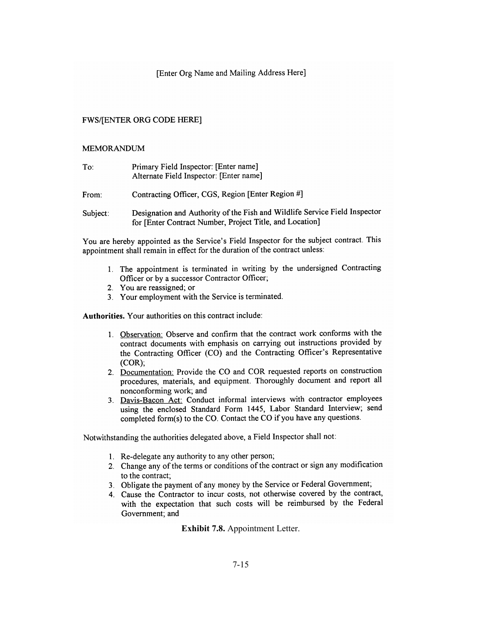# **FWS/[ENTER ORG CODE HERE]**

### **MEMORANDUM**

| To:      | Primary Field Inspector: [Enter name]<br>Alternate Field Inspector: [Enter name]                                                       |
|----------|----------------------------------------------------------------------------------------------------------------------------------------|
| From:    | Contracting Officer, CGS, Region [Enter Region #]                                                                                      |
| Subject: | Designation and Authority of the Fish and Wildlife Service Field Inspector<br>for [Enter Contract Number, Project Title, and Location] |

You are hereby appointed as the Service's Field Inspector for the subject contract. This appointment shall remain in effect for the duration of the contract unless:

- 1. The appointment is terminated in writing by the undersigned Contracting Officer or by a successor Contractor Officer;
- 2. You are reassigned; or
- 3. Your employment with the Service is terminated.

Authorities. Your authorities on this contract include:

- 1. Observation: Observe and confirm that the contract work conforms with the contract documents with emphasis on carrying out instructions provided by the Contracting Officer (CO) and the Contracting Officer's Representative  $(COR)$ ;
- 2. Documentation: Provide the CO and COR requested reports on construction procedures, materials, and equipment. Thoroughly document and report all nonconforming work; and
- 3. Davis-Bacon Act: Conduct informal interviews with contractor employees using the enclosed Standard Form 1445, Labor Standard Interview; send completed form(s) to the CO. Contact the CO if you have any questions.

Notwithstanding the authorities delegated above, a Field Inspector shall not:

- 1. Re-delegate any authority to any other person;
- 2. Change any of the terms or conditions of the contract or sign any modification to the contract;
- 3. Obligate the payment of any money by the Service or Federal Government,
- 4. Cause the Contractor to incur costs, not otherwise covered by the contract, with the expectation that such costs will be reimbursed by the Federal Government; and

**Exhibit 7.8.** Appointment Letter.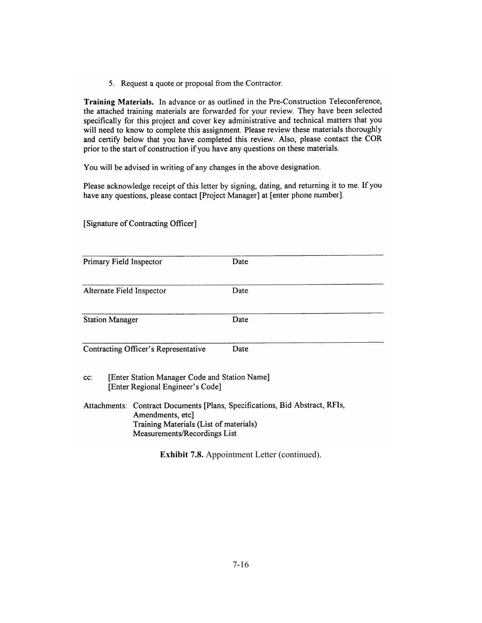5. Request a quote or proposal from the Contractor.

Training Materials. In advance or as outlined in the Pre-Construction Teleconference, the attached training materials are forwarded for your review. They have been selected specifically for this project and cover key administrative and technical matters that you will need to know to complete this assignment. Please review these materials thoroughly and certify below that you have completed this review. Also, please contact the COR prior to the start of construction if you have any questions on these materials.

You will be advised in writing of any changes in the above designation.

Please acknowledge receipt of this letter by signing, dating, and returning it to me. If you have any questions, please contact [Project Manager] at [enter phone number].

| Primary Field Inspector                                                                                                                                                   |                                      | Date                                                |  |  |  |  |
|---------------------------------------------------------------------------------------------------------------------------------------------------------------------------|--------------------------------------|-----------------------------------------------------|--|--|--|--|
| Alternate Field Inspector                                                                                                                                                 |                                      | Date                                                |  |  |  |  |
| <b>Station Manager</b>                                                                                                                                                    |                                      | Date                                                |  |  |  |  |
|                                                                                                                                                                           | Contracting Officer's Representative | Date                                                |  |  |  |  |
| [Enter Station Manager Code and Station Name]<br>$cc$ :<br>[Enter Regional Engineer's Code]                                                                               |                                      |                                                     |  |  |  |  |
| Attachments: Contract Documents [Plans, Specifications, Bid Abstract, RFIs,<br>Amendments, etc]<br>Training Materials (List of materials)<br>Measurements/Recordings List |                                      |                                                     |  |  |  |  |
|                                                                                                                                                                           |                                      | <b>Exhibit 7.8.</b> Appointment Letter (continued). |  |  |  |  |

[Signature of Contracting Officer]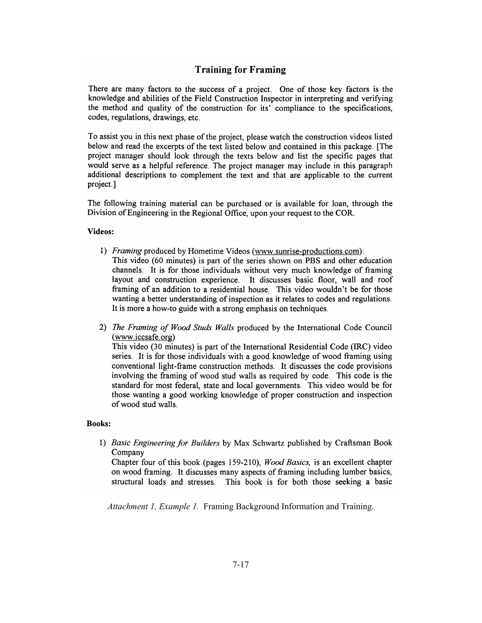# **Training for Framing**

There are many factors to the success of a project. One of those key factors is the knowledge and abilities of the Field Construction Inspector in interpreting and verifying the method and quality of the construction for its' compliance to the specifications, codes, regulations, drawings, etc.

To assist you in this next phase of the project, please watch the construction videos listed below and read the excerpts of the text listed below and contained in this package. [The project manager should look through the texts below and list the specific pages that would serve as a helpful reference. The project manager may include in this paragraph additional descriptions to complement the text and that are applicable to the current project.]

The following training material can be purchased or is available for loan, through the Division of Engineering in the Regional Office, upon your request to the COR.

### Videos:

- 1) Framing produced by Hometime Videos (www.sunrise-productions.com): This video (60 minutes) is part of the series shown on PBS and other education channels. It is for those individuals without very much knowledge of framing layout and construction experience. It discusses basic floor, wall and roof framing of an addition to a residential house. This video wouldn't be for those wanting a better understanding of inspection as it relates to codes and regulations. It is more a how-to guide with a strong emphasis on techniques.
- 2) The Framing of Wood Studs Walls produced by the International Code Council  $(www.icosafe.org)$

This video (30 minutes) is part of the International Residential Code (IRC) video series. It is for those individuals with a good knowledge of wood framing using conventional light-frame construction methods. It discusses the code provisions involving the framing of wood stud walls as required by code. This code is the standard for most federal, state and local governments. This video would be for those wanting a good working knowledge of proper construction and inspection of wood stud walls.

#### **Books:**

1) Basic Engineering for Builders by Max Schwartz published by Craftsman Book Company

Chapter four of this book (pages 159-210), Wood Basics, is an excellent chapter on wood framing. It discusses many aspects of framing including lumber basics, structural loads and stresses. This book is for both those seeking a basic

Attachment 1, Example 1. Framing Background Information and Training.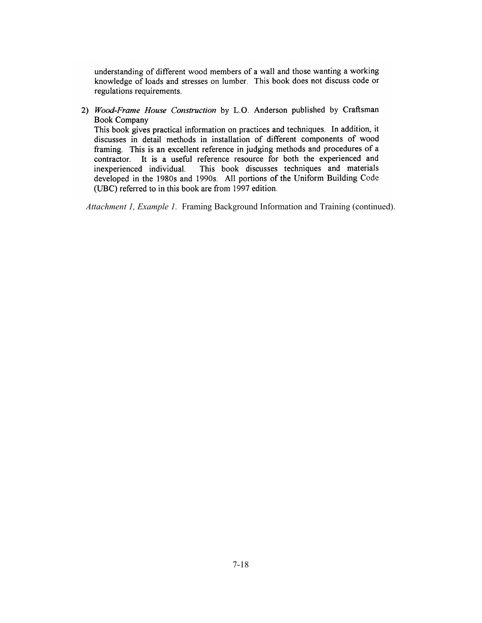understanding of different wood members of a wall and those wanting a working knowledge of loads and stresses on lumber. This book does not discuss code or regulations requirements.

2) Wood-Frame House Construction by L.O. Anderson published by Craftsman **Book Company** 

This book gives practical information on practices and techniques. In addition, it discusses in detail methods in installation of different components of wood framing. This is an excellent reference in judging methods and procedures of a contractor. It is a useful reference resource for both the experienced and This book discusses techniques and materials inexperienced individual. developed in the 1980s and 1990s. All portions of the Uniform Building Code (UBC) referred to in this book are from 1997 edition.

*Attachment 1, Example 1.* Framing Background Information and Training (continued).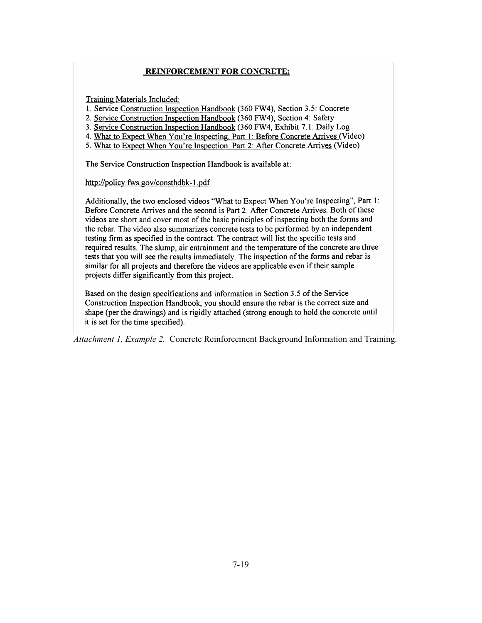## **REINFORCEMENT FOR CONCRETE:**

Training Materials Included:

- 1. Service Construction Inspection Handbook (360 FW4), Section 3.5: Concrete
- 2. Service Construction Inspection Handbook (360 FW4), Section 4: Safety
- 3. Service Construction Inspection Handbook (360 FW4, Exhibit 7.1: Daily Log
- 4. What to Expect When You're Inspecting, Part 1: Before Concrete Arrives (Video)
- 5. What to Expect When You're Inspection. Part 2: After Concrete Arrives (Video)

The Service Construction Inspection Handbook is available at:

http://policy.fws.gov/consthdbk-1.pdf

Additionally, the two enclosed videos "What to Expect When You're Inspecting", Part 1: Before Concrete Arrives and the second is Part 2: After Concrete Arrives. Both of these videos are short and cover most of the basic principles of inspecting both the forms and the rebar. The video also summarizes concrete tests to be performed by an independent testing firm as specified in the contract. The contract will list the specific tests and required results. The slump, air entrainment and the temperature of the concrete are three tests that you will see the results immediately. The inspection of the forms and rebar is similar for all projects and therefore the videos are applicable even if their sample projects differ significantly from this project.

Based on the design specifications and information in Section 3.5 of the Service Construction Inspection Handbook, you should ensure the rebar is the correct size and shape (per the drawings) and is rigidly attached (strong enough to hold the concrete until it is set for the time specified).

*Attachment 1, Example 2.* Concrete Reinforcement Background Information and Training.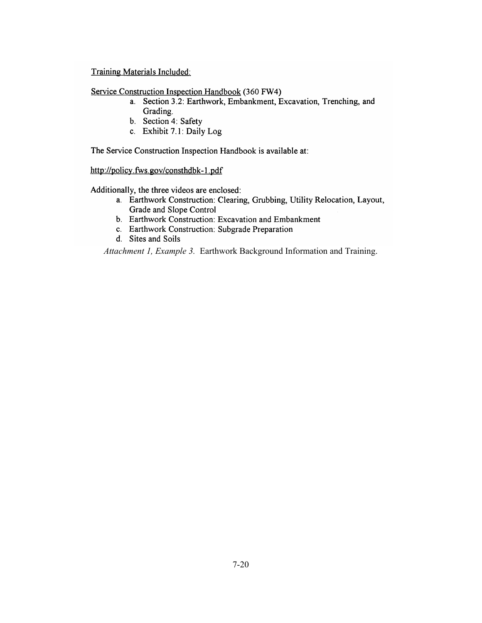Training Materials Included:

Service Construction Inspection Handbook (360 FW4)

- a. Section 3.2: Earthwork, Embankment, Excavation, Trenching, and Grading.
- b. Section 4: Safety
- c. Exhibit 7.1: Daily Log

The Service Construction Inspection Handbook is available at:

http://policy.fws.gov/consthdbk-1.pdf

Additionally, the three videos are enclosed:

- a. Earthwork Construction: Clearing, Grubbing, Utility Relocation, Layout, Grade and Slope Control
- b. Earthwork Construction: Excavation and Embankment
- c. Earthwork Construction: Subgrade Preparation
- d. Sites and Soils

Attachment 1, Example 3. Earthwork Background Information and Training.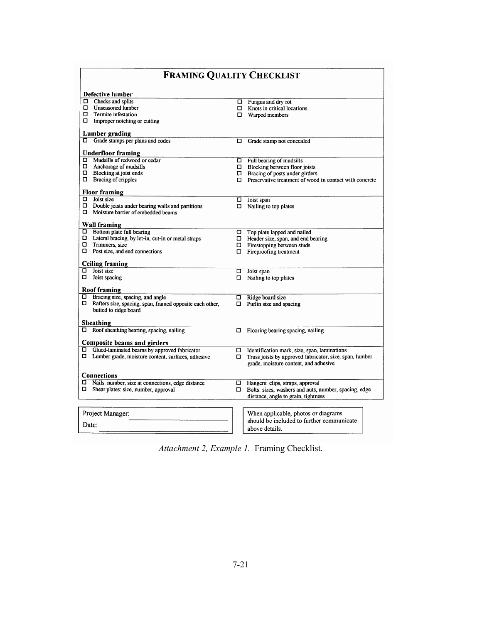| <b>FRAMING QUALITY CHECKLIST</b>                                |        |                                                                |  |  |  |  |
|-----------------------------------------------------------------|--------|----------------------------------------------------------------|--|--|--|--|
| Defective lumber                                                |        |                                                                |  |  |  |  |
| $\Box$ Checks and splits                                        |        | $\Box$ Fungus and dry rot                                      |  |  |  |  |
| □ Unseasoned lumber                                             |        | $\Box$ Knots in critical locations                             |  |  |  |  |
| $\Box$ Termite infestation                                      |        | $\Box$ Warped members                                          |  |  |  |  |
| $\Box$ Improper notching or cutting                             |        |                                                                |  |  |  |  |
| Lumber grading                                                  |        |                                                                |  |  |  |  |
| <b>C</b> Grade stamps per plans and codes                       | 0      | Grade stamp not concealed                                      |  |  |  |  |
| <b>Underfloor framing</b>                                       |        |                                                                |  |  |  |  |
| Mudsills of redwood or cedar                                    |        | $\Box$ Full bearing of mudsills                                |  |  |  |  |
| $\Box$ Anchorage of mudsills                                    |        | $\Box$ Blocking between floor joists                           |  |  |  |  |
| $\Box$ Blocking at joist ends                                   |        | $\Box$ Bracing of posts under girders                          |  |  |  |  |
| $\Box$ Bracing of cripples                                      |        | $\Box$ Preservative treatment of wood in contact with concrete |  |  |  |  |
| <b>Floor framing</b>                                            |        |                                                                |  |  |  |  |
| $\Box$ Joist size                                               |        | $\Box$ Joist span                                              |  |  |  |  |
| $\Box$ Double joists under bearing walls and partitions         |        | $\square$ Nailing to top plates                                |  |  |  |  |
| $\Box$ Moisture barrier of embedded beams                       |        |                                                                |  |  |  |  |
| Wall framing                                                    |        |                                                                |  |  |  |  |
| <b>D</b> Bottom plate full bearing                              | $\Box$ | Top plate lapped and nailed                                    |  |  |  |  |
| □ Lateral bracing, by let-in, cut-in or metal straps            |        | $\Box$ Header size, span, and end bearing                      |  |  |  |  |
| $\Box$ Trimmers, size                                           |        | $\Box$ Firestopping between studs                              |  |  |  |  |
| $\Box$ Post size, and end connections                           |        | $\Box$ Fireproofing treatment                                  |  |  |  |  |
| <b>Ceiling framing</b>                                          |        |                                                                |  |  |  |  |
| $\Box$ Joist size                                               | $\Box$ | Joist span                                                     |  |  |  |  |
| $\Box$ Joist spacing                                            |        | $\Box$ Nailing to top plates                                   |  |  |  |  |
| Roof framing                                                    |        |                                                                |  |  |  |  |
| $\Box$ Bracing size, spacing, and angle                         |        | $\Box$ Ridge board size                                        |  |  |  |  |
| $\Box$ Rafters size, spacing, span, framed opposite each other, |        | $\Box$ Purlin size and spacing                                 |  |  |  |  |
| butted to ridge board                                           |        |                                                                |  |  |  |  |
| Sheathing                                                       |        |                                                                |  |  |  |  |
| $\Box$ Roof sheathing bearing, spacing, nailing                 | о      | Flooring bearing spacing, nailing                              |  |  |  |  |
| <b>Composite beams and girders</b>                              |        |                                                                |  |  |  |  |
| $\Box$ Glued-laminated beams by approved fabricator             | $\Box$ | Identification mark, size, span, laminations                   |  |  |  |  |
| $\Box$ Lumber grade, moisture content, surfaces, adhesive       | $\Box$ | Truss joists by approved fabricator, size, span, lumber        |  |  |  |  |
|                                                                 |        | grade, moisture content, and adhesive                          |  |  |  |  |
| <b>Connections</b>                                              |        |                                                                |  |  |  |  |
| $\Box$ Nails: number, size at connections, edge distance        | $\Box$ | Hangers: clips, straps, approval                               |  |  |  |  |
| $\Box$<br>Shear plates: size, number, approval                  |        | $\Box$ Bolts: sizes, washers and nuts, number, spacing, edge   |  |  |  |  |
|                                                                 |        | distance, angle to grain, tightness                            |  |  |  |  |
|                                                                 |        |                                                                |  |  |  |  |
| Project Manager:                                                |        | When applicable, photos or diagrams                            |  |  |  |  |
| Date:                                                           |        | should be included to further communicate                      |  |  |  |  |
|                                                                 |        | above details.                                                 |  |  |  |  |

*Attachment 2, Example 1.* Framing Checklist.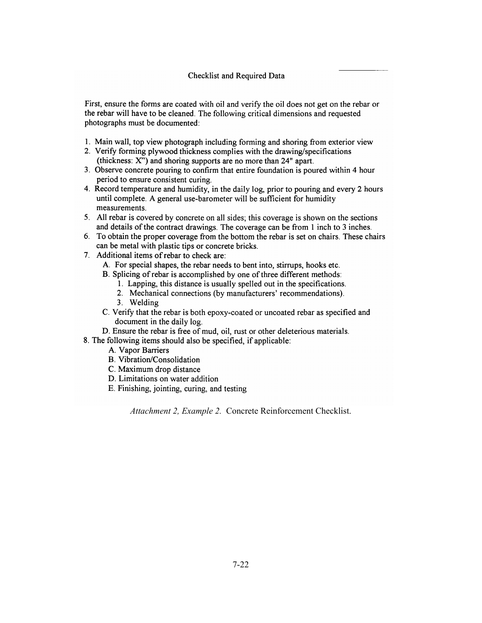First, ensure the forms are coated with oil and verify the oil does not get on the rebar or the rebar will have to be cleaned. The following critical dimensions and requested photographs must be documented:

- 1. Main wall, top view photograph including forming and shoring from exterior view
- 2. Verify forming plywood thickness complies with the drawing/specifications (thickness: X") and shoring supports are no more than 24" apart.
- 3. Observe concrete pouring to confirm that entire foundation is poured within 4 hour period to ensure consistent curing.
- 4. Record temperature and humidity, in the daily log, prior to pouring and every 2 hours until complete. A general use-barometer will be sufficient for humidity measurements.
- 5. All rebar is covered by concrete on all sides; this coverage is shown on the sections and details of the contract drawings. The coverage can be from 1 inch to 3 inches.
- 6. To obtain the proper coverage from the bottom the rebar is set on chairs. These chairs can be metal with plastic tips or concrete bricks.
- 7. Additional items of rebar to check are:
	- A. For special shapes, the rebar needs to bent into, stirrups, hooks etc.
	- B. Splicing of rebar is accomplished by one of three different methods:
		- 1. Lapping, this distance is usually spelled out in the specifications.
		- 2. Mechanical connections (by manufacturers' recommendations).
		- 3. Welding
	- C. Verify that the rebar is both epoxy-coated or uncoated rebar as specified and document in the daily log.
- D. Ensure the rebar is free of mud, oil, rust or other deleterious materials.
- 8. The following items should also be specified, if applicable:
	- A. Vapor Barriers
	- **B.** Vibration/Consolidation
	- C. Maximum drop distance
	- D. Limitations on water addition
	- E. Finishing, jointing, curing, and testing

Attachment 2, Example 2. Concrete Reinforcement Checklist.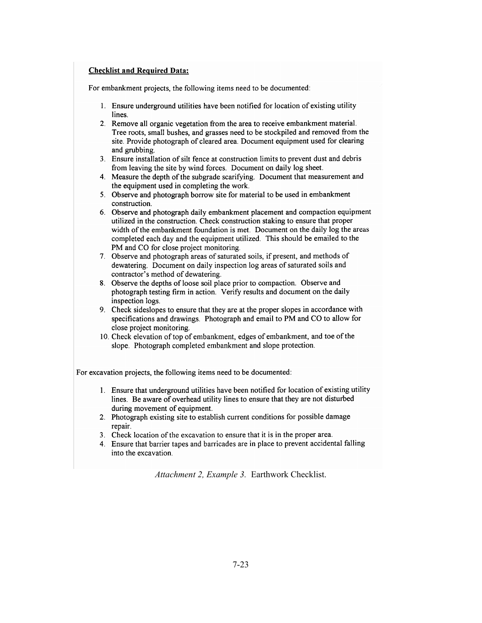### **Checklist and Required Data:**

For embankment projects, the following items need to be documented:

- 1. Ensure underground utilities have been notified for location of existing utility **lines**
- 2. Remove all organic vegetation from the area to receive embankment material. Tree roots, small bushes, and grasses need to be stockpiled and removed from the site. Provide photograph of cleared area. Document equipment used for clearing and grubbing.
- 3. Ensure installation of silt fence at construction limits to prevent dust and debris from leaving the site by wind forces. Document on daily log sheet.
- 4. Measure the depth of the subgrade scarifying. Document that measurement and the equipment used in completing the work.
- 5. Observe and photograph borrow site for material to be used in embankment construction.
- 6. Observe and photograph daily embankment placement and compaction equipment utilized in the construction. Check construction staking to ensure that proper width of the embankment foundation is met. Document on the daily log the areas completed each day and the equipment utilized. This should be emailed to the PM and CO for close project monitoring.
- 7. Observe and photograph areas of saturated soils, if present, and methods of dewatering. Document on daily inspection log areas of saturated soils and contractor's method of dewatering.
- 8. Observe the depths of loose soil place prior to compaction. Observe and photograph testing firm in action. Verify results and document on the daily inspection logs.
- 9. Check sides lopes to ensure that they are at the proper slopes in accordance with specifications and drawings. Photograph and email to PM and CO to allow for close project monitoring.
- 10. Check elevation of top of embankment, edges of embankment, and toe of the slope. Photograph completed embankment and slope protection.

For excavation projects, the following items need to be documented:

- 1. Ensure that underground utilities have been notified for location of existing utility lines. Be aware of overhead utility lines to ensure that they are not disturbed during movement of equipment.
- 2. Photograph existing site to establish current conditions for possible damage repair.
- 3. Check location of the excavation to ensure that it is in the proper area.
- 4. Ensure that barrier tapes and barricades are in place to prevent accidental falling into the excavation.

Attachment 2, Example 3. Earthwork Checklist.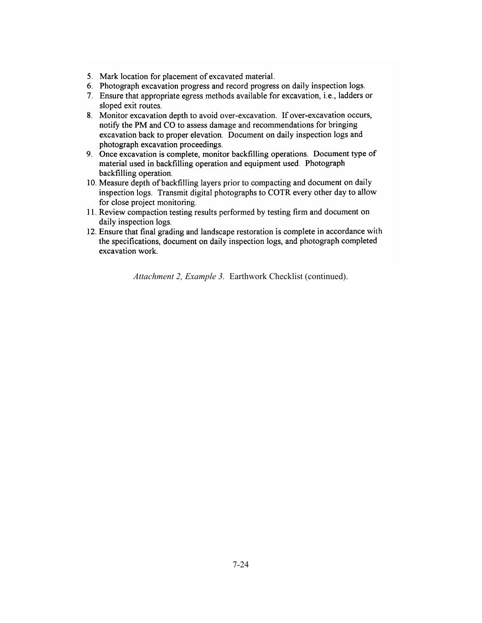- 5. Mark location for placement of excavated material.
- 6. Photograph excavation progress and record progress on daily inspection logs.
- 7. Ensure that appropriate egress methods available for excavation, i.e., ladders or sloped exit routes.
- 8. Monitor excavation depth to avoid over-excavation. If over-excavation occurs, notify the PM and CO to assess damage and recommendations for bringing excavation back to proper elevation. Document on daily inspection logs and photograph excavation proceedings.
- 9. Once excavation is complete, monitor backfilling operations. Document type of material used in backfilling operation and equipment used. Photograph backfilling operation.
- 10. Measure depth of backfilling layers prior to compacting and document on daily inspection logs. Transmit digital photographs to COTR every other day to allow for close project monitoring.
- 11. Review compaction testing results performed by testing firm and document on daily inspection logs.
- 12. Ensure that final grading and landscape restoration is complete in accordance with the specifications, document on daily inspection logs, and photograph completed excavation work.

Attachment 2, Example 3. Earthwork Checklist (continued).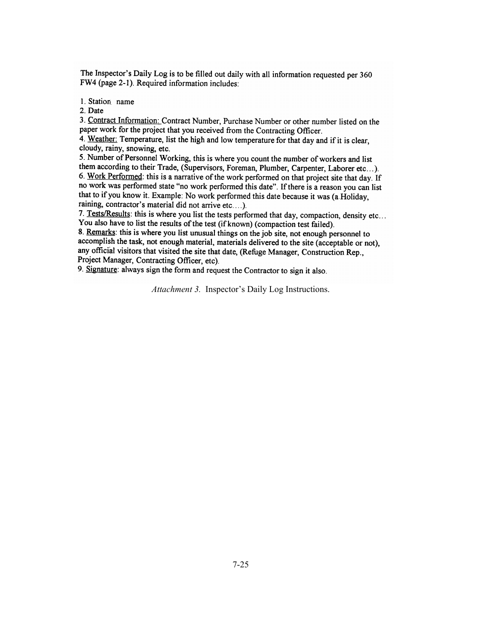The Inspector's Daily Log is to be filled out daily with all information requested per 360 FW4 (page 2-1). Required information includes:

1. Station name

2. Date

3. Contract Information: Contract Number, Purchase Number or other number listed on the paper work for the project that you received from the Contracting Officer.

4. Weather: Temperature, list the high and low temperature for that day and if it is clear, cloudy, rainy, snowing, etc.

5. Number of Personnel Working, this is where you count the number of workers and list them according to their Trade, (Supervisors, Foreman, Plumber, Carpenter, Laborer etc...). 6. Work Performed: this is a narrative of the work performed on that project site that day. If no work was performed state "no work performed this date". If there is a reason you can list that to if you know it. Example: No work performed this date because it was (a Holiday, raining, contractor's material did not arrive etc....).

7. Tests/Results: this is where you list the tests performed that day, compaction, density etc... You also have to list the results of the test (if known) (compaction test failed).

8. Remarks: this is where you list unusual things on the job site, not enough personnel to accomplish the task, not enough material, materials delivered to the site (acceptable or not), any official visitors that visited the site that date, (Refuge Manager, Construction Rep., Project Manager, Contracting Officer, etc).

9. Signature: always sign the form and request the Contractor to sign it also.

Attachment 3. Inspector's Daily Log Instructions.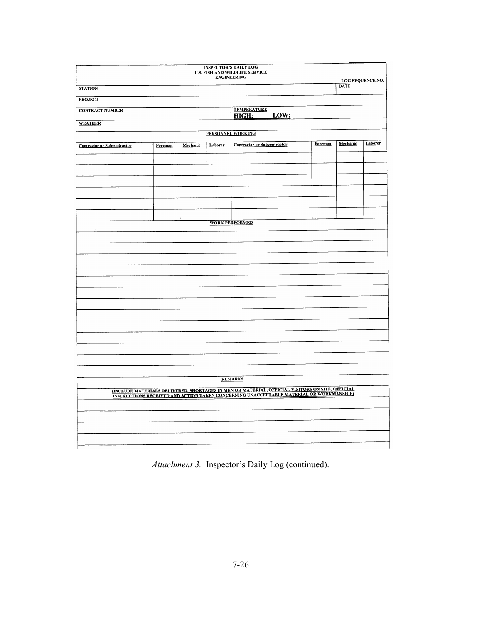| <b>INSPECTOR'S DAILY LOG</b><br>U.S. FISH AND WILDLIFE SERVICE<br><b>ENGINEERING</b><br>LOG SEQUENCE NO. |                |          |         |                                                                                                                                                                                         |         |             |         |
|----------------------------------------------------------------------------------------------------------|----------------|----------|---------|-----------------------------------------------------------------------------------------------------------------------------------------------------------------------------------------|---------|-------------|---------|
| <b>STATION</b>                                                                                           |                |          |         |                                                                                                                                                                                         |         | <b>DATE</b> |         |
| <b>PROJECT</b>                                                                                           |                |          |         |                                                                                                                                                                                         |         |             |         |
| <b>CONTRACT NUMBER</b>                                                                                   |                |          |         | <b>TEMPERATURE</b><br>LOW:<br>HIGH:                                                                                                                                                     |         |             |         |
| <b>WEATHER</b>                                                                                           |                |          |         |                                                                                                                                                                                         |         |             |         |
|                                                                                                          |                |          |         | <b>PERSONNEL WORKING</b>                                                                                                                                                                |         |             |         |
| <b>Contractor or Subcontractor</b>                                                                       | <b>Foreman</b> | Mechanic | Laborer | <b>Contractor or Subcontractor</b>                                                                                                                                                      | Foreman | Mechanic    | Laborer |
|                                                                                                          |                |          |         |                                                                                                                                                                                         |         |             |         |
|                                                                                                          |                |          |         |                                                                                                                                                                                         |         |             |         |
|                                                                                                          |                |          |         |                                                                                                                                                                                         |         |             |         |
|                                                                                                          |                |          |         |                                                                                                                                                                                         |         |             |         |
|                                                                                                          |                |          |         |                                                                                                                                                                                         |         |             |         |
|                                                                                                          |                |          |         |                                                                                                                                                                                         |         |             |         |
|                                                                                                          |                |          |         | <b>WORK PERFORMED</b>                                                                                                                                                                   |         |             |         |
|                                                                                                          |                |          |         |                                                                                                                                                                                         |         |             |         |
|                                                                                                          |                |          |         |                                                                                                                                                                                         |         |             |         |
|                                                                                                          |                |          |         |                                                                                                                                                                                         |         |             |         |
|                                                                                                          |                |          |         |                                                                                                                                                                                         |         |             |         |
|                                                                                                          |                |          |         |                                                                                                                                                                                         |         |             |         |
|                                                                                                          |                |          |         |                                                                                                                                                                                         |         |             |         |
|                                                                                                          |                |          |         |                                                                                                                                                                                         |         |             |         |
|                                                                                                          |                |          |         |                                                                                                                                                                                         |         |             |         |
|                                                                                                          |                |          |         |                                                                                                                                                                                         |         |             |         |
|                                                                                                          |                |          |         |                                                                                                                                                                                         |         |             |         |
|                                                                                                          |                |          |         |                                                                                                                                                                                         |         |             |         |
|                                                                                                          |                |          |         |                                                                                                                                                                                         |         |             |         |
|                                                                                                          |                |          |         |                                                                                                                                                                                         |         |             |         |
|                                                                                                          |                |          |         |                                                                                                                                                                                         |         |             |         |
|                                                                                                          |                |          |         |                                                                                                                                                                                         |         |             |         |
|                                                                                                          |                |          |         | <b>REMARKS</b>                                                                                                                                                                          |         |             |         |
|                                                                                                          |                |          |         |                                                                                                                                                                                         |         |             |         |
|                                                                                                          |                |          |         | (INCLUDE MATERIALS DELIVERED, SHORTAGES IN MEN OR MATERIAL, OFFICIAL VISITORS ON SITE, OFFICIAL INSTRUCTIONS RECEIVED AND ACTION TAKEN CONCERNING UNACCEPTABLE MATERIAL OR WORKMANSHIP) |         |             |         |
|                                                                                                          |                |          |         |                                                                                                                                                                                         |         |             |         |
|                                                                                                          |                |          |         |                                                                                                                                                                                         |         |             |         |
|                                                                                                          |                |          |         |                                                                                                                                                                                         |         |             |         |
|                                                                                                          |                |          |         |                                                                                                                                                                                         |         |             |         |
|                                                                                                          |                |          |         |                                                                                                                                                                                         |         |             |         |

*Attachment 3.* Inspector's Daily Log (continued).